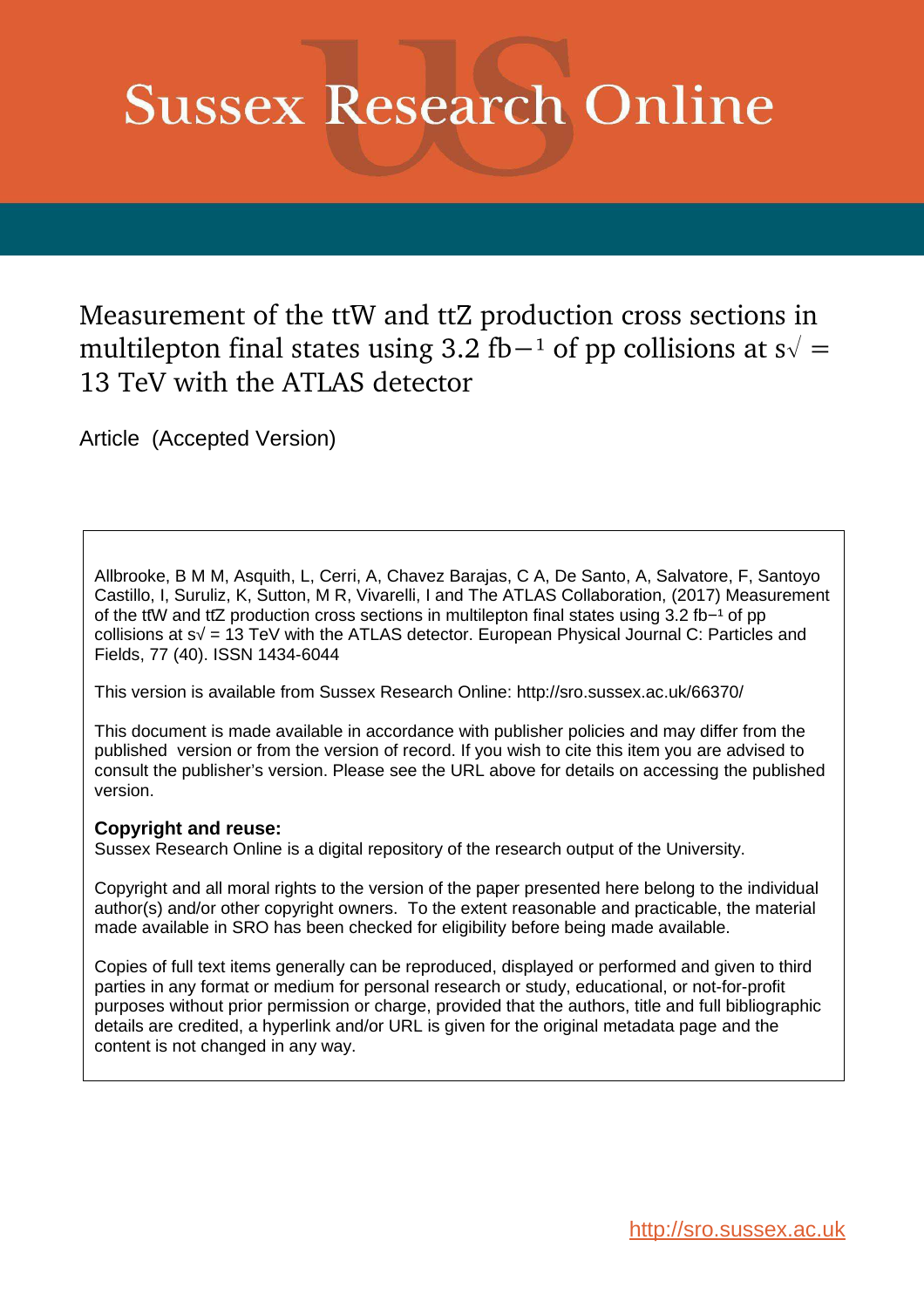# **Sussex Research Online**

Measurement of the ttW and ttZ production cross sections in multilepton final states using 3.2 fb−<sup>1</sup> of pp collisions at  $s\sqrt{}$  = 13 TeV with the ATLAS detector

Article (Accepted Version)

Allbrooke, B M M, Asquith, L, Cerri, A, Chavez Barajas, C A, De Santo, A, Salvatore, F, Santoyo Castillo, I, Suruliz, K, Sutton, M R, Vivarelli, I and The ATLAS Collaboration, (2017) Measurement of the ttW and ttZ production cross sections in multilepton final states using 3.2 fb−1 of pp collisions at s√ = 13 TeV with the ATLAS detector. European Physical Journal C: Particles and Fields, 77 (40). ISSN 1434-6044

This version is available from Sussex Research Online: http://sro.sussex.ac.uk/66370/

This document is made available in accordance with publisher policies and may differ from the published version or from the version of record. If you wish to cite this item you are advised to consult the publisher's version. Please see the URL above for details on accessing the published version.

## **Copyright and reuse:**

Sussex Research Online is a digital repository of the research output of the University.

Copyright and all moral rights to the version of the paper presented here belong to the individual author(s) and/or other copyright owners. To the extent reasonable and practicable, the material made available in SRO has been checked for eligibility before being made available.

Copies of full text items generally can be reproduced, displayed or performed and given to third parties in any format or medium for personal research or study, educational, or not-for-profit purposes without prior permission or charge, provided that the authors, title and full bibliographic details are credited, a hyperlink and/or URL is given for the original metadata page and the content is not changed in any way.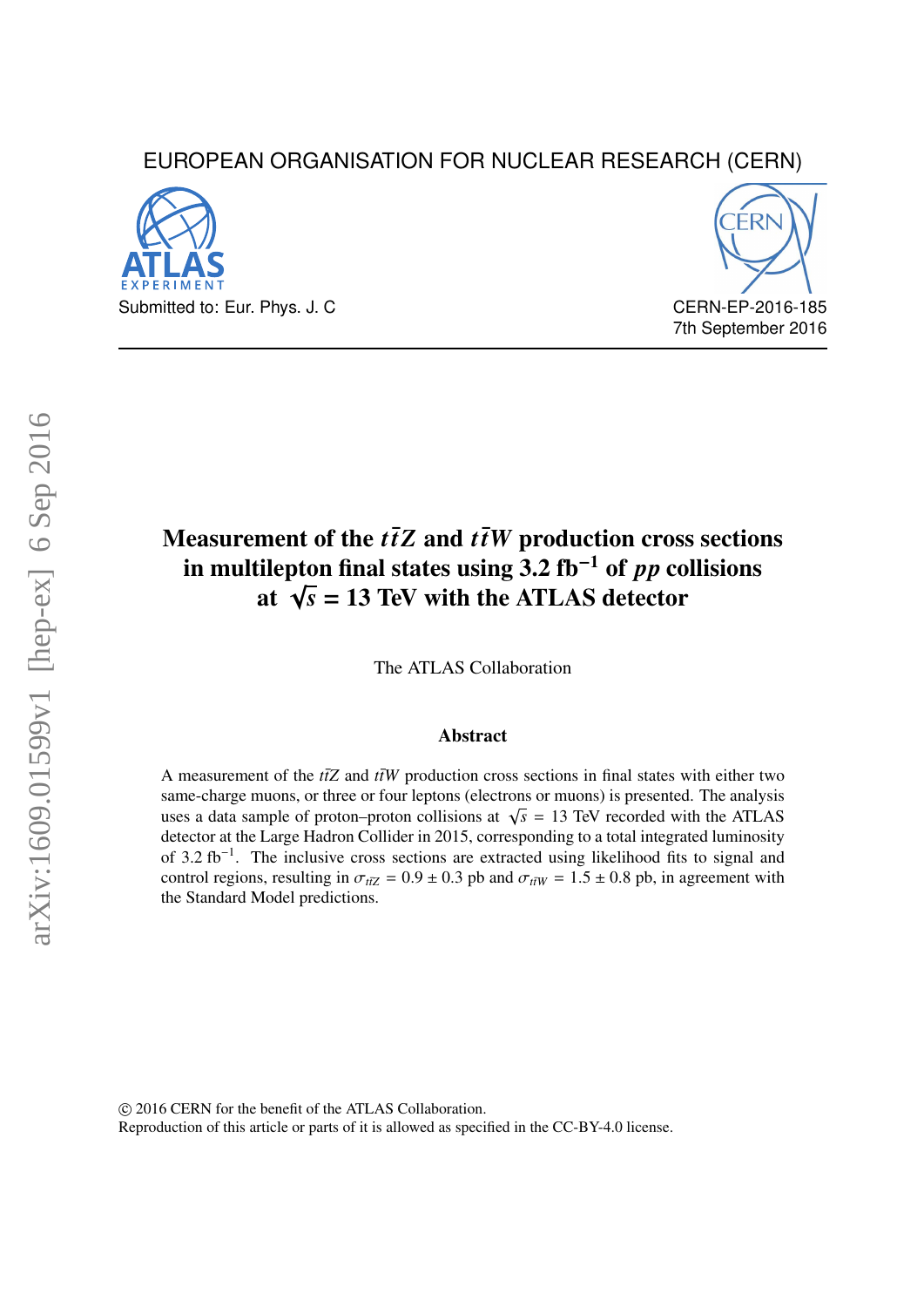## EUROPEAN ORGANISATION FOR NUCLEAR RESEARCH (CERN)





7th September 2016

## Measurement of the  $t\bar{t}Z$  and  $t\bar{t}W$  production cross sections in multilepton final states using 3.2 fb−<sup>1</sup> of *pp* collisions at  $\sqrt{s}$  = 13 TeV with the ATLAS detector

The ATLAS Collaboration

#### Abstract

<span id="page-1-1"></span>A measurement of the  $t\bar{t}Z$  and  $\bar{t}W$  production cross sections in final states with either two same-charge muons, or three or four leptons (electrons or muons) is presented. The analysis uses a data sample of proton–proton collisions at  $\sqrt{s}$  = 13 TeV recorded with the ATLAS detector at the Large Hadron Collider in 2015, corresponding to a total integrated luminosity of 3.2 fb<sup>-1</sup>. The inclusive cross sections are extracted using likelihood fits to signal and control regions, resulting in  $\sigma_{t\bar{t}Z} = 0.9 \pm 0.3$  pb and  $\sigma_{t\bar{t}W} = 1.5 \pm 0.8$  pb, in agreement with the Standard Model predictions.

<span id="page-1-0"></span>c 2016 CERN for the benefit of the ATLAS Collaboration.

Reproduction of this article or parts of it is allowed as specified in the CC-BY-4.0 license.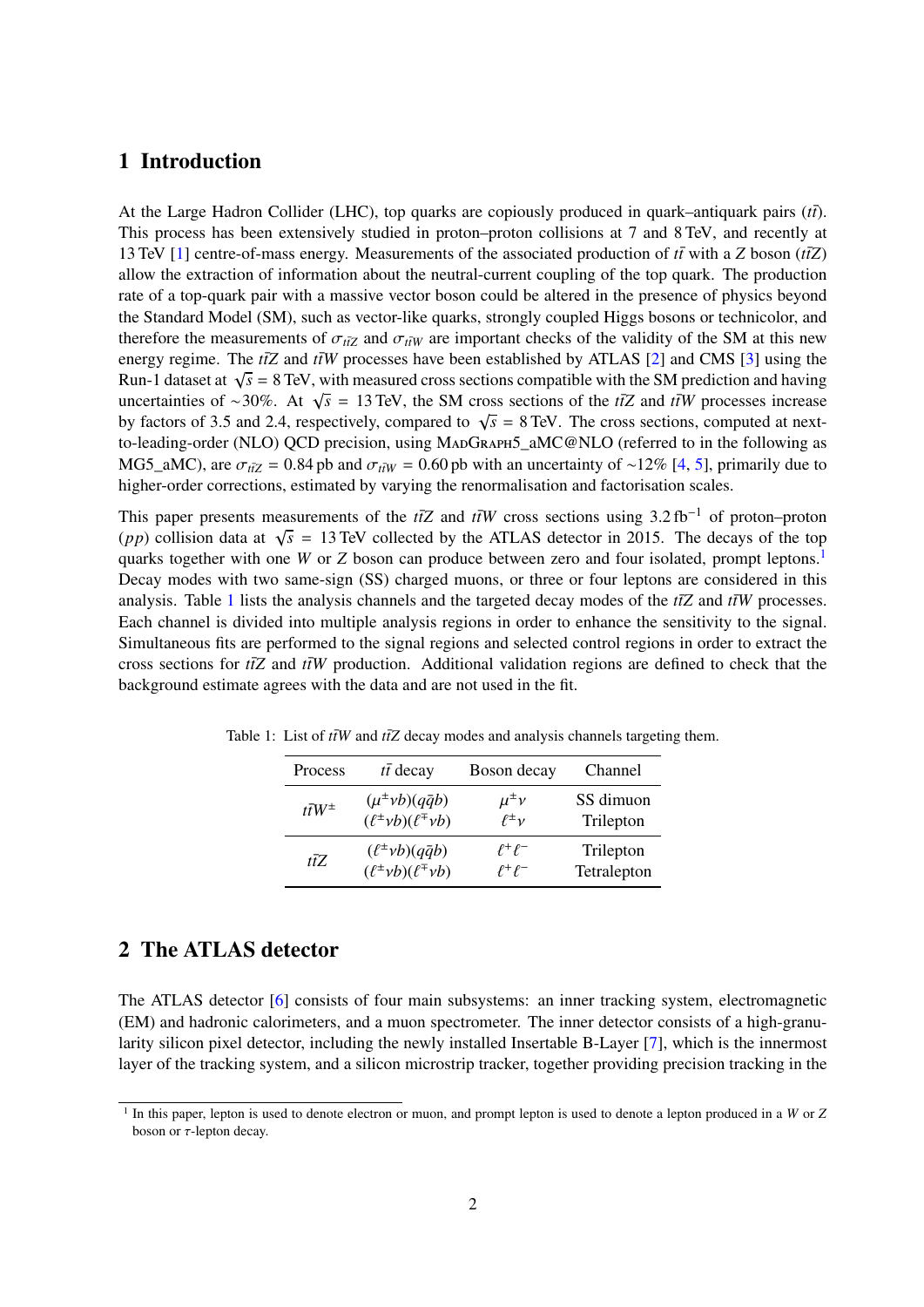## 1 Introduction

At the Large Hadron Collider (LHC), top quarks are copiously produced in quark–antiquark pairs (*ti*<sup>†</sup>). This process has been extensively studied in proton–proton collisions at 7 and 8 TeV, and recently at 13 TeV [\[1\]](#page-19-0) centre-of-mass energy. Measurements of the associated production of  $t\bar{t}$  with a *Z* boson ( $\frac{t\bar{t}Z}{tZ}$ ) allow the extraction of information about the neutral-current coupling of the top quark. The production rate of a top-quark pair with a massive vector boson could be altered in the presence of physics beyond the Standard Model (SM), such as vector-like quarks, strongly coupled Higgs bosons or technicolor, and therefore the measurements of  $\sigma_{t\bar{t}Z}$  and  $\sigma_{t\bar{t}W}$  are important checks of the validity of the SM at this new energy regime. The  $t\bar{t}Z$  and  $t\bar{t}W$  processes have been established by ATLAS [\[2\]](#page-19-1) and CMS [\[3\]](#page-19-2) using the Run-1 dataset at  $\sqrt{s} = 8$  TeV, with measured cross sections compatible with the SM prediction and having uncertainties of ∼30%. At  $\sqrt{s}$  = 13 TeV, the SM cross sections of the *ttZ* and *ttW* processes increase by factors of 3.5 and 2.4, respectively, compared to  $\sqrt{s}$  = 8 TeV. The cross sections, computed at nextto-leading-order (NLO) QCD precision, using MADGRAPH5\_aMC@NLO (referred to in the following as MG5\_aMC), are  $\sigma_{t\bar{t}Z} = 0.84$  pb and  $\sigma_{t\bar{t}W} = 0.60$  pb with an uncertainty of ∼12% [\[4,](#page-19-3) [5\]](#page-19-4), primarily due to higher-order corrections, estimated by varying the renormalisation and factorisation scales.

<span id="page-2-2"></span>This paper presents measurements of the *ttZ* and *ttW* cross sections using  $3.2 \text{ fb}^{-1}$  of proton–proton (*pp*) collision data at  $\sqrt{s}$  = 13 TeV collected by the ATLAS detector in 2015. The decays of the top quarks together with one *W* or *Z* boson can produce between zero and four isolated, prompt leptons.<sup>[1](#page-1-0)</sup> Decay modes with two same-sign (SS) charged muons, or three or four leptons are considered in this analysis. Table [1](#page-1-1) lists the analysis channels and the targeted decay modes of the  $t\bar{t}Z$  and  $t\bar{t}W$  processes. Each channel is divided into multiple analysis regions in order to enhance the sensitivity to the signal. Simultaneous fits are performed to the signal regions and selected control regions in order to extract the cross sections for  $t\bar{t}Z$  and  $\bar{t}W$  production. Additional validation regions are defined to check that the background estimate agrees with the data and are not used in the fit.

| Process                | $t\bar{t}$ decay                       | Boson decay      | Channel     |
|------------------------|----------------------------------------|------------------|-------------|
| $t\overline{t}W^{\pm}$ | $(\mu^{\pm} \nu b)(q\bar{q}b)$         | $\mu^{\pm} \nu$  | SS dimuon   |
|                        | $(\ell^{\pm} \nu b)(\ell^{\mp} \nu b)$ | $\ell^{\pm} \nu$ | Trilepton   |
| tīZ.                   | $(\ell^{\pm}vb)(q\bar{q}b)$            | $\ell^+\ell^-$   | Trilepton   |
|                        | $(\ell^{\pm} \nu b)(\ell^{\mp} \nu b)$ | $l^+\ell^-$      | Tetralepton |

Table 1: List of  $t\bar{t}W$  and  $t\bar{t}Z$  decay modes and analysis channels targeting them.

## 2 The ATLAS detector

<span id="page-2-0"></span>The ATLAS detector [\[6\]](#page-19-5) consists of four main subsystems: an inner tracking system, electromagnetic (EM) and hadronic calorimeters, and a muon spectrometer. The inner detector consists of a high-granularity silicon pixel detector, including the newly installed Insertable B-Layer [\[7\]](#page-19-6), which is the innermost layer of the tracking system, and a silicon microstrip tracker, together providing precision tracking in the

<span id="page-2-1"></span><sup>1</sup> In this paper, lepton is used to denote electron or muon, and prompt lepton is used to denote a lepton produced in a *W* or *Z* boson or  $\tau$ -lepton decay.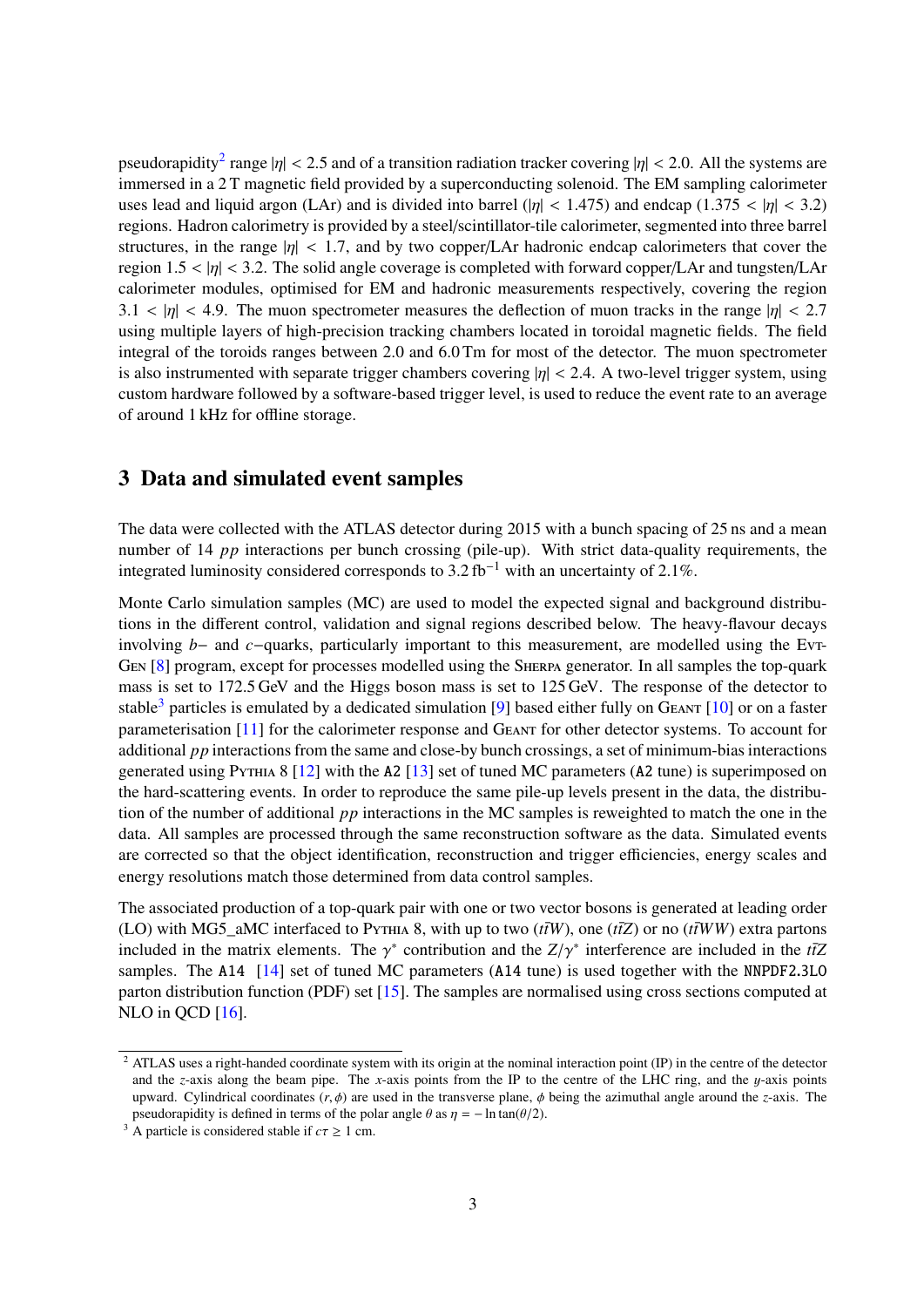pseudorapidity<sup>[2](#page-2-0)</sup> range  $|\eta| < 2.5$  and of a transition radiation tracker covering  $|\eta| < 2.0$ . All the systems are immersed in a 2 T magnetic field provided by a superconducting solenoid. The EM sampling calorimeter uses lead and liquid argon (LAr) and is divided into barrel ( $|\eta|$  < 1.475) and endcap (1.375 <  $|\eta|$  < 3.2) regions. Hadron calorimetry is provided by a steel/scintillator-tile calorimeter, segmented into three barrel structures, in the range  $|\eta| < 1.7$ , and by two copper/LAr hadronic endcap calorimeters that cover the region  $1.5 < |\eta| < 3.2$ . The solid angle coverage is completed with forward copper/LAr and tungsten/LAr calorimeter modules, optimised for EM and hadronic measurements respectively, covering the region  $3.1 < |\eta| < 4.9$ . The muon spectrometer measures the deflection of muon tracks in the range  $|\eta| < 2.7$ using multiple layers of high-precision tracking chambers located in toroidal magnetic fields. The field integral of the toroids ranges between 2.0 and 6.0 Tm for most of the detector. The muon spectrometer is also instrumented with separate trigger chambers covering  $|\eta| < 2.4$ . A two-level trigger system, using custom hardware followed by a software-based trigger level, is used to reduce the event rate to an average of around 1 kHz for offline storage.

### 3 Data and simulated event samples

The data were collected with the ATLAS detector during 2015 with a bunch spacing of 25 ns and a mean number of 14 *pp* interactions per bunch crossing (pile-up). With strict data-quality requirements, the integrated luminosity considered corresponds to 3.2 fb−<sup>1</sup> with an uncertainty of 2.1%.

Monte Carlo simulation samples (MC) are used to model the expected signal and background distributions in the different control, validation and signal regions described below. The heavy-flavour decays involving *<sup>b</sup>*<sup>−</sup> and *<sup>c</sup>*−quarks, particularly important to this measurement, are modelled using the Evt-Gen [\[8\]](#page-19-7) program, except for processes modelled using the Sherpa generator. In all samples the top-quark mass is set to 172.5 GeV and the Higgs boson mass is set to 125 GeV. The response of the detector to stable<sup>[3](#page-2-1)</sup> particles is emulated by a dedicated simulation [\[9\]](#page-19-8) based either fully on GEANT [\[10\]](#page-19-9) or on a faster parameterisation [\[11\]](#page-19-10) for the calorimeter response and Geant for other detector systems. To account for additional *pp* interactions from the same and close-by bunch crossings, a set of minimum-bias interactions generated using PYTHIA 8 [\[12\]](#page-19-11) with the A2 [\[13\]](#page-19-12) set of tuned MC parameters (A2 tune) is superimposed on the hard-scattering events. In order to reproduce the same pile-up levels present in the data, the distribution of the number of additional *pp* interactions in the MC samples is reweighted to match the one in the data. All samples are processed through the same reconstruction software as the data. Simulated events are corrected so that the object identification, reconstruction and trigger efficiencies, energy scales and energy resolutions match those determined from data control samples.

The associated production of a top-quark pair with one or two vector bosons is generated at leading order (LO) with MG5\_aMC interfaced to PYTHIA 8, with up to two  $(t\bar{t}W)$ , one  $(t\bar{t}Z)$  or no  $(t\bar{t}WW)$  extra partons included in the matrix elements. The  $\gamma^*$  contribution and the  $Z/\gamma^*$  interference are included in the *tt*Z samples. The A14 [\[14\]](#page-20-0) set of tuned MC parameters (A14 tune) is used together with the NNPDF2.3LO parton distribution function (PDF) set [\[15\]](#page-20-1). The samples are normalised using cross sections computed at NLO in QCD [\[16\]](#page-20-2).

 $2$  ATLAS uses a right-handed coordinate system with its origin at the nominal interaction point (IP) in the centre of the detector and the *z*-axis along the beam pipe. The *x*-axis points from the IP to the centre of the LHC ring, and the  $y$ -axis points upward. Cylindrical coordinates  $(r, \phi)$  are used in the transverse plane,  $\phi$  being the azimuthal angle around the *z*-axis. The pseudorapidity is defined in terms of the polar angle  $\theta$  as  $\eta = -\ln \tan(\theta/2)$ .

<sup>&</sup>lt;sup>3</sup> A particle is considered stable if  $c\tau \ge 1$  cm.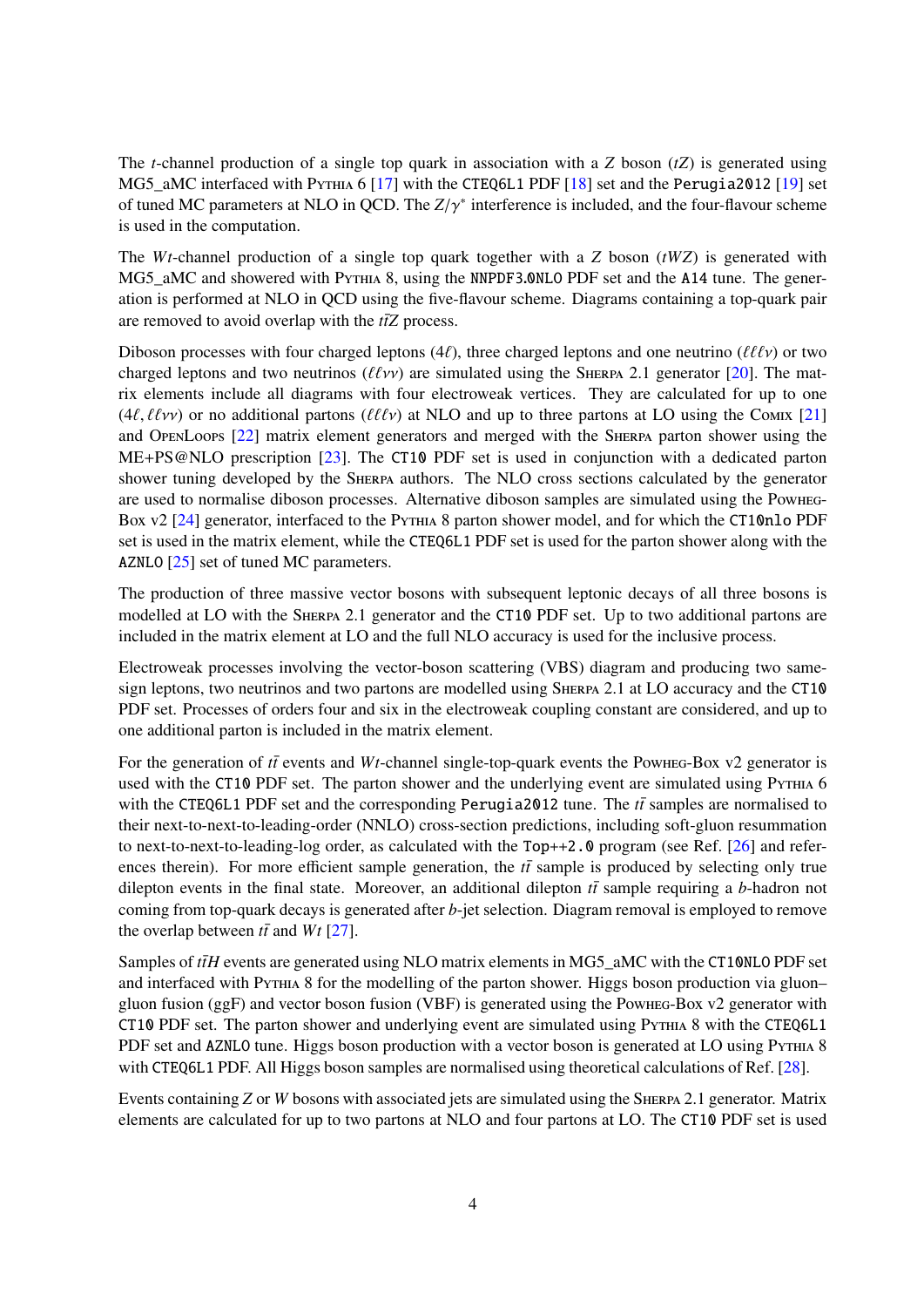The *t*-channel production of a single top quark in association with a *Z* boson (*tZ*) is generated using MG5\_aMC interfaced with PYTHIA 6 [\[17\]](#page-20-3) with the CTEQ6L1 PDF [\[18\]](#page-20-4) set and the Perugia2012 [\[19\]](#page-20-5) set of tuned MC parameters at NLO in QCD. The *Z*/γ∗ interference is included, and the four-flavour scheme is used in the computation.

The *Wt*-channel production of a single top quark together with a *Z* boson (*tWZ*) is generated with MG5\_aMC and showered with Pythia 8, using the NNPDF3.0NLO PDF set and the A14 tune. The generation is performed at NLO in QCD using the five-flavour scheme. Diagrams containing a top-quark pair are removed to avoid overlap with the  $t\bar{t}Z$  process.

Diboson processes with four charged leptons (4 $\ell$ ), three charged leptons and one neutrino ( $\ell\ell\ell v$ ) or two charged leptons and two neutrinos ( $\ell\ell\nu$ ) are simulated using the SHERPA 2.1 generator [\[20\]](#page-20-6). The matrix elements include all diagrams with four electroweak vertices. They are calculated for up to one  $(4\ell, \ell\ell\nu\nu)$  or no additional partons ( $\ell\ell\nu\nu$ ) at NLO and up to three partons at LO using the Comix [\[21\]](#page-20-7) and OpenLoops [\[22\]](#page-20-8) matrix element generators and merged with the Sherpa parton shower using the ME+PS@NLO prescription [\[23\]](#page-20-9). The CT10 PDF set is used in conjunction with a dedicated parton shower tuning developed by the SHERPA authors. The NLO cross sections calculated by the generator are used to normalise diboson processes. Alternative diboson samples are simulated using the Powheg-Box v2 [\[24\]](#page-20-10) generator, interfaced to the PyTHIA 8 parton shower model, and for which the CT10nlo PDF set is used in the matrix element, while the CTEQ6L1 PDF set is used for the parton shower along with the AZNLO [\[25\]](#page-20-11) set of tuned MC parameters.

The production of three massive vector bosons with subsequent leptonic decays of all three bosons is modelled at LO with the Sherpa 2.1 generator and the CT10 PDF set. Up to two additional partons are included in the matrix element at LO and the full NLO accuracy is used for the inclusive process.

Electroweak processes involving the vector-boson scattering (VBS) diagram and producing two samesign leptons, two neutrinos and two partons are modelled using SHERPA 2.1 at LO accuracy and the CT10 PDF set. Processes of orders four and six in the electroweak coupling constant are considered, and up to one additional parton is included in the matrix element.

For the generation of *tt*<sup> $t$ </sup> events and *Wt*-channel single-top-quark events the Powheg-Box v2 generator is used with the CT10 PDF set. The parton shower and the underlying event are simulated using Pythia 6 with the CTEQ6L1 PDF set and the corresponding Perugia2012 tune. The  $t\bar{t}$  samples are normalised to their next-to-next-to-leading-order (NNLO) cross-section predictions, including soft-gluon resummation to next-to-next-to-leading-log order, as calculated with the Top++2.0 program (see Ref. [\[26\]](#page-20-12) and references therein). For more efficient sample generation, the  $t\bar{t}$  sample is produced by selecting only true dilepton events in the final state. Moreover, an additional dilepton  $t\bar{t}$  sample requiring a *b*-hadron not coming from top-quark decays is generated after *b*-jet selection. Diagram removal is employed to remove the overlap between  $t\bar{t}$  and  $Wt$  [\[27\]](#page-20-13).

Samples of *tH* events are generated using NLO matrix elements in MG5\_aMC with the CT10NLO PDF set and interfaced with PYTHIA 8 for the modelling of the parton shower. Higgs boson production via gluon– gluon fusion (ggF) and vector boson fusion (VBF) is generated using the Powheg-Box v2 generator with CT10 PDF set. The parton shower and underlying event are simulated using Pythia 8 with the CTEQ6L1 PDF set and AZNLO tune. Higgs boson production with a vector boson is generated at LO using PYTHIA 8 with CTEQ6L1 PDF. All Higgs boson samples are normalised using theoretical calculations of Ref. [\[28\]](#page-20-14).

<span id="page-4-0"></span>Events containing *Z* or *W* bosons with associated jets are simulated using the Sherpa 2.1 generator. Matrix elements are calculated for up to two partons at NLO and four partons at LO. The CT10 PDF set is used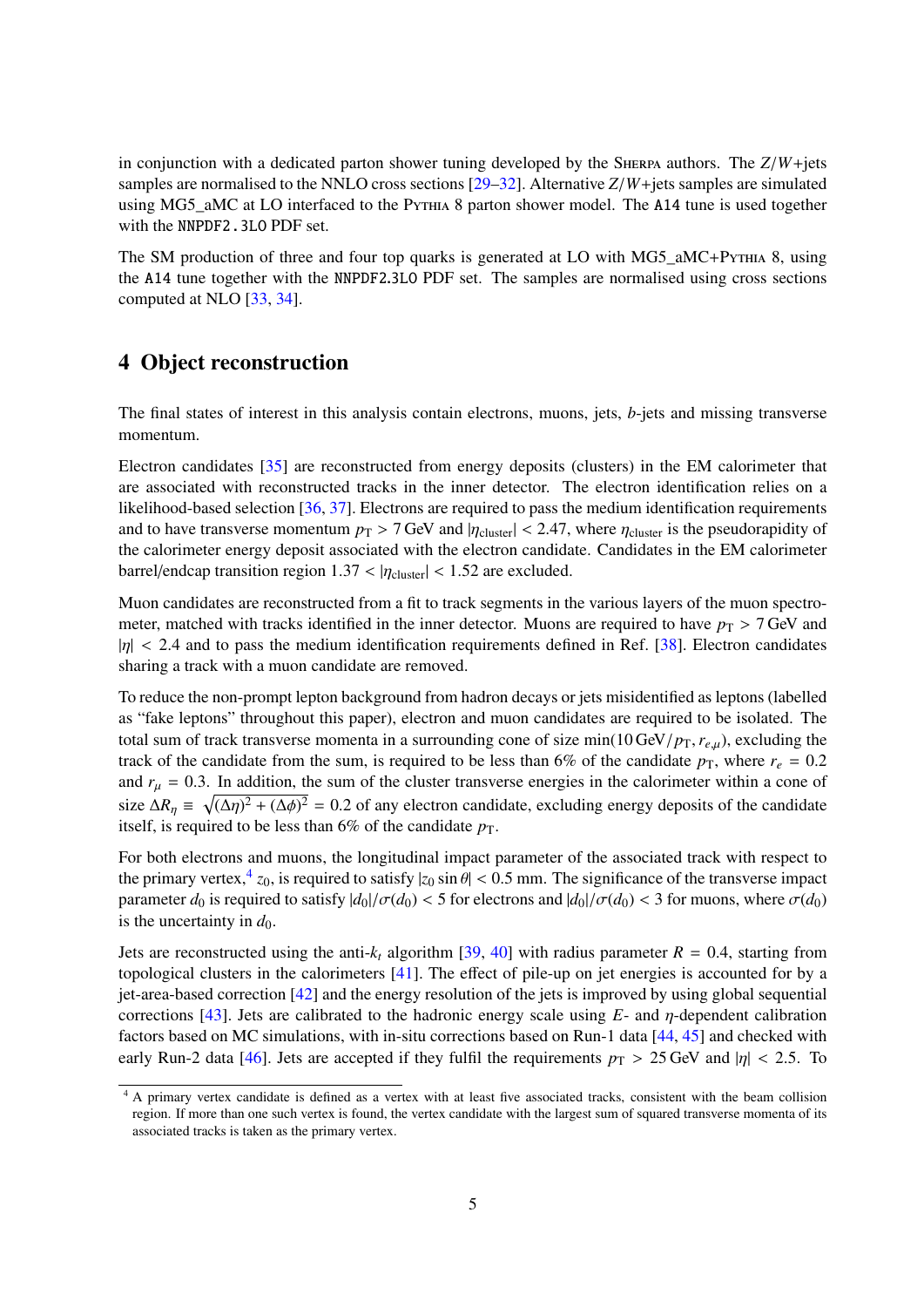in conjunction with a dedicated parton shower tuning developed by the SHERPA authors. The  $Z/W +$ jets samples are normalised to the NNLO cross sections [\[29](#page-20-15)[–32\]](#page-21-0). Alternative *Z*/*W*+jets samples are simulated using MG5\_aMC at LO interfaced to the Pythia 8 parton shower model. The A14 tune is used together with the NNPDF2.3LO PDF set.

The SM production of three and four top quarks is generated at LO with MG5\_aMC+P $\gamma$ THIA 8, using the A14 tune together with the NNPDF2.3LO PDF set. The samples are normalised using cross sections computed at NLO [\[33,](#page-21-1) [34\]](#page-21-2).

## 4 Object reconstruction

The final states of interest in this analysis contain electrons, muons, jets, *b*-jets and missing transverse momentum.

Electron candidates [\[35\]](#page-21-3) are reconstructed from energy deposits (clusters) in the EM calorimeter that are associated with reconstructed tracks in the inner detector. The electron identification relies on a likelihood-based selection [\[36,](#page-21-4) [37\]](#page-21-5). Electrons are required to pass the medium identification requirements and to have transverse momentum  $p_T > 7$  GeV and  $|\eta_{\text{cluster}}| < 2.47$ , where  $\eta_{\text{cluster}}$  is the pseudorapidity of the calorimeter energy deposit associated with the electron candidate. Candidates in the EM calorimeter barrel/endcap transition region  $1.37 < |\eta_{\text{cluster}}| < 1.52$  are excluded.

Muon candidates are reconstructed from a fit to track segments in the various layers of the muon spectrometer, matched with tracks identified in the inner detector. Muons are required to have  $p_T > 7$  GeV and  $|\eta|$  < 2.4 and to pass the medium identification requirements defined in Ref. [\[38\]](#page-21-6). Electron candidates sharing a track with a muon candidate are removed.

<span id="page-5-0"></span>To reduce the non-prompt lepton background from hadron decays or jets misidentified as leptons (labelled as "fake leptons" throughout this paper), electron and muon candidates are required to be isolated. The total sum of track transverse momenta in a surrounding cone of size min(10 GeV/ $p_T$ ,  $r_{e,\mu}$ ), excluding the track of the candidate from the sum, is required to be less than 6% of the candidate  $p_T$ , where  $r_e = 0.2$ and  $r<sub>u</sub> = 0.3$ . In addition, the sum of the cluster transverse energies in the calorimeter within a cone of size  $\Delta R_{\eta} \equiv \sqrt{(\Delta \eta)^2 + (\Delta \phi)^2} = 0.2$  of any electron candidate, excluding energy deposits of the candidate itself, is required to be less than  $6\%$  of the candidate  $p<sub>T</sub>$ .

For both electrons and muons, the longitudinal impact parameter of the associated track with respect to the primary vertex,  $\frac{4}{20}$  $\frac{4}{20}$  $\frac{4}{20}$ , is required to satisfy  $|z_0 \sin \theta| < 0.5$  mm. The significance of the transverse impact parameter  $d_0$  is required to satisfy  $|d_0|/\sigma(d_0) < 5$  for electrons and  $|d_0|/\sigma(d_0) < 3$  for muons, where  $\sigma(d_0)$ is the uncertainty in  $d_0$ .

Jets are reconstructed using the anti- $k_t$  algorithm [\[39,](#page-21-7) [40\]](#page-21-8) with radius parameter  $R = 0.4$ , starting from topological clusters in the calorimeters [\[41\]](#page-21-9). The effect of pile-up on jet energies is accounted for by a jet-area-based correction [\[42\]](#page-21-10) and the energy resolution of the jets is improved by using global sequential corrections [\[43\]](#page-21-11). Jets are calibrated to the hadronic energy scale using *E*- and η-dependent calibration factors based on MC simulations, with in-situ corrections based on Run-1 data [\[44,](#page-21-12) [45\]](#page-21-13) and checked with early Run-2 data [\[46\]](#page-21-14). Jets are accepted if they fulfil the requirements  $p_T > 25$  GeV and  $|\eta| < 2.5$ . To

 $4 A$  primary vertex candidate is defined as a vertex with at least five associated tracks, consistent with the beam collision region. If more than one such vertex is found, the vertex candidate with the largest sum of squared transverse momenta of its associated tracks is taken as the primary vertex.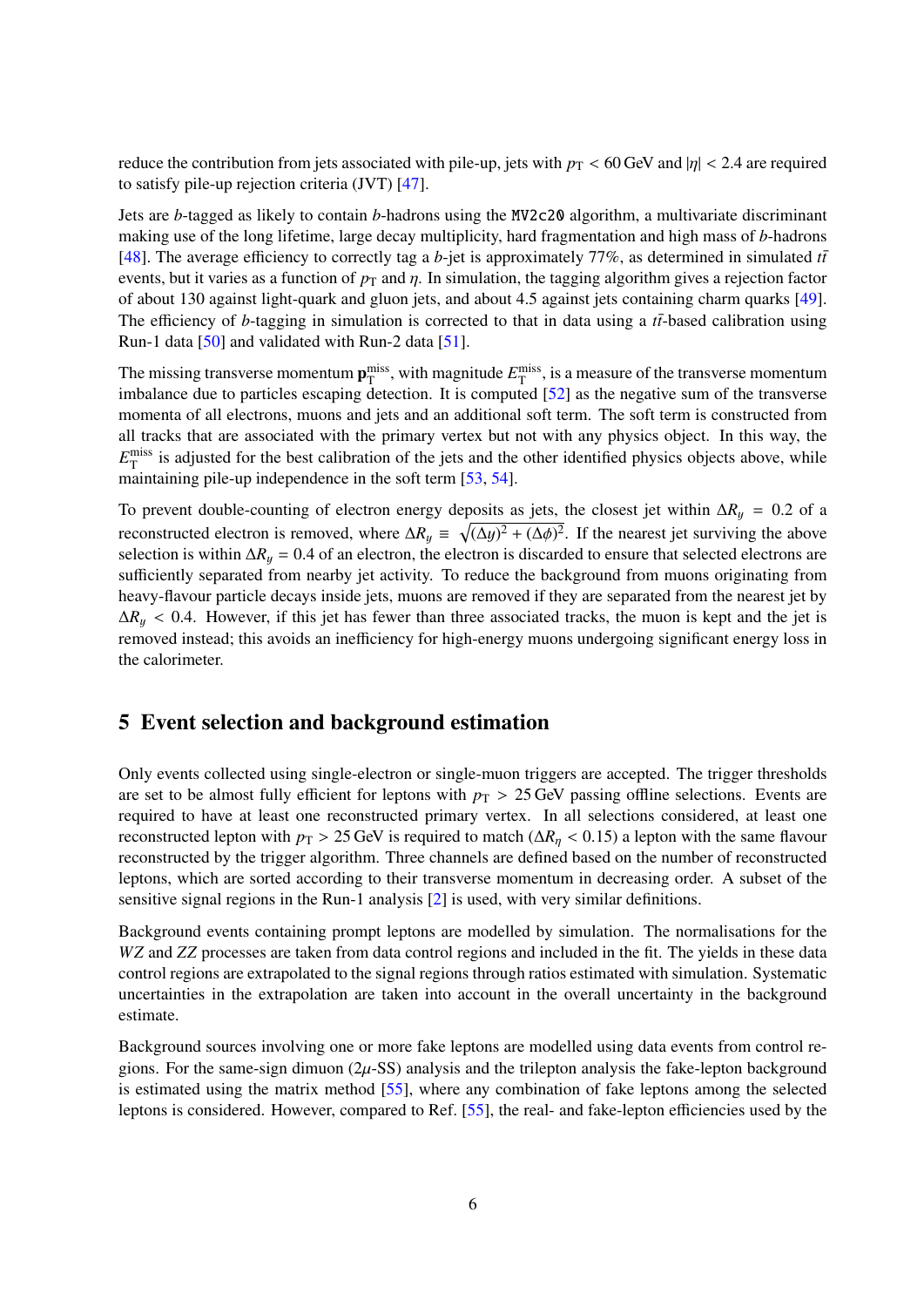reduce the contribution from jets associated with pile-up, jets with  $p_T < 60$  GeV and  $|\eta| < 2.4$  are required to satisfy pile-up rejection criteria (JVT) [\[47\]](#page-21-15).

Jets are *b*-tagged as likely to contain *b*-hadrons using the MV2c20 algorithm, a multivariate discriminant making use of the long lifetime, large decay multiplicity, hard fragmentation and high mass of *b*-hadrons [\[48\]](#page-22-0). The average efficiency to correctly tag a *b*-jet is approximately 77%, as determined in simulated  $t\bar{t}$ events, but it varies as a function of  $p<sub>T</sub>$  and  $\eta$ . In simulation, the tagging algorithm gives a rejection factor of about 130 against light-quark and gluon jets, and about 4.5 against jets containing charm quarks [\[49\]](#page-22-1). The efficiency of *b*-tagging in simulation is corrected to that in data using a  $t\bar{t}$ -based calibration using Run-1 data [\[50\]](#page-22-2) and validated with Run-2 data [\[51\]](#page-22-3).

The missing transverse momentum  $p_T^{\text{miss}}$ , with magnitude  $E_T^{\text{miss}}$ , is a measure of the transverse momentum imbalance due to particles escaping detection. It is computed [\[52\]](#page-22-4) as the negative sum of the transverse momenta of all electrons, muons and jets and an additional soft term. The soft term is constructed from all tracks that are associated with the primary vertex but not with any physics object. In this way, the  $E_{\rm T}^{\rm miss}$  is adjusted for the best calibration of the jets and the other identified physics objects above, while maintaining pile-up independence in the soft term [\[53,](#page-22-5) [54\]](#page-22-6).

To prevent double-counting of electron energy deposits as jets, the closest jet within  $\Delta R_y = 0.2$  of a reconstructed electron is removed, where  $\Delta R_y \equiv \sqrt{(\Delta y)^2 + (\Delta \phi)^2}$ . If the nearest jet surviving the above selection is within  $\Delta R_y = 0.4$  of an electron, the electron is discarded to ensure that selected electrons are sufficiently separated from nearby jet activity. To reduce the background from muons originating from heavy-flavour particle decays inside jets, muons are removed if they are separated from the nearest jet by  $\Delta R_y$  < 0.4. However, if this jet has fewer than three associated tracks, the muon is kept and the jet is removed instead; this avoids an inefficiency for high-energy muons undergoing significant energy loss in the calorimeter.

## 5 Event selection and background estimation

Only events collected using single-electron or single-muon triggers are accepted. The trigger thresholds are set to be almost fully efficient for leptons with  $p<sub>T</sub> > 25$  GeV passing offline selections. Events are required to have at least one reconstructed primary vertex. In all selections considered, at least one reconstructed lepton with  $p_T > 25$  GeV is required to match ( $\Delta R_\eta < 0.15$ ) a lepton with the same flavour reconstructed by the trigger algorithm. Three channels are defined based on the number of reconstructed leptons, which are sorted according to their transverse momentum in decreasing order. A subset of the sensitive signal regions in the Run-1 analysis [\[2\]](#page-19-1) is used, with very similar definitions.

Background events containing prompt leptons are modelled by simulation. The normalisations for the *WZ* and *ZZ* processes are taken from data control regions and included in the fit. The yields in these data control regions are extrapolated to the signal regions through ratios estimated with simulation. Systematic uncertainties in the extrapolation are taken into account in the overall uncertainty in the background estimate.

Background sources involving one or more fake leptons are modelled using data events from control regions. For the same-sign dimuon ( $2\mu$ -SS) analysis and the trilepton analysis the fake-lepton background is estimated using the matrix method [\[55\]](#page-22-7), where any combination of fake leptons among the selected leptons is considered. However, compared to Ref. [\[55\]](#page-22-7), the real- and fake-lepton efficiencies used by the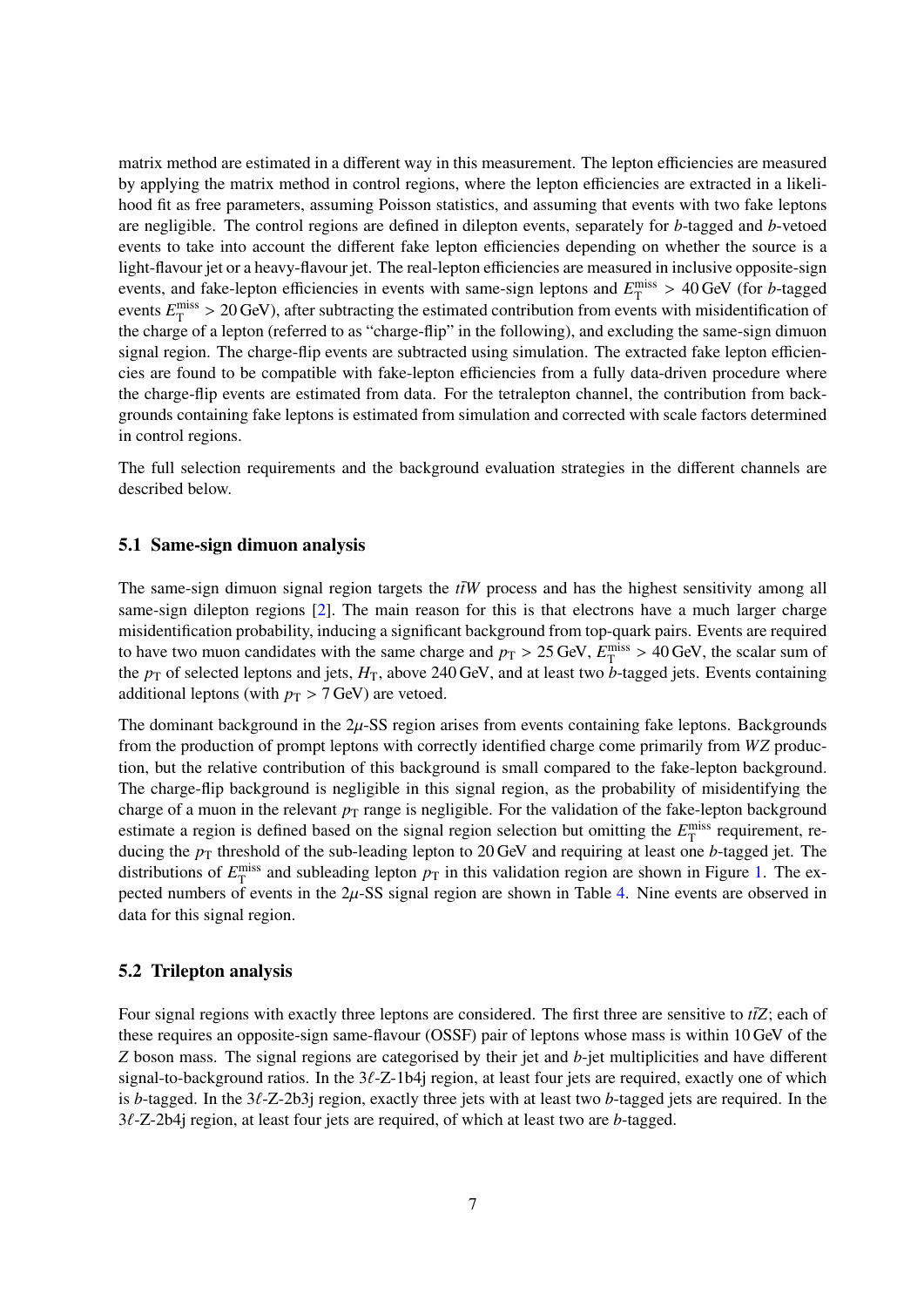<span id="page-7-0"></span>matrix method are estimated in a different way in this measurement. The lepton efficiencies are measured by applying the matrix method in control regions, where the lepton efficiencies are extracted in a likelihood fit as free parameters, assuming Poisson statistics, and assuming that events with two fake leptons are negligible. The control regions are defined in dilepton events, separately for *b*-tagged and *b*-vetoed events to take into account the different fake lepton efficiencies depending on whether the source is a light-flavour jet or a heavy-flavour jet. The real-lepton efficiencies are measured in inclusive opposite-sign events, and fake-lepton efficiencies in events with same-sign leptons and  $E_T^{\text{miss}} > 40$  GeV (for *b*-tagged events  $E_{\text{T}}^{\text{miss}} > 20$  GeV), after subtracting the estimated contribution from events with misidentification of the charge of a lepton (referred to as "charge-flip" in the following), and excluding the same-sign dimuon signal region. The charge-flip events are subtracted using simulation. The extracted fake lepton efficiencies are found to be compatible with fake-lepton efficiencies from a fully data-driven procedure where the charge-flip events are estimated from data. For the tetralepton channel, the contribution from backgrounds containing fake leptons is estimated from simulation and corrected with scale factors determined in control regions.

The full selection requirements and the background evaluation strategies in the different channels are described below.

#### 5.1 Same-sign dimuon analysis

The same-sign dimuon signal region targets the  $t\bar{t}W$  process and has the highest sensitivity among all same-sign dilepton regions [\[2\]](#page-19-1). The main reason for this is that electrons have a much larger charge misidentification probability, inducing a significant background from top-quark pairs. Events are required to have two muon candidates with the same charge and  $p_T > 25$  GeV,  $E_T^{\text{miss}} > 40$  GeV, the scalar sum of the  $p_T$  of selected leptons and jets,  $H_T$ , above 240 GeV, and at least two *b*-tagged jets. Events containing additional leptons (with  $p_T > 7$  GeV) are vetoed.

The dominant background in the  $2\mu$ -SS region arises from events containing fake leptons. Backgrounds from the production of prompt leptons with correctly identified charge come primarily from *WZ* production, but the relative contribution of this background is small compared to the fake-lepton background. The charge-flip background is negligible in this signal region, as the probability of misidentifying the charge of a muon in the relevant  $p<sub>T</sub>$  range is negligible. For the validation of the fake-lepton background estimate a region is defined based on the signal region selection but omitting the  $E_{\text{T}}^{\text{miss}}$  requirement, reducing the  $p_T$  threshold of the sub-leading lepton to 20 GeV and requiring at least one *b*-tagged jet. The distributions of  $E_{\rm T}^{\rm miss}$  and subleading lepton  $p_{\rm T}$  in this validation region are shown in Figure [1.](#page-7-0) The expected numbers of events in the  $2\mu$ -SS signal region are shown in Table [4.](#page-12-0) Nine events are observed in data for this signal region.

#### <span id="page-7-1"></span>5.2 Trilepton analysis

Four signal regions with exactly three leptons are considered. The first three are sensitive to  $t\bar{t}Z$ ; each of these requires an opposite-sign same-flavour (OSSF) pair of leptons whose mass is within 10 GeV of the *Z* boson mass. The signal regions are categorised by their jet and *b*-jet multiplicities and have different signal-to-background ratios. In the  $3\ell$ -Z-1b4j region, at least four jets are required, exactly one of which is *b*-tagged. In the 3ℓ-Z-2b3j region, exactly three jets with at least two *b*-tagged jets are required. In the 3ℓ-Z-2b4j region, at least four jets are required, of which at least two are *b*-tagged.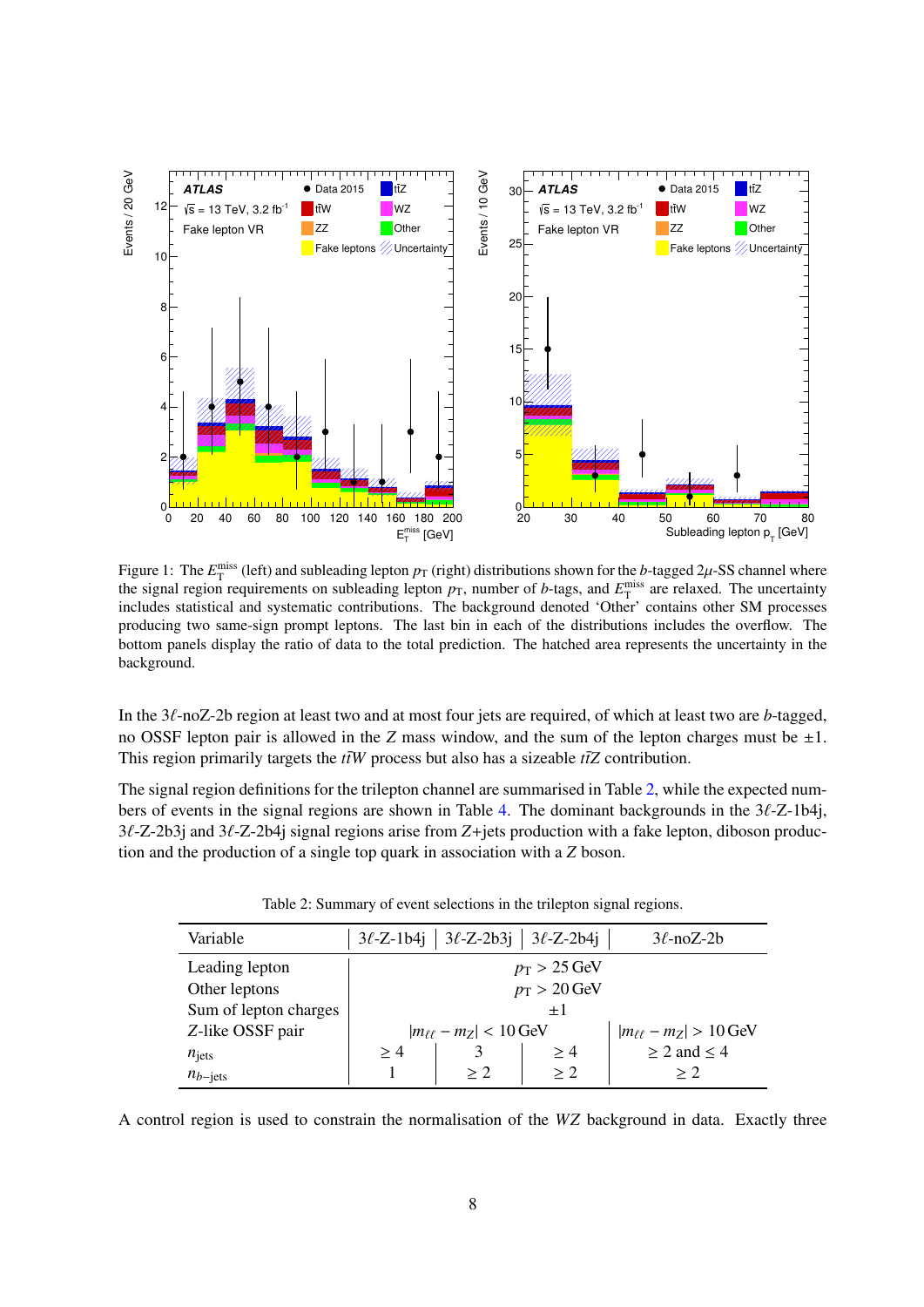<span id="page-8-0"></span>

Figure 1: The  $E_T^{\text{miss}}$  (left) and subleading lepton  $p_T$  (right) distributions shown for the *b*-tagged  $2\mu$ -SS channel where the signal region requirements on subleading lepton  $p_T$ , number of *b*-tags, and  $E_T^{\text{miss}}$  are relaxed. The uncertainty includes statistical and systematic contributions. The background denoted 'Other' contains other SM processes producing two same-sign prompt leptons. The last bin in each of the distributions includes the overflow. The bottom panels display the ratio of data to the total prediction. The hatched area represents the uncertainty in the background.

In the 3ℓ-noZ-2b region at least two and at most four jets are required, of which at least two are *b*-tagged, no OSSF lepton pair is allowed in the *Z* mass window, and the sum of the lepton charges must be  $\pm 1$ . This region primarily targets the  $t\bar{t}W$  process but also has a sizeable  $t\bar{t}Z$  contribution.

The signal region definitions for the trilepton channel are summarised in Table [2,](#page-7-1) while the expected numbers of events in the signal regions are shown in Table [4.](#page-12-0) The dominant backgrounds in the 3ℓ-Z-1b4j, 3ℓ-Z-2b3j and 3ℓ-Z-2b4j signal regions arise from *Z*+jets production with a fake lepton, diboson production and the production of a single top quark in association with a *Z* boson.

| Variable              |                                                                    | $3\ell$ -Z-1b4j   $3\ell$ -Z-2b3j   $3\ell$ -Z-2b4j |     | $3\ell$ -noZ-2b       |  |  |
|-----------------------|--------------------------------------------------------------------|-----------------------------------------------------|-----|-----------------------|--|--|
| Leading lepton        | $p_{\rm T} > 25 \,\text{GeV}$                                      |                                                     |     |                       |  |  |
| Other leptons         | $p_T > 20$ GeV                                                     |                                                     |     |                       |  |  |
| Sum of lepton charges | $+1$                                                               |                                                     |     |                       |  |  |
| Z-like OSSF pair      | $ m_{\ell\ell} - m_Z  < 10$ GeV<br>$ m_{\ell\ell} - m_Z  > 10$ GeV |                                                     |     |                       |  |  |
| $n_{\text{jets}}$     | >4                                                                 |                                                     | >4  | $\geq 2$ and $\leq 4$ |  |  |
| $n_{b-{\rm jets}}$    |                                                                    | > 2                                                 | > 2 | > 2                   |  |  |

| Table 2: Summary of event selections in the trilepton signal regions. |  |  |  |
|-----------------------------------------------------------------------|--|--|--|

A control region is used to constrain the normalisation of the *WZ* background in data. Exactly three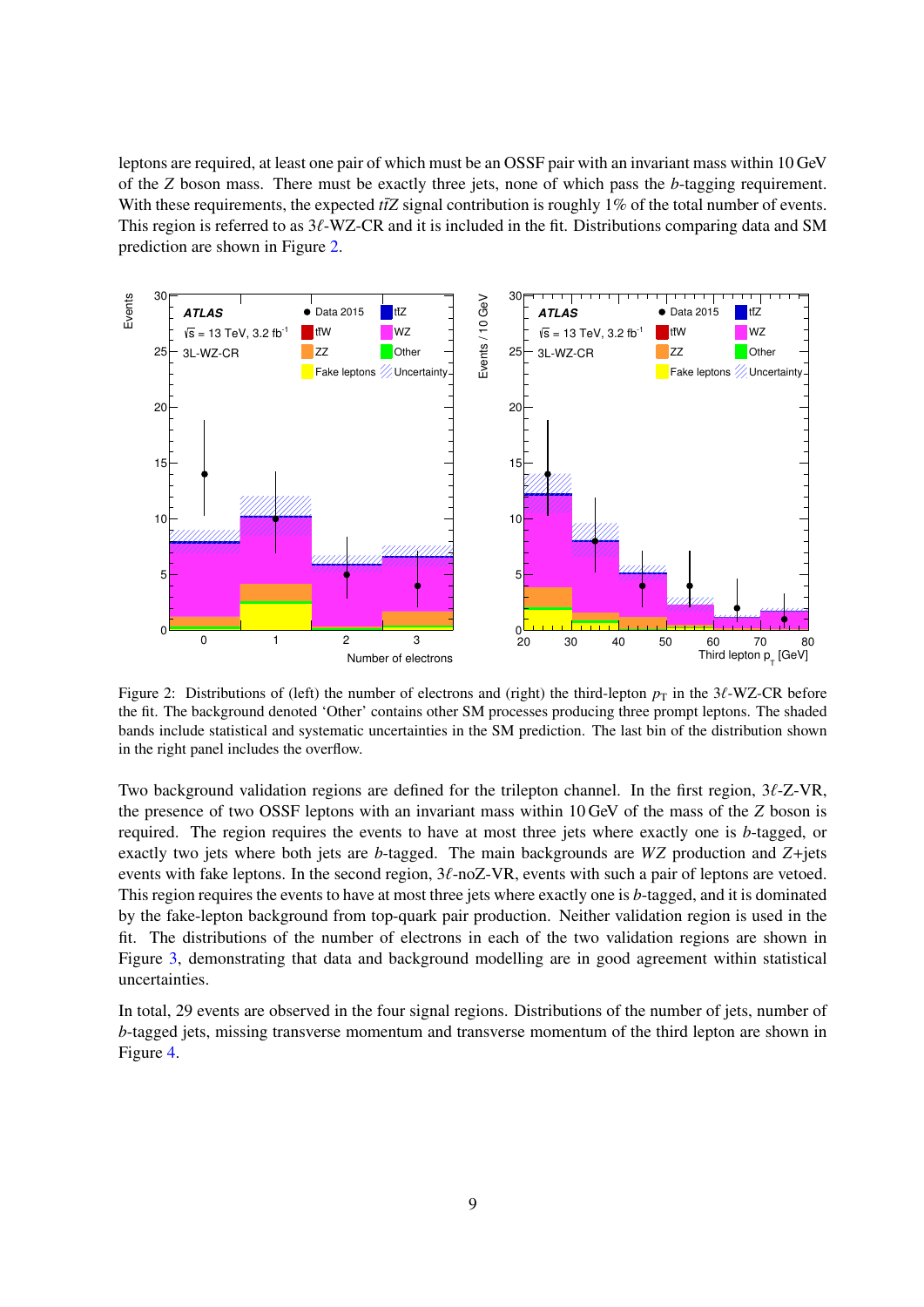<span id="page-9-0"></span>leptons are required, at least one pair of which must be an OSSF pair with an invariant mass within 10 GeV of the *Z* boson mass. There must be exactly three jets, none of which pass the *b*-tagging requirement. With these requirements, the expected  $t\bar{t}Z$  signal contribution is roughly 1% of the total number of events. This region is referred to as  $3\ell$ -WZ-CR and it is included in the fit. Distributions comparing data and SM prediction are shown in Figure [2.](#page-8-0)



Figure 2: Distributions of (left) the number of electrons and (right) the third-lepton  $p<sub>T</sub>$  in the 3 $\ell$ -WZ-CR before the fit. The background denoted 'Other' contains other SM processes producing three prompt leptons. The shaded bands include statistical and systematic uncertainties in the SM prediction. The last bin of the distribution shown in the right panel includes the overflow.

Two background validation regions are defined for the trilepton channel. In the first region, 3ℓ-Z-VR, the presence of two OSSF leptons with an invariant mass within 10 GeV of the mass of the *Z* boson is required. The region requires the events to have at most three jets where exactly one is *b*-tagged, or exactly two jets where both jets are *b*-tagged. The main backgrounds are *WZ* production and *Z*+jets events with fake leptons. In the second region,  $3\ell$ -noZ-VR, events with such a pair of leptons are vetoed. This region requires the events to have at most three jets where exactly one is *b*-tagged, and it is dominated by the fake-lepton background from top-quark pair production. Neither validation region is used in the fit. The distributions of the number of electrons in each of the two validation regions are shown in Figure [3,](#page-9-0) demonstrating that data and background modelling are in good agreement within statistical uncertainties.

In total, 29 events are observed in the four signal regions. Distributions of the number of jets, number of *b*-tagged jets, missing transverse momentum and transverse momentum of the third lepton are shown in Figure [4.](#page-10-0)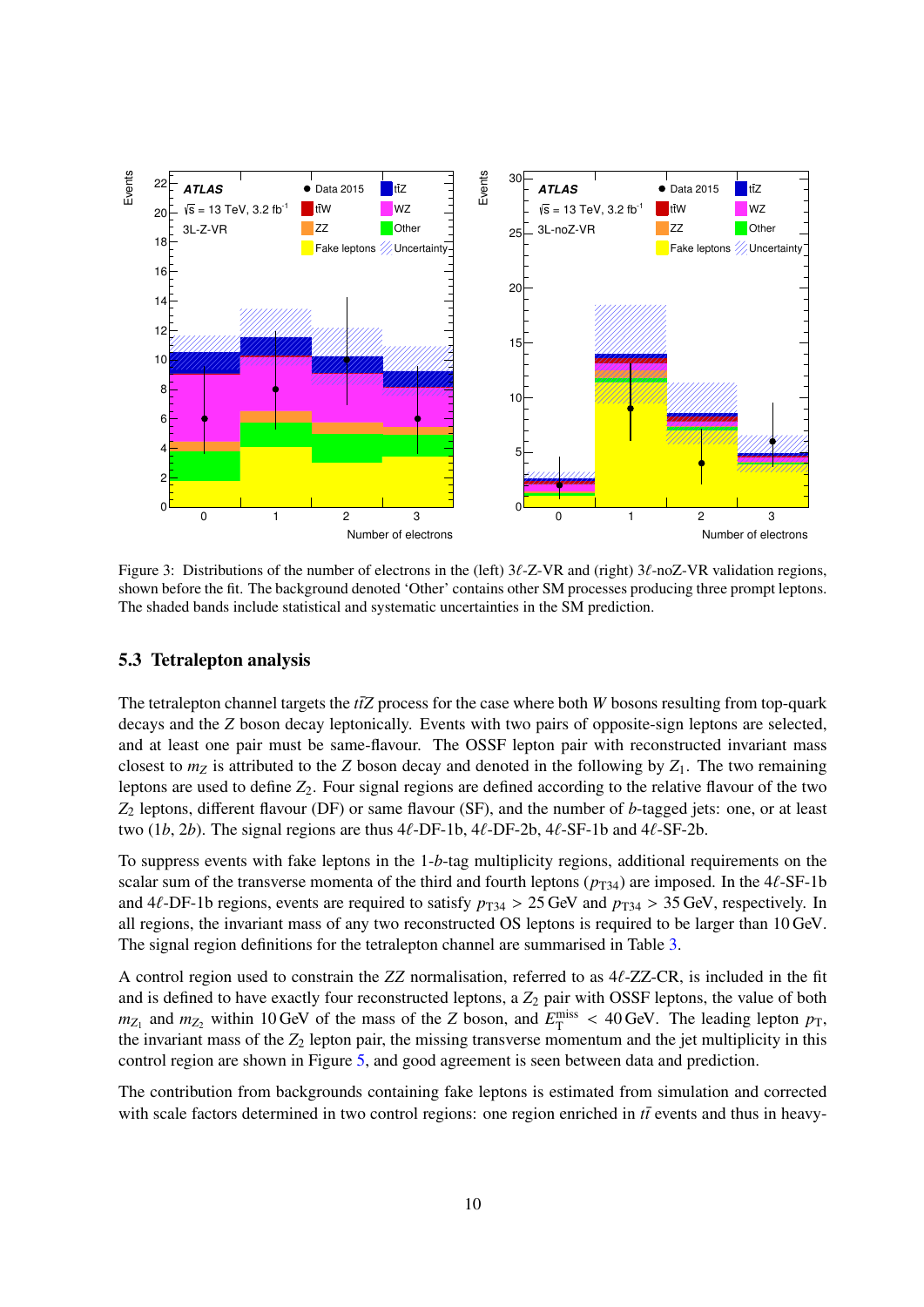<span id="page-10-0"></span>

Figure 3: Distributions of the number of electrons in the (left)  $3\ell$ -Z-VR and (right)  $3\ell$ -noZ-VR validation regions, shown before the fit. The background denoted 'Other' contains other SM processes producing three prompt leptons. The shaded bands include statistical and systematic uncertainties in the SM prediction.

#### 5.3 Tetralepton analysis

The tetralepton channel targets the  $t\bar{t}Z$  process for the case where both *W* bosons resulting from top-quark decays and the *Z* boson decay leptonically. Events with two pairs of opposite-sign leptons are selected, and at least one pair must be same-flavour. The OSSF lepton pair with reconstructed invariant mass closest to  $m_Z$  is attributed to the *Z* boson decay and denoted in the following by  $Z_1$ . The two remaining leptons are used to define  $Z_2$ . Four signal regions are defined according to the relative flavour of the two *Z*<sup>2</sup> leptons, different flavour (DF) or same flavour (SF), and the number of *b*-tagged jets: one, or at least two  $(1b, 2b)$ . The signal regions are thus  $4\ell$ -DF-1b,  $4\ell$ -DF-2b,  $4\ell$ -SF-1b and  $4\ell$ -SF-2b.

To suppress events with fake leptons in the 1-*b*-tag multiplicity regions, additional requirements on the scalar sum of the transverse momenta of the third and fourth leptons  $(p_{T34})$  are imposed. In the 4 $\ell$ -SF-1b and 4 $\ell$ -DF-1b regions, events are required to satisfy  $p_{T34} > 25$  GeV and  $p_{T34} > 35$  GeV, respectively. In all regions, the invariant mass of any two reconstructed OS leptons is required to be larger than 10 GeV. The signal region definitions for the tetralepton channel are summarised in Table [3.](#page-12-1)

A control region used to constrain the *ZZ* normalisation, referred to as 4ℓ-ZZ-CR, is included in the fit and is defined to have exactly four reconstructed leptons, a  $Z_2$  pair with OSSF leptons, the value of both  $m_{Z_1}$  and  $m_{Z_2}$  within 10 GeV of the mass of the *Z* boson, and  $E_T^{\text{miss}} < 40$  GeV. The leading lepton  $p_T$ , the invariant mass of the  $Z_2$  lepton pair, the missing transverse momentum and the jet multiplicity in this control region are shown in Figure [5,](#page-11-0) and good agreement is seen between data and prediction.

The contribution from backgrounds containing fake leptons is estimated from simulation and corrected with scale factors determined in two control regions: one region enriched in *tt*<sup> $\bar{t}$ </sup> events and thus in heavy-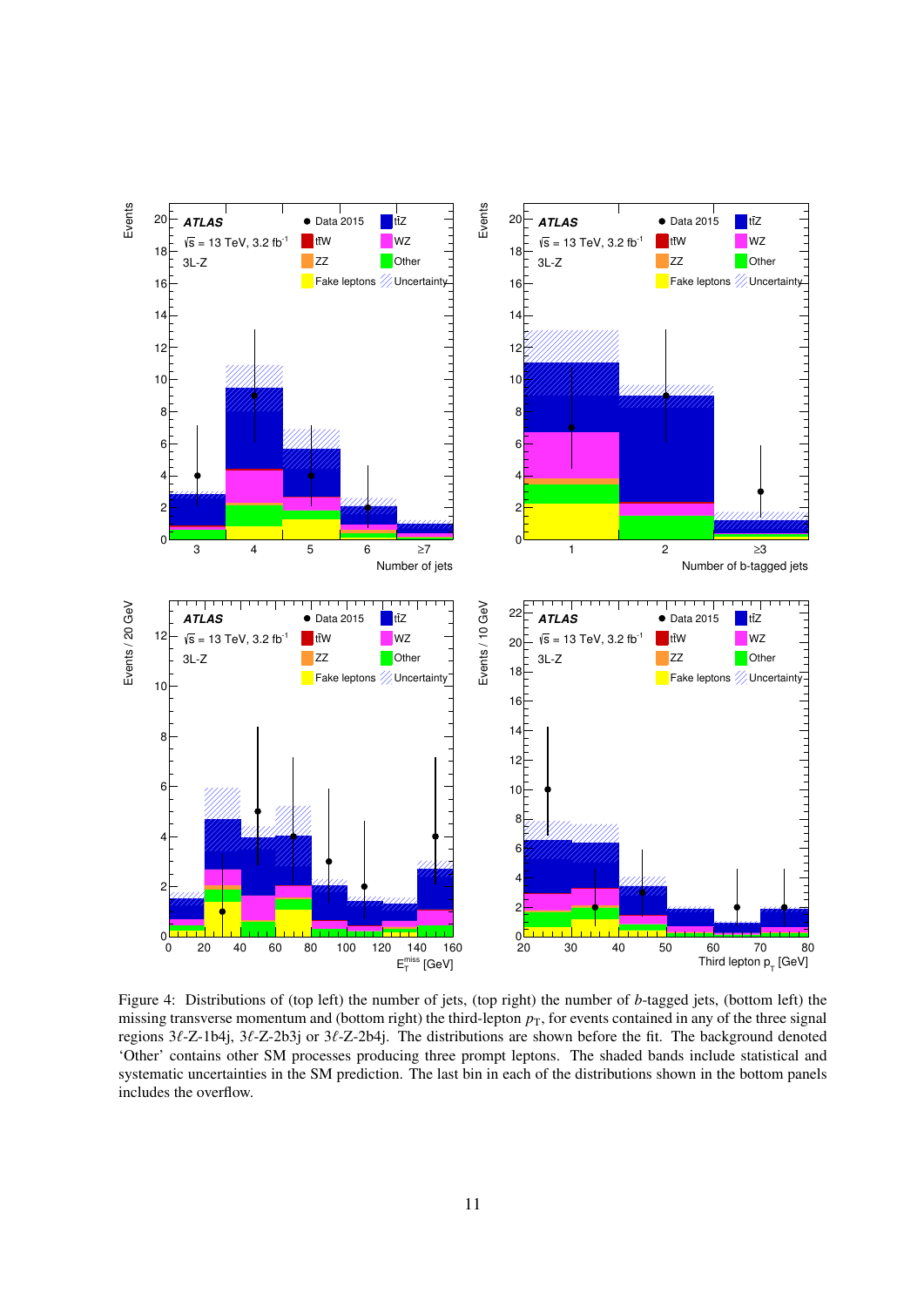<span id="page-11-0"></span>

Figure 4: Distributions of (top left) the number of jets, (top right) the number of *b*-tagged jets, (bottom left) the missing transverse momentum and (bottom right) the third-lepton  $p<sub>T</sub>$ , for events contained in any of the three signal regions 3ℓ-Z-1b4j, 3ℓ-Z-2b3j or 3ℓ-Z-2b4j. The distributions are shown before the fit. The background denoted 'Other' contains other SM processes producing three prompt leptons. The shaded bands include statistical and systematic uncertainties in the SM prediction. The last bin in each of the distributions shown in the bottom panels includes the overflow.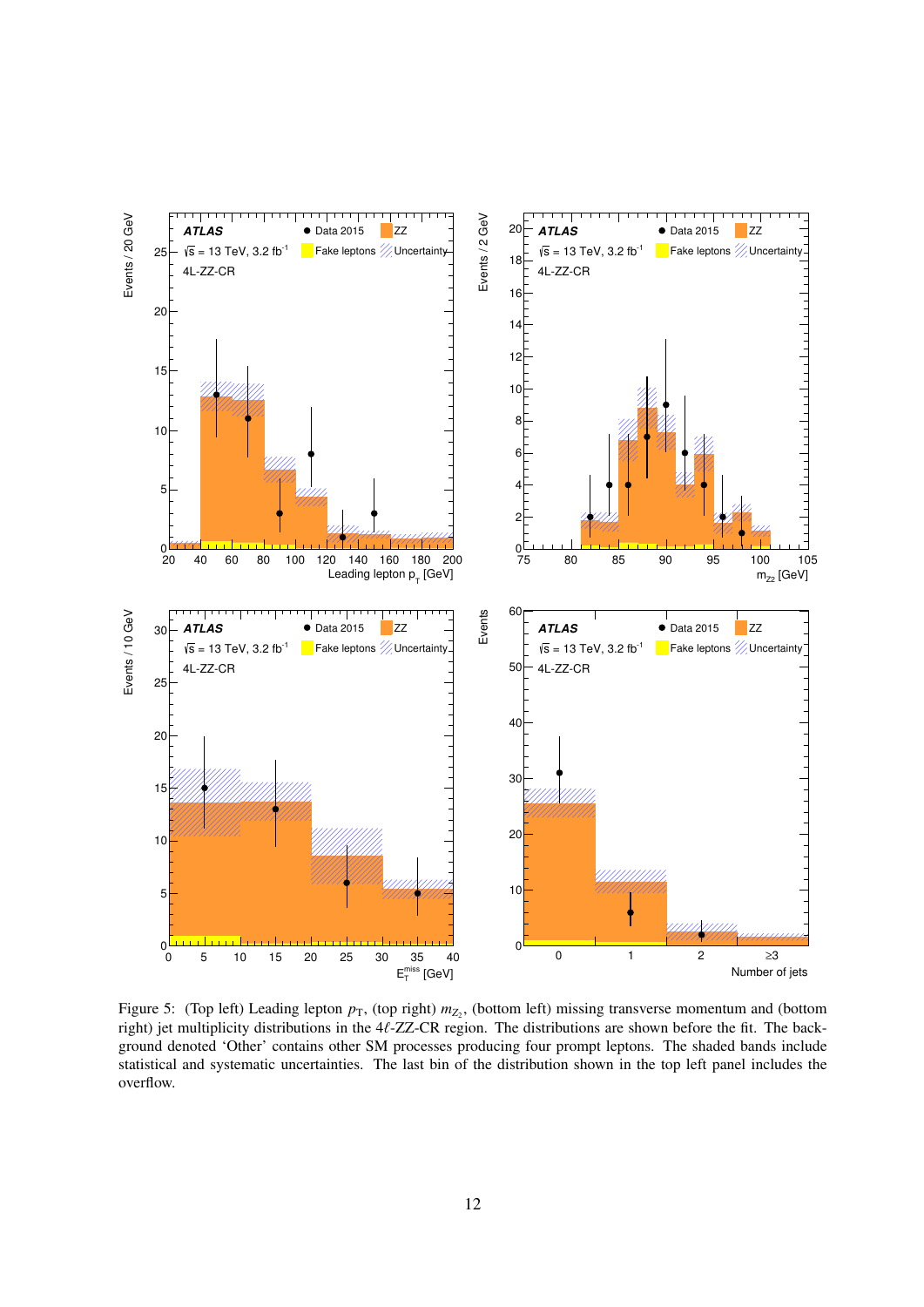<span id="page-12-1"></span>

<span id="page-12-0"></span>Figure 5: (Top left) Leading lepton  $p_T$ , (top right)  $m_{Z_2}$ , (bottom left) missing transverse momentum and (bottom right) jet multiplicity distributions in the 4ℓ-ZZ-CR region. The distributions are shown before the fit. The background denoted 'Other' contains other SM processes producing four prompt leptons. The shaded bands include statistical and systematic uncertainties. The last bin of the distribution shown in the top left panel includes the overflow.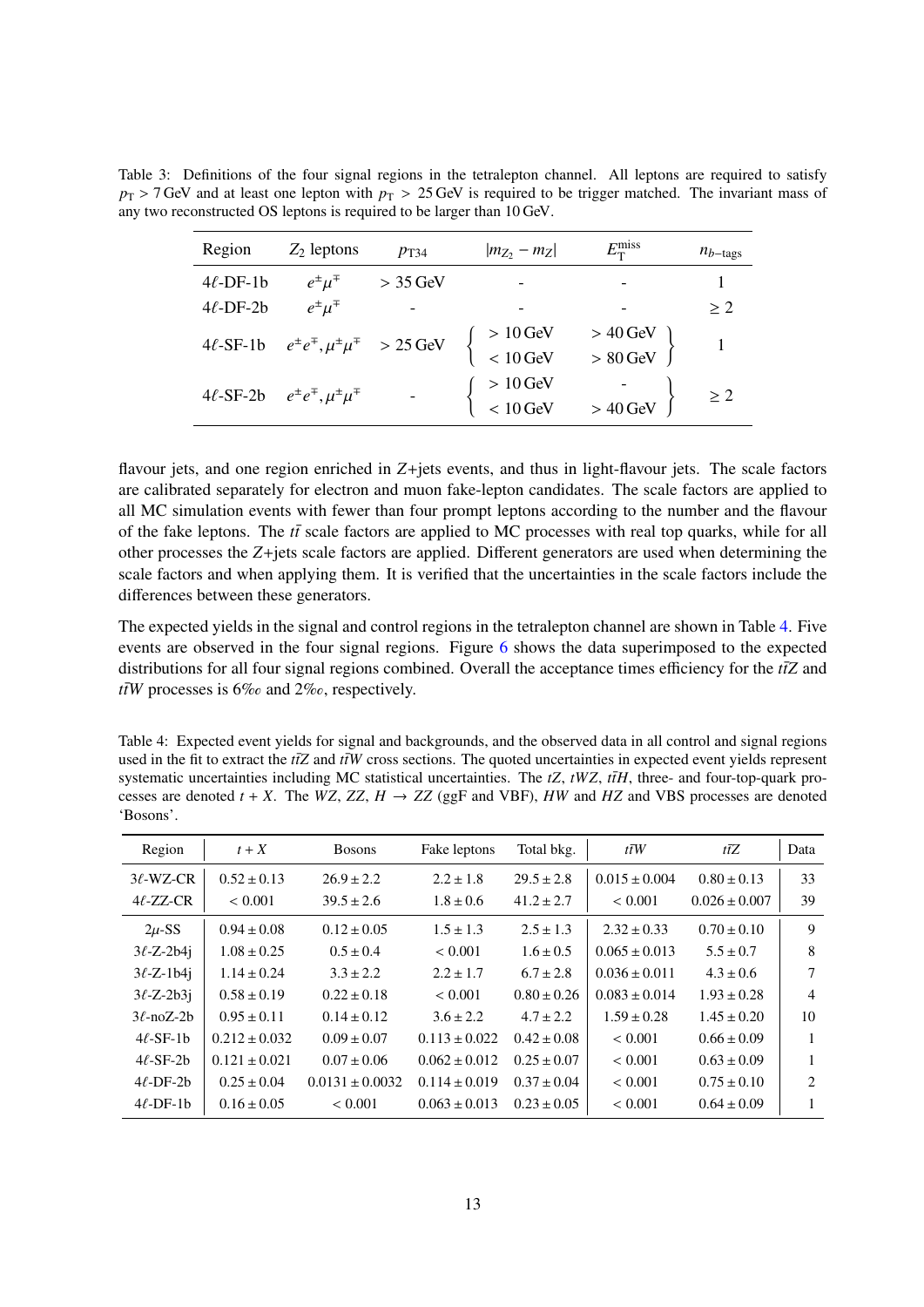| Region         | $Z_2$ leptons                                             | $p_{T34}$       | $ m_{Z_2} - m_Z $                                                 | $E_{\rm T}^{\rm miss}$ | $n_{b-\text{tags}}$ |
|----------------|-----------------------------------------------------------|-----------------|-------------------------------------------------------------------|------------------------|---------------------|
| $4\ell$ -DF-1b | $e^{\pm} \mu^{\mp}$                                       | $>$ 35 GeV      |                                                                   |                        |                     |
| $4\ell$ -DF-2b | $e^{\pm} \mu^{\mp}$                                       |                 |                                                                   |                        | > 2                 |
| $4\ell$ -SF-1b | $e^{\pm}e^{\mp}$ , $\mu^{\pm}\mu^{\mp} > 25 \,\text{GeV}$ |                 | $\begin{cases}\n>10 \text{ GeV} \\ < 10 \text{ GeV}\n\end{cases}$ | $>$ 40 GeV             |                     |
|                |                                                           |                 |                                                                   | $> 80$ GeV             |                     |
| $4\ell$ -SF-2b | $e^{\pm}e^{\mp}$ , $\mu^{\pm}\mu^{\mp}$                   | $\sim 10^{-10}$ | $>10\,\mbox{GeV}$ < $10\,\mbox{GeV}$                              |                        | $\geq 2$            |
|                |                                                           |                 |                                                                   | $>40\,\mathrm{GeV}$    |                     |

<span id="page-13-0"></span>Table 3: Definitions of the four signal regions in the tetralepton channel. All leptons are required to satisfy  $p_T$  > 7 GeV and at least one lepton with  $p_T$  > 25 GeV is required to be trigger matched. The invariant mass of any two reconstructed OS leptons is required to be larger than 10 GeV.

flavour jets, and one region enriched in *Z*+jets events, and thus in light-flavour jets. The scale factors are calibrated separately for electron and muon fake-lepton candidates. The scale factors are applied to all MC simulation events with fewer than four prompt leptons according to the number and the flavour of the fake leptons. The  $t\bar{t}$  scale factors are applied to MC processes with real top quarks, while for all other processes the *Z*+jets scale factors are applied. Different generators are used when determining the scale factors and when applying them. It is verified that the uncertainties in the scale factors include the differences between these generators.

The expected yields in the signal and control regions in the tetralepton channel are shown in Table [4.](#page-12-0) Five events are observed in the four signal regions. Figure [6](#page-13-0) shows the data superimposed to the expected distributions for all four signal regions combined. Overall the acceptance times efficiency for the  $t\bar{t}Z$  and  $t\bar{t}W$  processes is 6% and 2%, respectively.

Table 4: Expected event yields for signal and backgrounds, and the observed data in all control and signal regions used in the fit to extract the  $t\bar{t}Z$  and  $t\bar{t}W$  cross sections. The quoted uncertainties in expected event yields represent systematic uncertainties including MC statistical uncertainties. The  $tZ$ ,  $tWZ$ ,  $t\bar{t}H$ , three- and four-top-quark processes are denoted  $t + X$ . The *WZ*, *ZZ*,  $H \rightarrow ZZ$  (ggF and VBF), *HW* and *HZ* and VBS processes are denoted 'Bosons'.

| Region          | $t+X$             | <b>Bosons</b>       | Fake leptons      | Total bkg.      | $t\bar{t}W$       | $t\overline{t}Z$  | Data           |
|-----------------|-------------------|---------------------|-------------------|-----------------|-------------------|-------------------|----------------|
| $3\ell$ -WZ-CR  | $0.52 \pm 0.13$   | $26.9 \pm 2.2$      | $2.2 \pm 1.8$     | $29.5 \pm 2.8$  | $0.015 \pm 0.004$ | $0.80 \pm 0.13$   | 33             |
| $4\ell$ -ZZ-CR  | ${}< 0.001$       | $39.5 \pm 2.6$      | $1.8 \pm 0.6$     | $41.2 \pm 2.7$  | ${}< 0.001$       | $0.026 \pm 0.007$ | 39             |
| $2\mu$ -SS      | $0.94 \pm 0.08$   | $0.12 \pm 0.05$     | $1.5 \pm 1.3$     | $2.5 \pm 1.3$   | $2.32 \pm 0.33$   | $0.70 \pm 0.10$   | 9              |
| $3\ell$ -Z-2b4j | $1.08 \pm 0.25$   | $0.5 \pm 0.4$       | ${}< 0.001$       | $1.6 \pm 0.5$   | $0.065 \pm 0.013$ | $5.5 \pm 0.7$     | 8              |
| $3\ell$ -Z-1b4j | $1.14 \pm 0.24$   | $3.3 \pm 2.2$       | $2.2 \pm 1.7$     | $6.7 \pm 2.8$   | $0.036 \pm 0.011$ | $4.3 \pm 0.6$     | 7              |
| $3\ell$ -Z-2b3i | $0.58 \pm 0.19$   | $0.22 \pm 0.18$     | < 0.001           | $0.80 \pm 0.26$ | $0.083 \pm 0.014$ | $1.93 \pm 0.28$   | $\overline{4}$ |
| $3\ell$ -noZ-2b | $0.95 \pm 0.11$   | $0.14 \pm 0.12$     | $3.6 \pm 2.2$     | $4.7 \pm 2.2$   | $1.59 \pm 0.28$   | $1.45 \pm 0.20$   | 10             |
| $4\ell$ -SF-1b  | $0.212 \pm 0.032$ | $0.09 \pm 0.07$     | $0.113 \pm 0.022$ | $0.42 \pm 0.08$ | < 0.001           | $0.66 \pm 0.09$   | 1              |
| $4\ell$ -SF-2b  | $0.121 \pm 0.021$ | $0.07 \pm 0.06$     | $0.062 \pm 0.012$ | $0.25 \pm 0.07$ | < 0.001           | $0.63 \pm 0.09$   | 1              |
| $4\ell$ -DF-2b  | $0.25 \pm 0.04$   | $0.0131 \pm 0.0032$ | $0.114 \pm 0.019$ | $0.37 \pm 0.04$ | < 0.001           | $0.75 \pm 0.10$   | 2              |
| $4\ell$ -DF-1b  | $0.16 \pm 0.05$   | < 0.001             | $0.063 \pm 0.013$ | $0.23 \pm 0.05$ | ${}< 0.001$       | $0.64 \pm 0.09$   |                |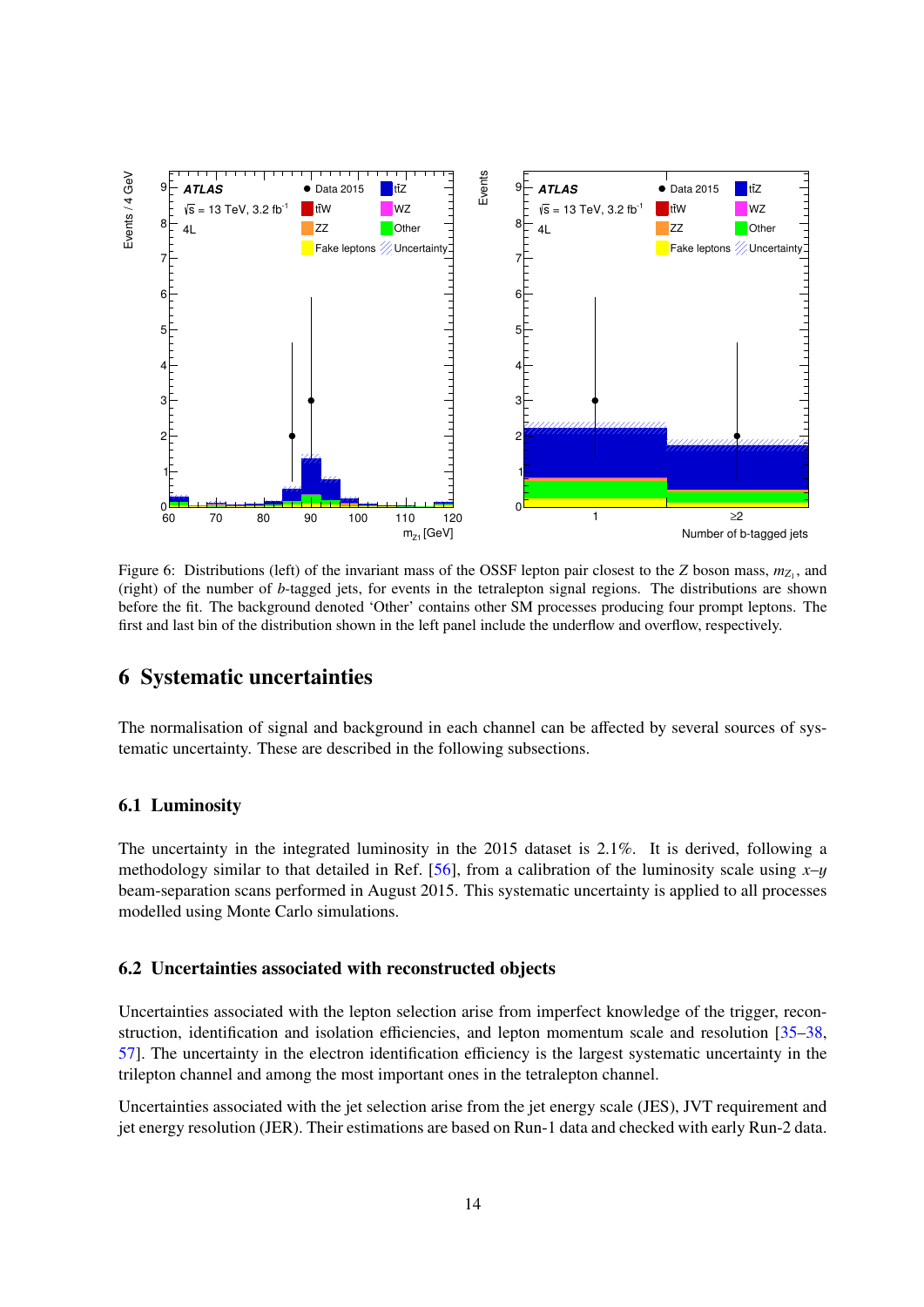

Figure 6: Distributions (left) of the invariant mass of the OSSF lepton pair closest to the *Z* boson mass,  $m_{Z_1}$ , and (right) of the number of *b*-tagged jets, for events in the tetralepton signal regions. The distributions are shown before the fit. The background denoted 'Other' contains other SM processes producing four prompt leptons. The first and last bin of the distribution shown in the left panel include the underflow and overflow, respectively.

## 6 Systematic uncertainties

The normalisation of signal and background in each channel can be affected by several sources of systematic uncertainty. These are described in the following subsections.

#### 6.1 Luminosity

The uncertainty in the integrated luminosity in the 2015 dataset is 2.1%. It is derived, following a methodology similar to that detailed in Ref. [\[56\]](#page-22-8), from a calibration of the luminosity scale using *x*–y beam-separation scans performed in August 2015. This systematic uncertainty is applied to all processes modelled using Monte Carlo simulations.

#### 6.2 Uncertainties associated with reconstructed objects

Uncertainties associated with the lepton selection arise from imperfect knowledge of the trigger, reconstruction, identification and isolation efficiencies, and lepton momentum scale and resolution [\[35](#page-21-3)[–38,](#page-21-6) [57\]](#page-22-9). The uncertainty in the electron identification efficiency is the largest systematic uncertainty in the trilepton channel and among the most important ones in the tetralepton channel.

Uncertainties associated with the jet selection arise from the jet energy scale (JES), JVT requirement and jet energy resolution (JER). Their estimations are based on Run-1 data and checked with early Run-2 data.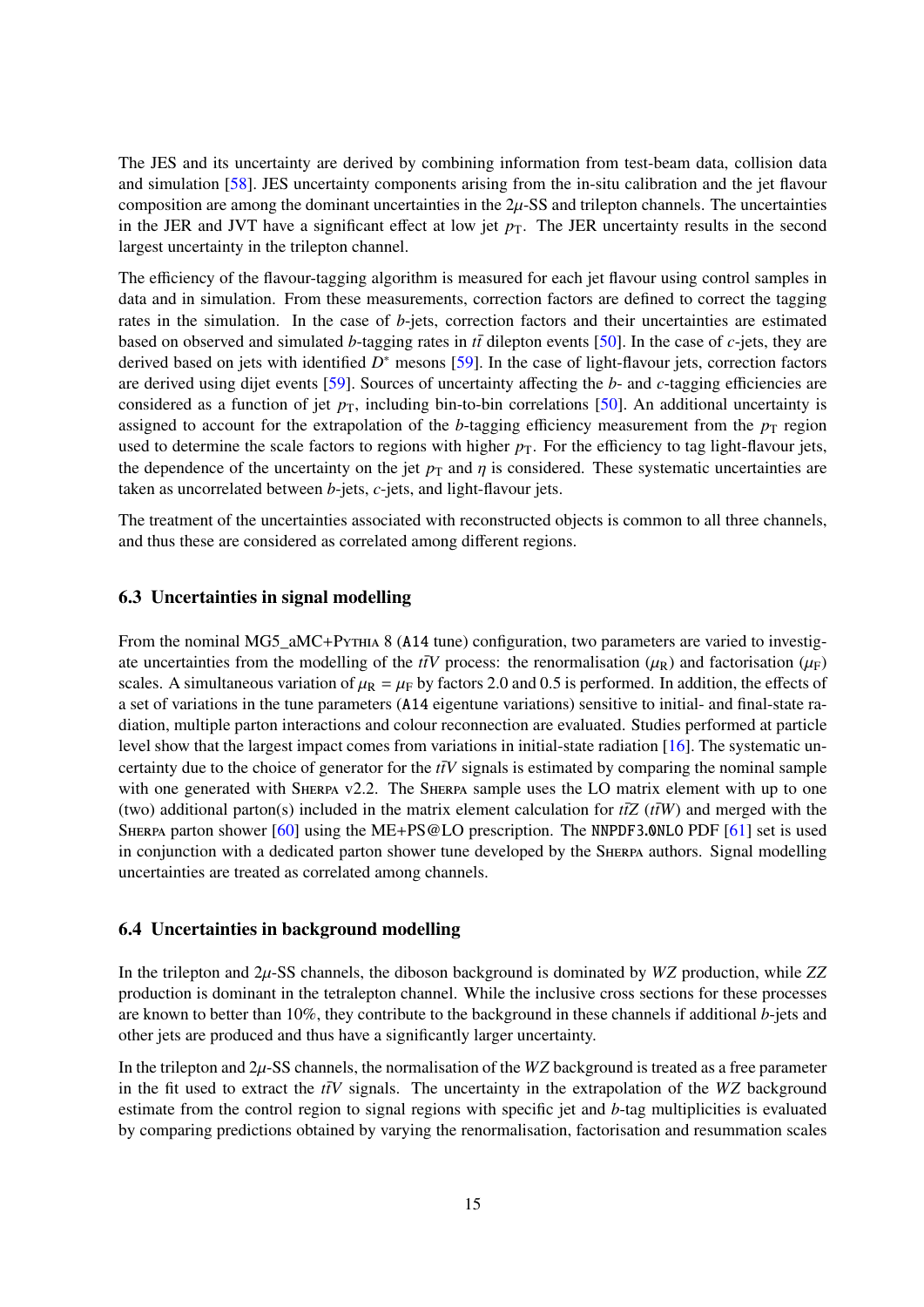The JES and its uncertainty are derived by combining information from test-beam data, collision data and simulation [\[58\]](#page-22-10). JES uncertainty components arising from the in-situ calibration and the jet flavour composition are among the dominant uncertainties in the  $2\mu$ -SS and trilepton channels. The uncertainties in the JER and JVT have a significant effect at low jet  $p<sub>T</sub>$ . The JER uncertainty results in the second largest uncertainty in the trilepton channel.

The efficiency of the flavour-tagging algorithm is measured for each jet flavour using control samples in data and in simulation. From these measurements, correction factors are defined to correct the tagging rates in the simulation. In the case of *b*-jets, correction factors and their uncertainties are estimated based on observed and simulated *b*-tagging rates in  $t\bar{t}$  dilepton events [\[50\]](#page-22-2). In the case of *c*-jets, they are derived based on jets with identified *D*<sup>∗</sup> mesons [\[59\]](#page-22-11). In the case of light-flavour jets, correction factors are derived using dijet events [\[59\]](#page-22-11). Sources of uncertainty affecting the *b*- and *c*-tagging efficiencies are considered as a function of jet  $p<sub>T</sub>$ , including bin-to-bin correlations [\[50\]](#page-22-2). An additional uncertainty is assigned to account for the extrapolation of the *b*-tagging efficiency measurement from the  $p<sub>T</sub>$  region used to determine the scale factors to regions with higher  $p<sub>T</sub>$ . For the efficiency to tag light-flavour jets, the dependence of the uncertainty on the jet  $p<sub>T</sub>$  and  $\eta$  is considered. These systematic uncertainties are taken as uncorrelated between *b*-jets, *c*-jets, and light-flavour jets.

The treatment of the uncertainties associated with reconstructed objects is common to all three channels, and thus these are considered as correlated among different regions.

#### 6.3 Uncertainties in signal modelling

From the nominal MG5\_aMC+Pythia 8 (A14 tune) configuration, two parameters are varied to investigate uncertainties from the modelling of the *t*tV process: the renormalisation ( $\mu_R$ ) and factorisation ( $\mu_F$ ) scales. A simultaneous variation of  $\mu_R = \mu_F$  by factors 2.0 and 0.5 is performed. In addition, the effects of a set of variations in the tune parameters (A14 eigentune variations) sensitive to initial- and final-state radiation, multiple parton interactions and colour reconnection are evaluated. Studies performed at particle level show that the largest impact comes from variations in initial-state radiation [\[16\]](#page-20-2). The systematic uncertainty due to the choice of generator for the  $t\bar{t}V$  signals is estimated by comparing the nominal sample with one generated with SHERPA v2.2. The SHERPA sample uses the LO matrix element with up to one (two) additional parton(s) included in the matrix element calculation for  $t\bar{t}Z(t\bar{t}W)$  and merged with the SHERPA parton shower  $[60]$  using the ME+PS@LO prescription. The NNPDF3.0NLO PDF  $[61]$  set is used in conjunction with a dedicated parton shower tune developed by the SHERPA authors. Signal modelling uncertainties are treated as correlated among channels.

#### 6.4 Uncertainties in background modelling

In the trilepton and 2µ-SS channels, the diboson background is dominated by *WZ* production, while *ZZ* production is dominant in the tetralepton channel. While the inclusive cross sections for these processes are known to better than 10%, they contribute to the background in these channels if additional *b*-jets and other jets are produced and thus have a significantly larger uncertainty.

In the trilepton and 2µ-SS channels, the normalisation of the *WZ* background is treated as a free parameter in the fit used to extract the  $t\bar{t}V$  signals. The uncertainty in the extrapolation of the *WZ* background estimate from the control region to signal regions with specific jet and *b*-tag multiplicities is evaluated by comparing predictions obtained by varying the renormalisation, factorisation and resummation scales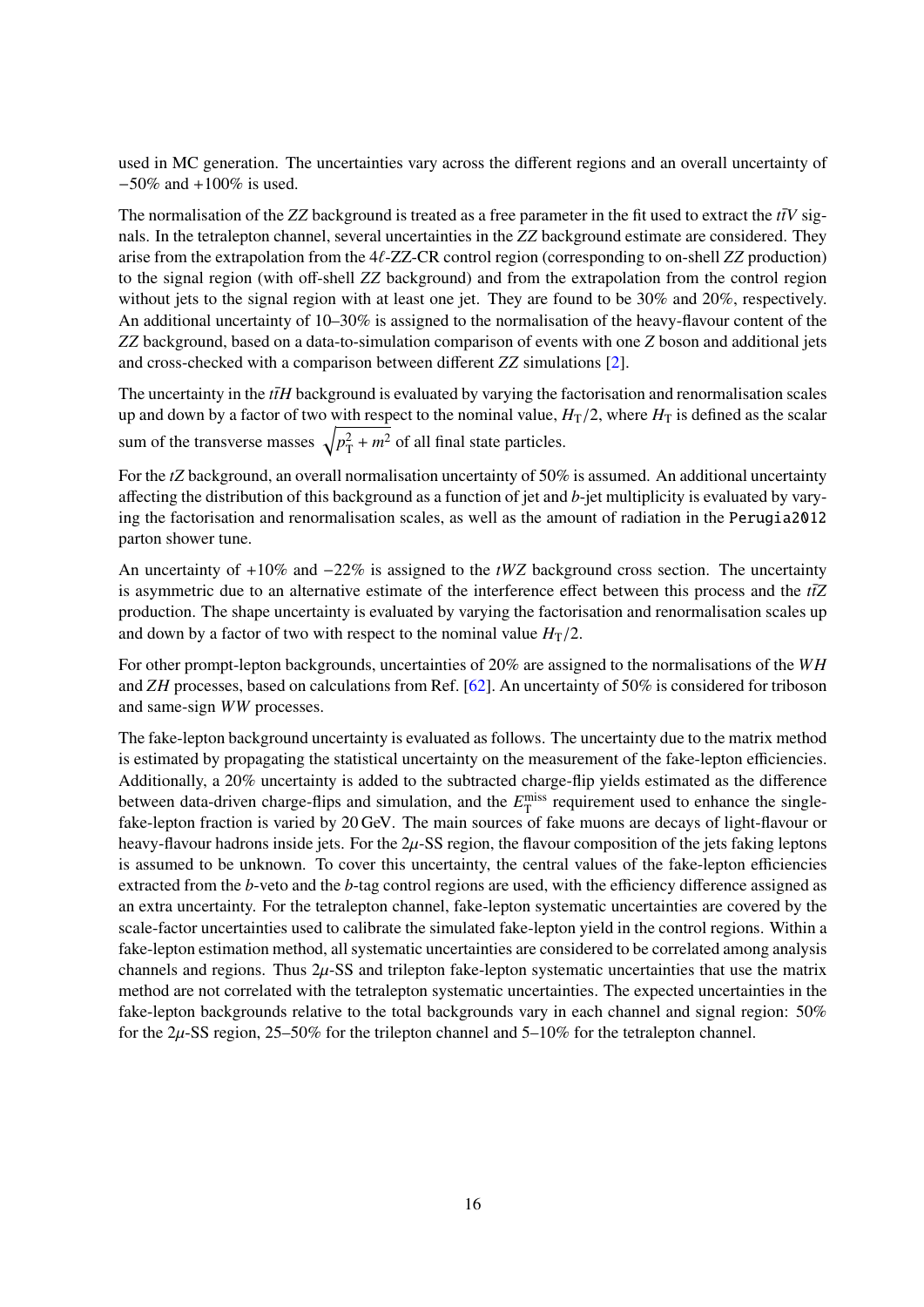used in MC generation. The uncertainties vary across the different regions and an overall uncertainty of −50% and +100% is used.

The normalisation of the *ZZ* background is treated as a free parameter in the fit used to extract the  $t\bar{t}V$  signals. In the tetralepton channel, several uncertainties in the *ZZ* background estimate are considered. They arise from the extrapolation from the 4ℓ-ZZ-CR control region (corresponding to on-shell *ZZ* production) to the signal region (with off-shell *ZZ* background) and from the extrapolation from the control region without jets to the signal region with at least one jet. They are found to be 30% and 20%, respectively. An additional uncertainty of 10–30% is assigned to the normalisation of the heavy-flavour content of the *ZZ* background, based on a data-to-simulation comparison of events with one *Z* boson and additional jets and cross-checked with a comparison between different *ZZ* simulations [\[2\]](#page-19-1).

The uncertainty in the  $t\bar{t}H$  background is evaluated by varying the factorisation and renormalisation scales up and down by a factor of two with respect to the nominal value,  $H_T/2$ , where  $H_T$  is defined as the scalar sum of the transverse masses  $\sqrt{p_{\rm T}^2 + m^2}$  of all final state particles.

<span id="page-16-0"></span>For the *tZ* background, an overall normalisation uncertainty of 50% is assumed. An additional uncertainty affecting the distribution of this background as a function of jet and *b*-jet multiplicity is evaluated by varying the factorisation and renormalisation scales, as well as the amount of radiation in the Perugia2012 parton shower tune.

An uncertainty of +10% and −22% is assigned to the *tWZ* background cross section. The uncertainty is asymmetric due to an alternative estimate of the interference effect between this process and the *tt*Z production. The shape uncertainty is evaluated by varying the factorisation and renormalisation scales up and down by a factor of two with respect to the nominal value  $H_T/2$ .

For other prompt-lepton backgrounds, uncertainties of 20% are assigned to the normalisations of the *WH* and *ZH* processes, based on calculations from Ref. [\[62\]](#page-22-14). An uncertainty of 50% is considered for triboson and same-sign *WW* processes.

The fake-lepton background uncertainty is evaluated as follows. The uncertainty due to the matrix method is estimated by propagating the statistical uncertainty on the measurement of the fake-lepton efficiencies. Additionally, a 20% uncertainty is added to the subtracted charge-flip yields estimated as the difference between data-driven charge-flips and simulation, and the  $E_{\text{T}}^{\text{miss}}$  requirement used to enhance the singlefake-lepton fraction is varied by 20 GeV. The main sources of fake muons are decays of light-flavour or heavy-flavour hadrons inside jets. For the  $2\mu$ -SS region, the flavour composition of the jets faking leptons is assumed to be unknown. To cover this uncertainty, the central values of the fake-lepton efficiencies extracted from the *b*-veto and the *b*-tag control regions are used, with the efficiency difference assigned as an extra uncertainty. For the tetralepton channel, fake-lepton systematic uncertainties are covered by the scale-factor uncertainties used to calibrate the simulated fake-lepton yield in the control regions. Within a fake-lepton estimation method, all systematic uncertainties are considered to be correlated among analysis channels and regions. Thus  $2\mu$ -SS and trilepton fake-lepton systematic uncertainties that use the matrix method are not correlated with the tetralepton systematic uncertainties. The expected uncertainties in the fake-lepton backgrounds relative to the total backgrounds vary in each channel and signal region: 50% for the  $2\mu$ -SS region, 25–50% for the trilepton channel and 5–10% for the tetralepton channel.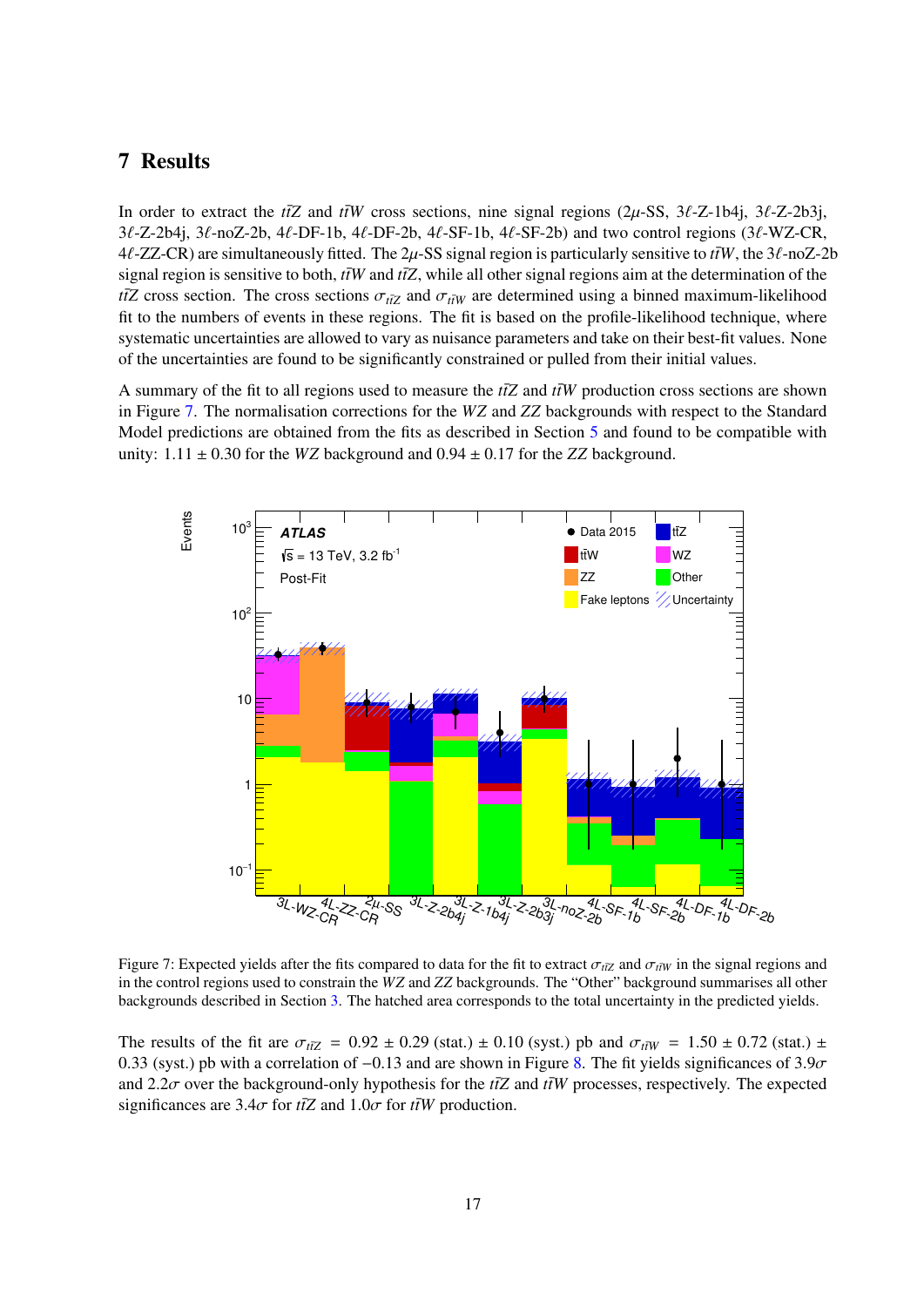## <span id="page-17-0"></span>7 Results

In order to extract the  $t\bar{t}Z$  and  $t\bar{t}W$  cross sections, nine signal regions (2µ-SS, 3 $\ell$ -Z-1b4j, 3 $\ell$ -Z-2b3j, 3ℓ-Z-2b4j, 3ℓ-noZ-2b, 4ℓ-DF-1b, 4ℓ-DF-2b, 4ℓ-SF-1b, 4ℓ-SF-2b) and two control regions (3ℓ-WZ-CR,  $4\ell$ -ZZ-CR) are simultaneously fitted. The 2 $\mu$ -SS signal region is particularly sensitive to  $\ell \bar{t}W$ , the  $3\ell$ -noZ-2b signal region is sensitive to both,  $t\bar{t}W$  and  $t\bar{t}Z$ , while all other signal regions aim at the determination of the *t* $\overline{tZ}$  cross section. The cross sections  $\sigma_{t\overline{tZ}}$  and  $\sigma_{t\overline{tW}}$  are determined using a binned maximum-likelihood fit to the numbers of events in these regions. The fit is based on the profile-likelihood technique, where systematic uncertainties are allowed to vary as nuisance parameters and take on their best-fit values. None of the uncertainties are found to be significantly constrained or pulled from their initial values.

A summary of the fit to all regions used to measure the  $t\bar{t}Z$  and  $t\bar{t}W$  production cross sections are shown in Figure [7.](#page-16-0) The normalisation corrections for the *WZ* and *ZZ* backgrounds with respect to the Standard Model predictions are obtained from the fits as described in Section [5](#page-5-0) and found to be compatible with unity:  $1.11 \pm 0.30$  for the *WZ* background and  $0.94 \pm 0.17$  for the *ZZ* background.



Figure 7: Expected yields after the fits compared to data for the fit to extract  $\sigma_{t\bar{t}Z}$  and  $\sigma_{t\bar{t}W}$  in the signal regions and in the control regions used to constrain the *WZ* and *ZZ* backgrounds. The "Other" background summarises all other backgrounds described in Section [3.](#page-2-2) The hatched area corresponds to the total uncertainty in the predicted yields.

The results of the fit are  $\sigma_{t\bar{t}Z} = 0.92 \pm 0.29$  (stat.)  $\pm$  0.10 (syst.) pb and  $\sigma_{t\bar{t}W} = 1.50 \pm 0.72$  (stat.)  $\pm$ 0.33 (syst.) pb with a correlation of  $-0.13$  and are shown in Figure [8.](#page-17-0) The fit yields significances of 3.9 $\sigma$ and 2.2 $\sigma$  over the background-only hypothesis for the  $t\bar{t}Z$  and  $\bar{t}W$  processes, respectively. The expected significances are  $3.4\sigma$  for  $t\bar{t}Z$  and  $1.0\sigma$  for  $t\bar{t}W$  production.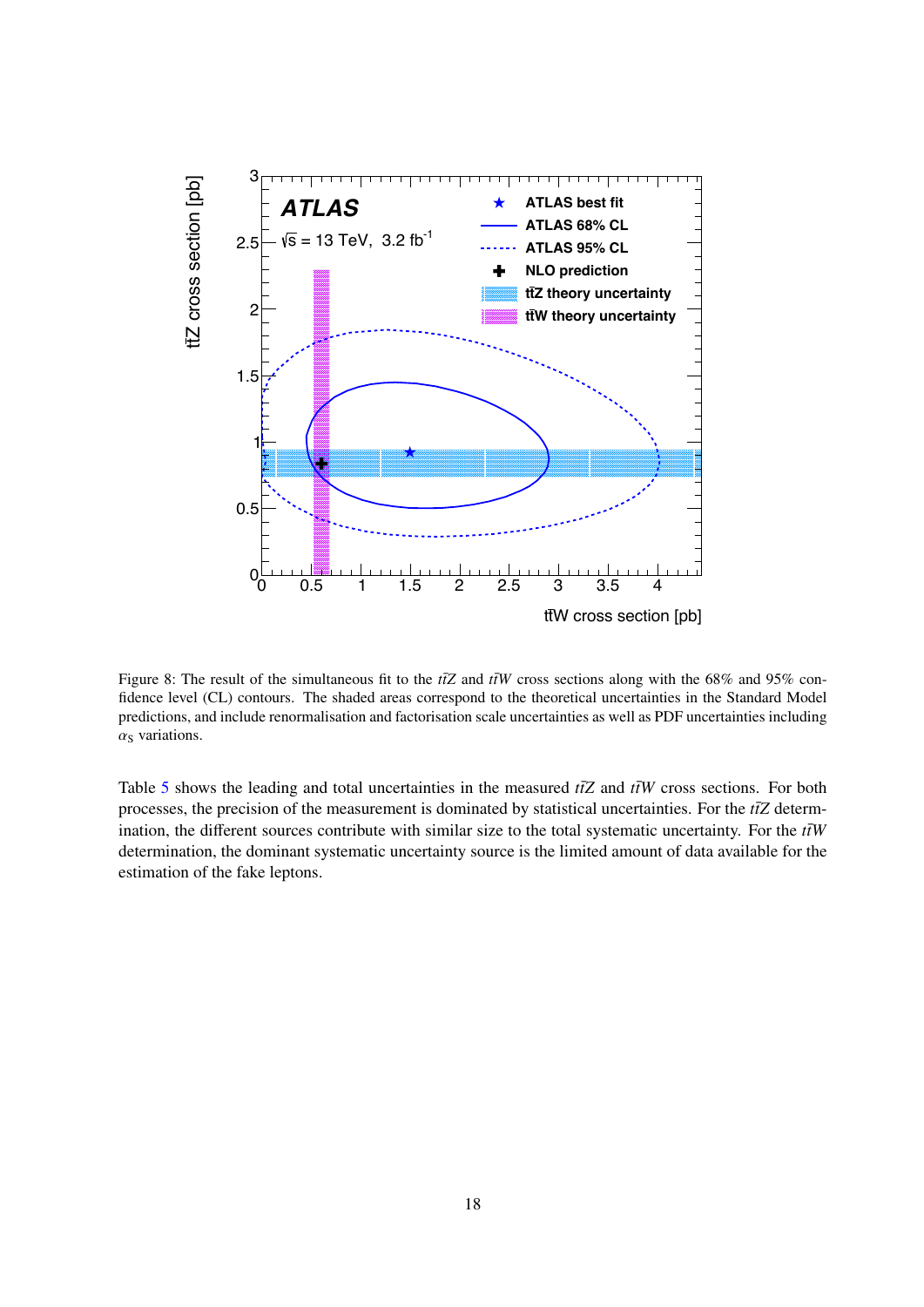<span id="page-18-0"></span>

Figure 8: The result of the simultaneous fit to the  $t\bar{t}Z$  and  $t\bar{t}W$  cross sections along with the 68% and 95% confidence level (CL) contours. The shaded areas correspond to the theoretical uncertainties in the Standard Model predictions, and include renormalisation and factorisation scale uncertainties as well as PDF uncertainties including  $\alpha$ <sub>S</sub> variations.

Table [5](#page-18-0) shows the leading and total uncertainties in the measured  $t\bar{t}Z$  and  $t\bar{t}W$  cross sections. For both processes, the precision of the measurement is dominated by statistical uncertainties. For the  $t\bar{t}Z$  determination, the different sources contribute with similar size to the total systematic uncertainty. For the  $t\bar{t}W$ determination, the dominant systematic uncertainty source is the limited amount of data available for the estimation of the fake leptons.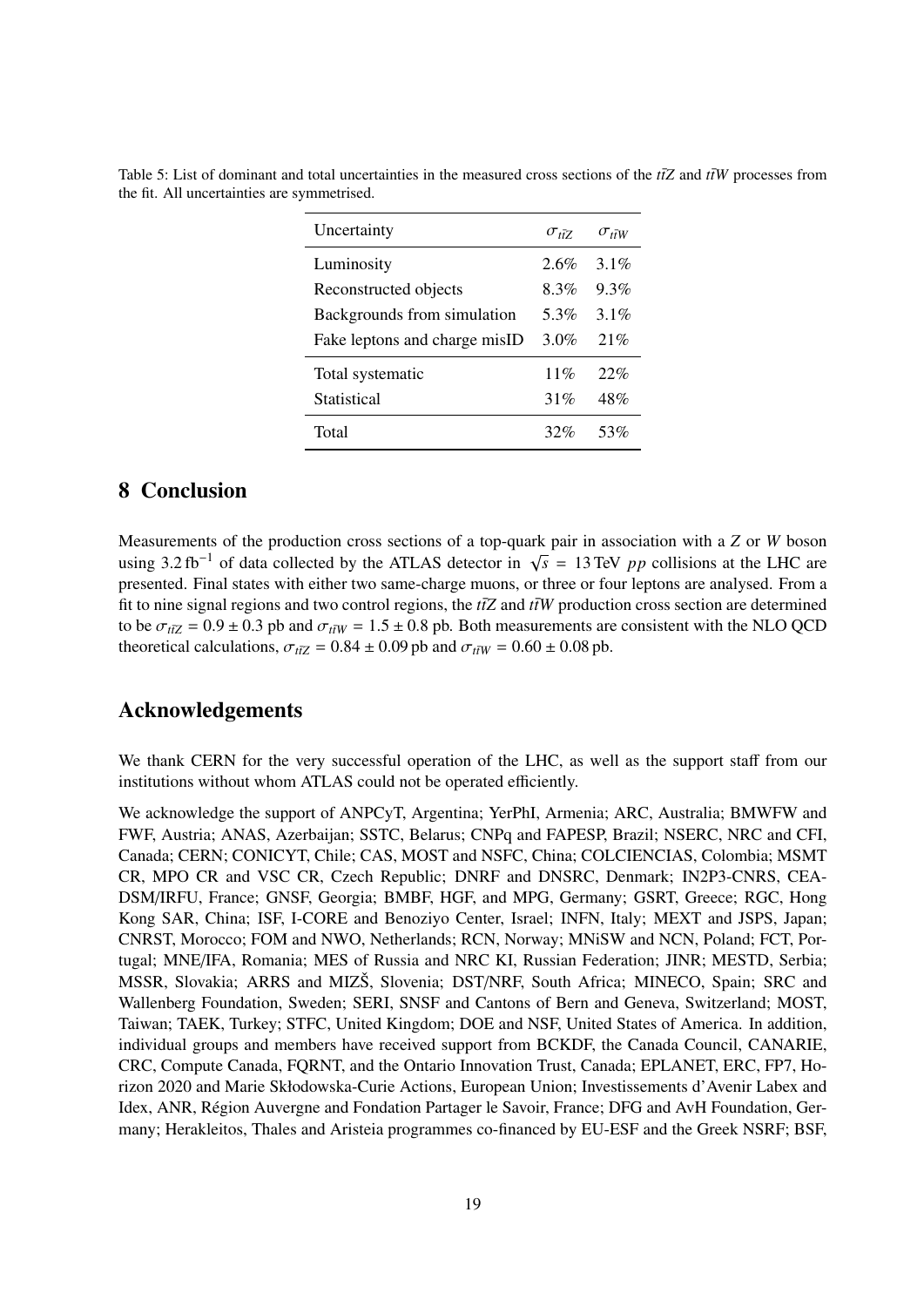| Uncertainty                   | $\sigma_{\rm {\scriptscriptstyle f}\bar{\rm {\scriptscriptstyle f}}7}$ | $\sigma_{t\bar{t}W}$ |
|-------------------------------|------------------------------------------------------------------------|----------------------|
| Luminosity                    | 2.6%                                                                   | $3.1\%$              |
| Reconstructed objects         | 8.3%                                                                   | 9.3%                 |
| Backgrounds from simulation   | 5.3%                                                                   | $3.1\%$              |
| Fake leptons and charge misID | 3.0%                                                                   | 21%                  |
| Total systematic              | 11%                                                                    | 22%                  |
| Statistical                   | 31%                                                                    | 48%                  |
| Total                         | 32%                                                                    | 53%                  |

Table 5: List of dominant and total uncertainties in the measured cross sections of the  $t\bar{t}Z$  and  $\bar{t}W$  processes from the fit. All uncertainties are symmetrised.

## <span id="page-19-1"></span><span id="page-19-0"></span>8 Conclusion

<span id="page-19-3"></span><span id="page-19-2"></span>Measurements of the production cross sections of a top-quark pair in association with a *Z* or *W* boson using 3.2 fb<sup>-1</sup> of data collected by the ATLAS detector in  $\sqrt{s}$  = 13 TeV *pp* collisions at the LHC are presented. Final states with either two same-charge muons, or three or four leptons are analysed. From a fit to nine signal regions and two control regions, the  $t\bar{t}Z$  and  $t\bar{t}W$  production cross section are determined to be  $\sigma_{t\bar{t}Z} = 0.9 \pm 0.3$  pb and  $\sigma_{t\bar{t}W} = 1.5 \pm 0.8$  pb. Both measurements are consistent with the NLO QCD theoretical calculations,  $\sigma_{t\bar{t}Z} = 0.84 \pm 0.09$  pb and  $\sigma_{t\bar{t}W} = 0.60 \pm 0.08$  pb.

## <span id="page-19-5"></span><span id="page-19-4"></span>Acknowledgements

<span id="page-19-6"></span>We thank CERN for the very successful operation of the LHC, as well as the support staff from our institutions without whom ATLAS could not be operated efficiently.

<span id="page-19-12"></span><span id="page-19-11"></span><span id="page-19-10"></span><span id="page-19-9"></span><span id="page-19-8"></span><span id="page-19-7"></span>We acknowledge the support of ANPCyT, Argentina; YerPhI, Armenia; ARC, Australia; BMWFW and FWF, Austria; ANAS, Azerbaijan; SSTC, Belarus; CNPq and FAPESP, Brazil; NSERC, NRC and CFI, Canada; CERN; CONICYT, Chile; CAS, MOST and NSFC, China; COLCIENCIAS, Colombia; MSMT CR, MPO CR and VSC CR, Czech Republic; DNRF and DNSRC, Denmark; IN2P3-CNRS, CEA-DSM/IRFU, France; GNSF, Georgia; BMBF, HGF, and MPG, Germany; GSRT, Greece; RGC, Hong Kong SAR, China; ISF, I-CORE and Benoziyo Center, Israel; INFN, Italy; MEXT and JSPS, Japan; CNRST, Morocco; FOM and NWO, Netherlands; RCN, Norway; MNiSW and NCN, Poland; FCT, Portugal; MNE/IFA, Romania; MES of Russia and NRC KI, Russian Federation; JINR; MESTD, Serbia; MSSR, Slovakia; ARRS and MIZŠ, Slovenia; DST/NRF, South Africa; MINECO, Spain; SRC and Wallenberg Foundation, Sweden; SERI, SNSF and Cantons of Bern and Geneva, Switzerland; MOST, Taiwan; TAEK, Turkey; STFC, United Kingdom; DOE and NSF, United States of America. In addition, individual groups and members have received support from BCKDF, the Canada Council, CANARIE, CRC, Compute Canada, FQRNT, and the Ontario Innovation Trust, Canada; EPLANET, ERC, FP7, Horizon 2020 and Marie Skłodowska-Curie Actions, European Union; Investissements d'Avenir Labex and Idex, ANR, Région Auvergne and Fondation Partager le Savoir, France; DFG and AvH Foundation, Germany; Herakleitos, Thales and Aristeia programmes co-financed by EU-ESF and the Greek NSRF; BSF,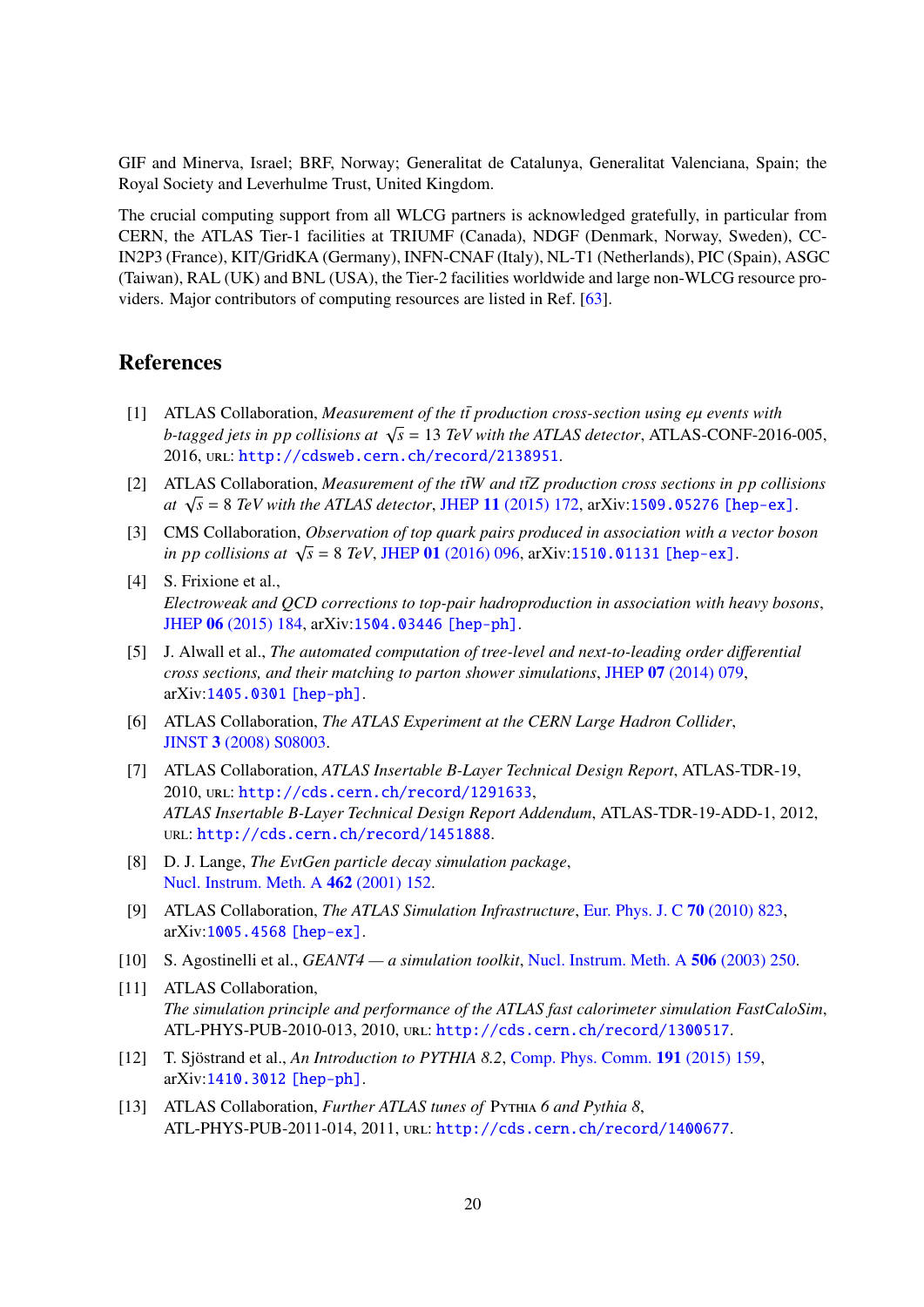<span id="page-20-0"></span>GIF and Minerva, Israel; BRF, Norway; Generalitat de Catalunya, Generalitat Valenciana, Spain; the Royal Society and Leverhulme Trust, United Kingdom.

<span id="page-20-2"></span><span id="page-20-1"></span>The crucial computing support from all WLCG partners is acknowledged gratefully, in particular from CERN, the ATLAS Tier-1 facilities at TRIUMF (Canada), NDGF (Denmark, Norway, Sweden), CC-IN2P3 (France), KIT/GridKA (Germany), INFN-CNAF (Italy), NL-T1 (Netherlands), PIC (Spain), ASGC (Taiwan), RAL (UK) and BNL (USA), the Tier-2 facilities worldwide and large non-WLCG resource providers. Major contributors of computing resources are listed in Ref. [\[63\]](#page-22-15).

## <span id="page-20-4"></span><span id="page-20-3"></span>References

- <span id="page-20-5"></span> $[1]$  ATLAS Collaboration, *Measurement of the tt* production cross-section using  $e\mu$  *events with b*-tagged jets in pp collisions at  $\sqrt{s} = 13$  *TeV with the ATLAS detector*, ATLAS-CONF-2016-005, 2016, url: <http://cdsweb.cern.ch/record/2138951>.
- <span id="page-20-6"></span>[2] ATLAS Collaboration, *Measurement of the tiW and tiZ production cross sections in pp collisions at*  $\sqrt{s}$  = 8 *TeV with the ATLAS detector*, JHEP 11 [\(2015\) 172,](http://dx.doi.org/10.1007/JHEP11(2015)172) arXiv:[1509.05276 \[hep-ex\]](http://arxiv.org/abs/1509.05276).
- <span id="page-20-7"></span>[3] CMS Collaboration, *Observation of top quark pairs produced in association with a vector boson in pp collisions at*  $\sqrt{s} = 8$  *TeV*, JHEP 01 [\(2016\) 096,](http://dx.doi.org/10.1007/JHEP01(2016)096) arXiv:[1510.01131 \[hep-ex\]](http://arxiv.org/abs/1510.01131).
- <span id="page-20-8"></span>[4] S. Frixione et al., *Electroweak and QCD corrections to top-pair hadroproduction in association with heavy bosons*, JHEP 06 [\(2015\) 184,](http://dx.doi.org/10.1007/JHEP06(2015)184) arXiv:[1504.03446 \[hep-ph\]](http://arxiv.org/abs/1504.03446).
- <span id="page-20-9"></span>[5] J. Alwall et al., *The automated computation of tree-level and next-to-leading order di*ff*erential cross sections, and their matching to parton shower simulations*, JHEP 07 [\(2014\) 079,](http://dx.doi.org/10.1007/JHEP07(2014)079) arXiv:[1405.0301 \[hep-ph\]](http://arxiv.org/abs/1405.0301).
- <span id="page-20-11"></span><span id="page-20-10"></span>[6] ATLAS Collaboration, *The ATLAS Experiment at the CERN Large Hadron Collider*, JINST 3 [\(2008\) S08003.](http://dx.doi.org/10.1088/1748-0221/3/08/S08003)
- <span id="page-20-12"></span>[7] ATLAS Collaboration, *ATLAS Insertable B-Layer Technical Design Report*, ATLAS-TDR-19, 2010, url: <http://cds.cern.ch/record/1291633>, *ATLAS Insertable B-Layer Technical Design Report Addendum*, ATLAS-TDR-19-ADD-1, 2012, URL: <http://cds.cern.ch/record/1451888>.
- <span id="page-20-13"></span>[8] D. J. Lange, *The EvtGen particle decay simulation package*, [Nucl. Instrum. Meth. A](http://dx.doi.org/10.1016/S0168-9002(01)00089-4) 462 (2001) 152.
- [9] ATLAS Collaboration, *The ATLAS Simulation Infrastructure*, [Eur. Phys. J. C](http://dx.doi.org/10.1140/epjc/s10052-010-1429-9) 70 (2010) 823, arXiv:[1005.4568 \[hep-ex\]](http://arxiv.org/abs/1005.4568).
- <span id="page-20-14"></span>[10] S. Agostinelli et al., *GEANT4 — a simulation toolkit*, [Nucl. Instrum. Meth. A](http://dx.doi.org/10.1016/S0168-9002(03)01368-8) 506 (2003) 250.
- <span id="page-20-15"></span>[11] ATLAS Collaboration, *The simulation principle and performance of the ATLAS fast calorimeter simulation FastCaloSim*, ATL-PHYS-PUB-2010-013, 2010, url: <http://cds.cern.ch/record/1300517>.
- [12] T. Sjöstrand et al., *An Introduction to PYTHIA 8.2*, [Comp. Phys. Comm.](http://dx.doi.org/10.1016/j.cpc.2015.01.024) 191 (2015) 159, arXiv:[1410.3012 \[hep-ph\]](http://arxiv.org/abs/1410.3012).
- [13] ATLAS Collaboration, *Further ATLAS tunes of* Pythia *6 and Pythia 8*, ATL-PHYS-PUB-2011-014, 2011, url: <http://cds.cern.ch/record/1400677>.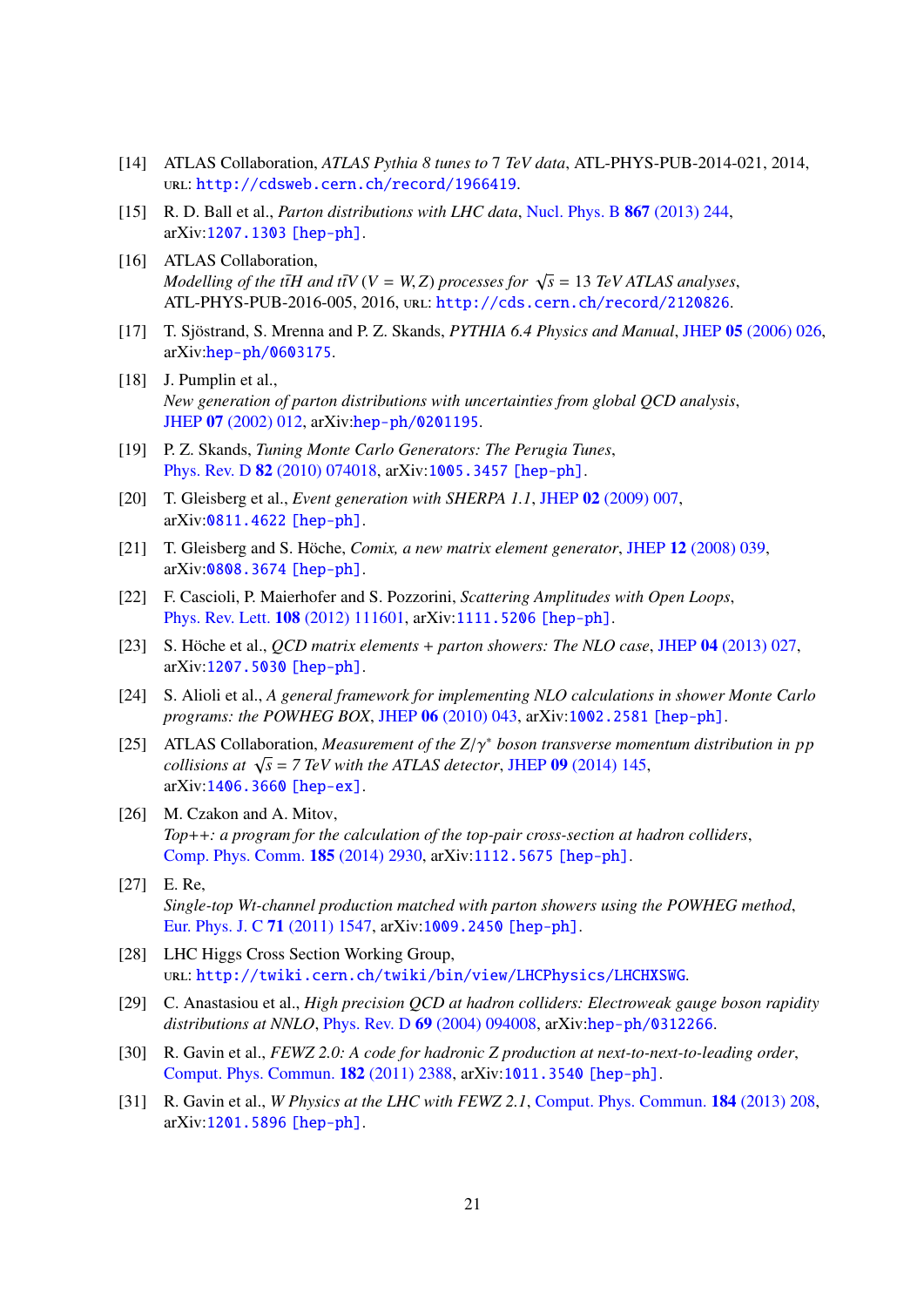- <span id="page-21-0"></span>[14] ATLAS Collaboration, *ATLAS Pythia 8 tunes to* 7 *TeV data*, ATL-PHYS-PUB-2014-021, 2014, url: <http://cdsweb.cern.ch/record/1966419>.
- <span id="page-21-1"></span>[15] R. D. Ball et al., *Parton distributions with LHC data*, [Nucl. Phys. B](http://dx.doi.org/10.1016/j.nuclphysb.2012.10.003) 867 (2013) 244, arXiv:[1207.1303 \[hep-ph\]](http://arxiv.org/abs/1207.1303).
- <span id="page-21-2"></span>[16] ATLAS Collaboration, *Modelling of the ttH and ttV* ( $V = W$ , *Z*) *processes for*  $\sqrt{s} = 13$  *TeV ATLAS analyses*, ATL-PHYS-PUB-2016-005, 2016, url: <http://cds.cern.ch/record/2120826>.
- <span id="page-21-3"></span>[17] T. Sjöstrand, S. Mrenna and P. Z. Skands, *PYTHIA 6.4 Physics and Manual*, JHEP 05 [\(2006\) 026,](http://dx.doi.org/10.1088/1126-6708/2006/05/026) arXiv:[hep-ph/0603175](http://arxiv.org/abs/hep-ph/0603175).
- <span id="page-21-4"></span>[18] J. Pumplin et al., *New generation of parton distributions with uncertainties from global QCD analysis*, JHEP 07 [\(2002\) 012,](http://dx.doi.org/10.1088/1126-6708/2002/07/012) arXiv:[hep-ph/0201195](http://arxiv.org/abs/hep-ph/0201195).
- <span id="page-21-5"></span>[19] P. Z. Skands, *Tuning Monte Carlo Generators: The Perugia Tunes*, Phys. Rev. D 82 [\(2010\) 074018,](http://dx.doi.org/10.1103/PhysRevD.82.074018) arXiv:[1005.3457 \[hep-ph\]](http://arxiv.org/abs/1005.3457).
- [20] T. Gleisberg et al., *Event generation with SHERPA 1.1*, JHEP 02 [\(2009\) 007,](http://dx.doi.org/10.1088/1126-6708/2009/02/007) arXiv:[0811.4622 \[hep-ph\]](http://arxiv.org/abs/0811.4622).
- <span id="page-21-6"></span>[21] T. Gleisberg and S. Höche, *Comix, a new matrix element generator*, JHEP 12 [\(2008\) 039,](http://dx.doi.org/10.1088/1126-6708/2008/12/039) arXiv:[0808.3674 \[hep-ph\]](http://arxiv.org/abs/0808.3674).
- <span id="page-21-7"></span>[22] F. Cascioli, P. Maierhofer and S. Pozzorini, *Scattering Amplitudes with Open Loops*, [Phys. Rev. Lett.](http://dx.doi.org/10.1103/PhysRevLett.108.111601) 108 (2012) 111601, arXiv:[1111.5206 \[hep-ph\]](http://arxiv.org/abs/1111.5206).
- <span id="page-21-8"></span>[23] S. Höche et al., *QCD matrix elements* + *parton showers: The NLO case*, JHEP 04 [\(2013\) 027,](http://dx.doi.org/10.1007/JHEP04(2013)027) arXiv:[1207.5030 \[hep-ph\]](http://arxiv.org/abs/1207.5030).
- <span id="page-21-9"></span>[24] S. Alioli et al., *A general framework for implementing NLO calculations in shower Monte Carlo programs: the POWHEG BOX*, JHEP 06 [\(2010\) 043,](http://dx.doi.org/10.1007/JHEP06(2010)043) arXiv:[1002.2581 \[hep-ph\]](http://arxiv.org/abs/1002.2581).
- <span id="page-21-10"></span>[25] ATLAS Collaboration, *Measurement of the Z*/γ∗ *boson transverse momentum distribution in pp collisions at*  $\sqrt{s}$  = 7 TeV with the ATLAS detector, JHEP 09 [\(2014\) 145,](http://dx.doi.org/10.1007/JHEP09(2014)145) arXiv:[1406.3660 \[hep-ex\]](http://arxiv.org/abs/1406.3660).
- <span id="page-21-11"></span>[26] M. Czakon and A. Mitov, *Top*++*: a program for the calculation of the top-pair cross-section at hadron colliders*, [Comp. Phys. Comm.](http://dx.doi.org/10.1016/j.cpc.2014.06.021) 185 (2014) 2930, arXiv:[1112.5675 \[hep-ph\]](http://arxiv.org/abs/1112.5675).
- <span id="page-21-12"></span>[27] E. Re, *Single-top Wt-channel production matched with parton showers using the POWHEG method*, [Eur. Phys. J. C](http://dx.doi.org/10.1140/epjc/s10052-011-1547-z) 71 (2011) 1547, arXiv:[1009.2450 \[hep-ph\]](http://arxiv.org/abs/1009.2450).
- <span id="page-21-13"></span>[28] LHC Higgs Cross Section Working Group, url: <http://twiki.cern.ch/twiki/bin/view/LHCPhysics/LHCHXSWG>.
- <span id="page-21-14"></span>[29] C. Anastasiou et al., *High precision QCD at hadron colliders: Electroweak gauge boson rapidity distributions at NNLO*, Phys. Rev. D 69 [\(2004\) 094008,](http://dx.doi.org/10.1103/PhysRevD.69.094008) arXiv:[hep-ph/0312266](http://arxiv.org/abs/hep-ph/0312266).
- [30] R. Gavin et al., *FEWZ 2.0: A code for hadronic Z production at next-to-next-to-leading order*, [Comput. Phys. Commun.](http://dx.doi.org/10.1016/j.cpc.2011.06.008) 182 (2011) 2388, arXiv:[1011.3540 \[hep-ph\]](http://arxiv.org/abs/1011.3540).
- <span id="page-21-15"></span>[31] R. Gavin et al., *W Physics at the LHC with FEWZ 2.1*, [Comput. Phys. Commun.](http://dx.doi.org/10.1016/j.cpc.2012.09.005) 184 (2013) 208, arXiv:[1201.5896 \[hep-ph\]](http://arxiv.org/abs/1201.5896).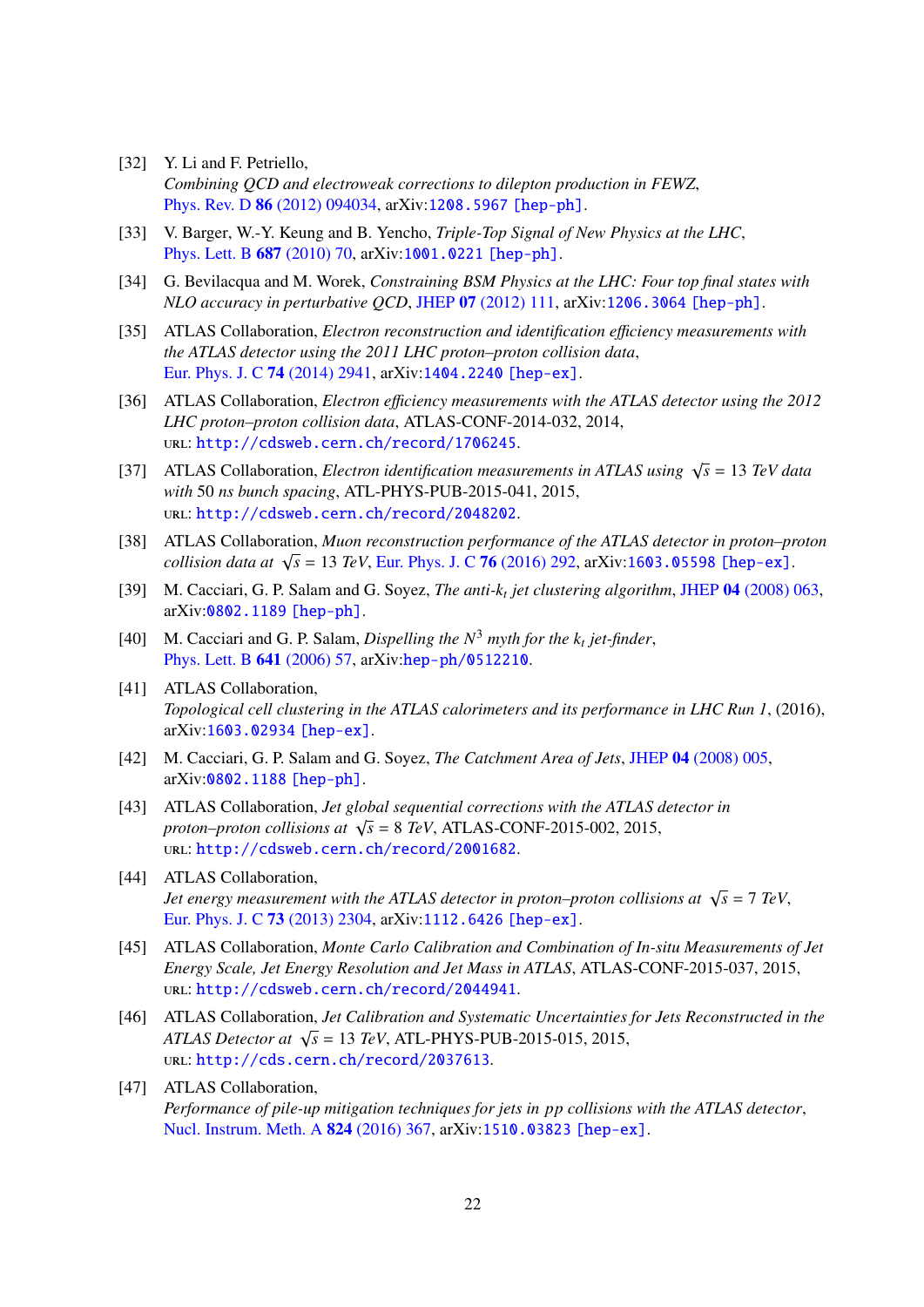- <span id="page-22-0"></span>[32] Y. Li and F. Petriello, *Combining QCD and electroweak corrections to dilepton production in FEWZ*, Phys. Rev. D 86 [\(2012\) 094034,](http://dx.doi.org/10.1103/PhysRevD.86.094034) arXiv:[1208.5967 \[hep-ph\]](http://arxiv.org/abs/1208.5967).
- <span id="page-22-2"></span><span id="page-22-1"></span>[33] V. Barger, W.-Y. Keung and B. Yencho, *Triple-Top Signal of New Physics at the LHC*, [Phys. Lett. B](http://dx.doi.org/10.1016/j.physletb.2010.03.001) 687 (2010) 70, arXiv:[1001.0221 \[hep-ph\]](http://arxiv.org/abs/1001.0221).
- [34] G. Bevilacqua and M. Worek, *Constraining BSM Physics at the LHC: Four top final states with NLO accuracy in perturbative QCD*, JHEP 07 [\(2012\) 111,](http://dx.doi.org/10.1007/JHEP07(2012)111) arXiv:[1206.3064 \[hep-ph\]](http://arxiv.org/abs/1206.3064).
- <span id="page-22-3"></span>[35] ATLAS Collaboration, *Electron reconstruction and identification e*ffi*ciency measurements with the ATLAS detector using the 2011 LHC proton–proton collision data*, [Eur. Phys. J. C](http://dx.doi.org/10.1140/epjc/s10052-014-2941-0) 74 (2014) 2941, arXiv:[1404.2240 \[hep-ex\]](http://arxiv.org/abs/1404.2240).
- <span id="page-22-4"></span>[36] ATLAS Collaboration, *Electron e*ffi*ciency measurements with the ATLAS detector using the 2012 LHC proton–proton collision data*, ATLAS-CONF-2014-032, 2014, url: <http://cdsweb.cern.ch/record/1706245>.
- <span id="page-22-5"></span>[37] ATLAS Collaboration, *Electron identification measurements in ATLAS using*  $\sqrt{s} = 13 \text{ TeV}$  data *with* 50 *ns bunch spacing*, ATL-PHYS-PUB-2015-041, 2015, url: <http://cdsweb.cern.ch/record/2048202>.
- <span id="page-22-6"></span>[38] ATLAS Collaboration, *Muon reconstruction performance of the ATLAS detector in proton–proton collision data at*  $\sqrt{s}$  = 13 *TeV*, [Eur. Phys. J. C](http://dx.doi.org/10.1140/epjc/s10052-016-4120-y) **76** (2016) 292, arXiv:[1603.05598 \[hep-ex\]](http://arxiv.org/abs/1603.05598).
- <span id="page-22-7"></span>[39] M. Cacciari, G. P. Salam and G. Soyez, *The anti-k<sup>t</sup> jet clustering algorithm*, JHEP 04 [\(2008\) 063,](http://dx.doi.org/10.1088/1126-6708/2008/04/063) arXiv:[0802.1189 \[hep-ph\]](http://arxiv.org/abs/0802.1189).
- <span id="page-22-8"></span>[40] M. Cacciari and G. P. Salam, *Dispelling the*  $N^3$  *myth for the*  $k_t$  *jet-finder*, [Phys. Lett. B](http://dx.doi.org/10.1016/j.physletb.2006.08.037) 641 (2006) 57, arXiv:[hep-ph/0512210](http://arxiv.org/abs/hep-ph/0512210).
- <span id="page-22-9"></span>[41] ATLAS Collaboration, *Topological cell clustering in the ATLAS calorimeters and its performance in LHC Run 1*, (2016), arXiv:[1603.02934 \[hep-ex\]](http://arxiv.org/abs/1603.02934).
- <span id="page-22-10"></span>[42] M. Cacciari, G. P. Salam and G. Soyez, *The Catchment Area of Jets*, JHEP 04 [\(2008\) 005,](http://dx.doi.org/10.1088/1126-6708/2008/04/005) arXiv:[0802.1188 \[hep-ph\]](http://arxiv.org/abs/0802.1188).
- <span id="page-22-11"></span>[43] ATLAS Collaboration, *Jet global sequential corrections with the ATLAS detector in proton–proton collisions at*  $\sqrt{s} = 8 \text{ TeV}$ , ATLAS-CONF-2015-002, 2015, url: <http://cdsweb.cern.ch/record/2001682>.
- <span id="page-22-12"></span>[44] ATLAS Collaboration, *Jet energy measurement with the ATLAS detector in proton–proton collisions at*  $\sqrt{s}$  = 7 *TeV*, [Eur. Phys. J. C](http://dx.doi.org/10.1140/epjc/s10052-013-2304-2) 73 (2013) 2304, arXiv:[1112.6426 \[hep-ex\]](http://arxiv.org/abs/1112.6426).
- <span id="page-22-13"></span>[45] ATLAS Collaboration, *Monte Carlo Calibration and Combination of In-situ Measurements of Jet Energy Scale, Jet Energy Resolution and Jet Mass in ATLAS*, ATLAS-CONF-2015-037, 2015, url: <http://cdsweb.cern.ch/record/2044941>.
- <span id="page-22-14"></span>[46] ATLAS Collaboration, *Jet Calibration and Systematic Uncertainties for Jets Reconstructed in the ATLAS Detector at*  $\sqrt{s}$  = 13 *TeV*, *ATL*-PHYS-PUB-2015-015, 2015, url: <http://cds.cern.ch/record/2037613>.
- <span id="page-22-15"></span>[47] ATLAS Collaboration, *Performance of pile-up mitigation techniques for jets in pp collisions with the ATLAS detector*, [Nucl. Instrum. Meth. A](http://dx.doi.org/10.1016/j.nima.2015.10.039) 824 (2016) 367, arXiv:[1510.03823 \[hep-ex\]](http://arxiv.org/abs/1510.03823).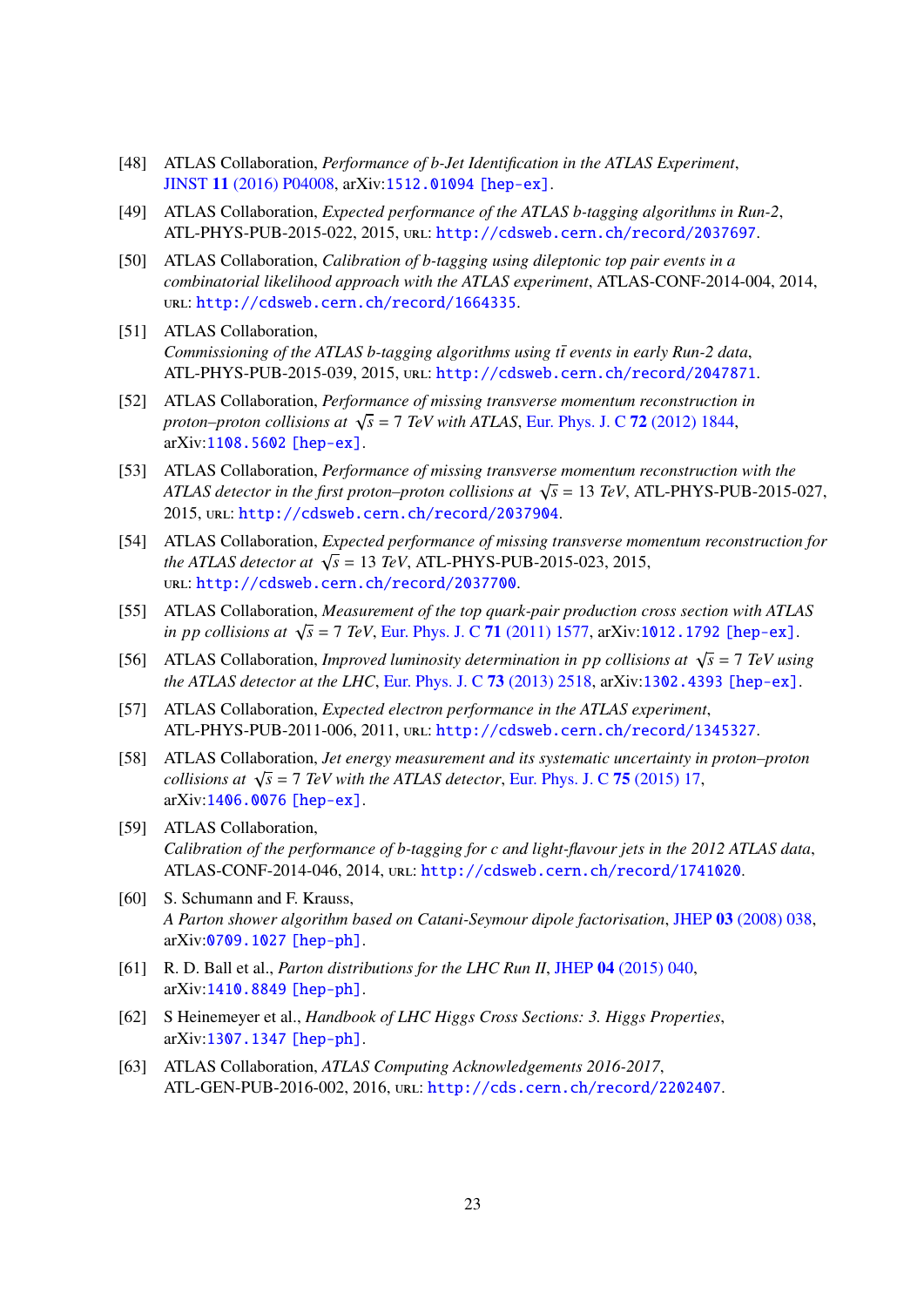- [48] ATLAS Collaboration, *Performance of b-Jet Identification in the ATLAS Experiment*, JINST 11 [\(2016\) P04008,](http://dx.doi.org/10.1088/1748-0221/11/04/P04008) arXiv:[1512.01094 \[hep-ex\]](http://arxiv.org/abs/1512.01094).
- [49] ATLAS Collaboration, *Expected performance of the ATLAS b-tagging algorithms in Run-2*, ATL-PHYS-PUB-2015-022, 2015, url: <http://cdsweb.cern.ch/record/2037697>.
- [50] ATLAS Collaboration, *Calibration of b-tagging using dileptonic top pair events in a combinatorial likelihood approach with the ATLAS experiment*, ATLAS-CONF-2014-004, 2014, url: <http://cdsweb.cern.ch/record/1664335>.
- [51] ATLAS Collaboration, *Commissioning of the ATLAS b-tagging algorithms using tt events in early Run-2 data,* ATL-PHYS-PUB-2015-039, 2015, url: <http://cdsweb.cern.ch/record/2047871>.
- [52] ATLAS Collaboration, *Performance of missing transverse momentum reconstruction in proton–proton collisions at*  $\sqrt{s}$  = 7 *TeV with ATLAS*, [Eur. Phys. J. C](http://dx.doi.org/10.1140/epjc/s10052-011-1844-6) 72 (2012) 1844, arXiv:[1108.5602 \[hep-ex\]](http://arxiv.org/abs/1108.5602).
- [53] ATLAS Collaboration, *Performance of missing transverse momentum reconstruction with the ATLAS detector in the first proton–proton collisions at*  $\sqrt{s}$  = 13 *TeV*, ATL-PHYS-PUB-2015-027, 2015, url: <http://cdsweb.cern.ch/record/2037904>.
- [54] ATLAS Collaboration, *Expected performance of missing transverse momentum reconstruction for the ATLAS detector at*  $\sqrt{s}$  = 13 *TeV*, ATL-PHYS-PUB-2015-023, 2015, url: <http://cdsweb.cern.ch/record/2037700>.
- [55] ATLAS Collaboration, *Measurement of the top quark-pair production cross section with ATLAS in pp collisions at*  $\sqrt{s}$  = 7 *TeV*, [Eur. Phys. J. C](http://dx.doi.org/10.1140/epjc/s10052-011-1577-6) 71 (2011) 1577, arXiv:[1012.1792 \[hep-ex\]](http://arxiv.org/abs/1012.1792).
- [56] ATLAS Collaboration, *Improved luminosity determination in pp collisions at*  $\sqrt{s} = 7$  *TeV using the ATLAS detector at the LHC*, [Eur. Phys. J. C](http://dx.doi.org/10.1140/epjc/s10052-013-2518-3) 73 (2013) 2518, arXiv:[1302.4393 \[hep-ex\]](http://arxiv.org/abs/1302.4393).
- [57] ATLAS Collaboration, *Expected electron performance in the ATLAS experiment*, ATL-PHYS-PUB-2011-006, 2011, url: <http://cdsweb.cern.ch/record/1345327>.
- [58] ATLAS Collaboration, *Jet energy measurement and its systematic uncertainty in proton–proton collisions at*  $\sqrt{s}$  = 7 *TeV with the ATLAS detector*, [Eur. Phys. J. C](http://dx.doi.org/10.1140/epjc/s10052-014-3190-y) 75 (2015) 17, arXiv:[1406.0076 \[hep-ex\]](http://arxiv.org/abs/1406.0076).
- [59] ATLAS Collaboration, *Calibration of the performance of b-tagging for c and light-flavour jets in the 2012 ATLAS data*, ATLAS-CONF-2014-046, 2014, url: <http://cdsweb.cern.ch/record/1741020>.
- [60] S. Schumann and F. Krauss, *A Parton shower algorithm based on Catani-Seymour dipole factorisation*, JHEP 03 [\(2008\) 038,](http://dx.doi.org/10.1088/1126-6708/2008/03/038) arXiv:[0709.1027 \[hep-ph\]](http://arxiv.org/abs/0709.1027).
- [61] R. D. Ball et al., *Parton distributions for the LHC Run II*, JHEP 04 [\(2015\) 040,](http://dx.doi.org/10.1007/JHEP04(2015)040) arXiv:[1410.8849 \[hep-ph\]](http://arxiv.org/abs/1410.8849).
- [62] S Heinemeyer et al., *Handbook of LHC Higgs Cross Sections: 3. Higgs Properties*, arXiv:[1307.1347 \[hep-ph\]](http://arxiv.org/abs/1307.1347).
- [63] ATLAS Collaboration, *ATLAS Computing Acknowledgements 2016-2017*, ATL-GEN-PUB-2016-002, 2016, url: <http://cds.cern.ch/record/2202407>.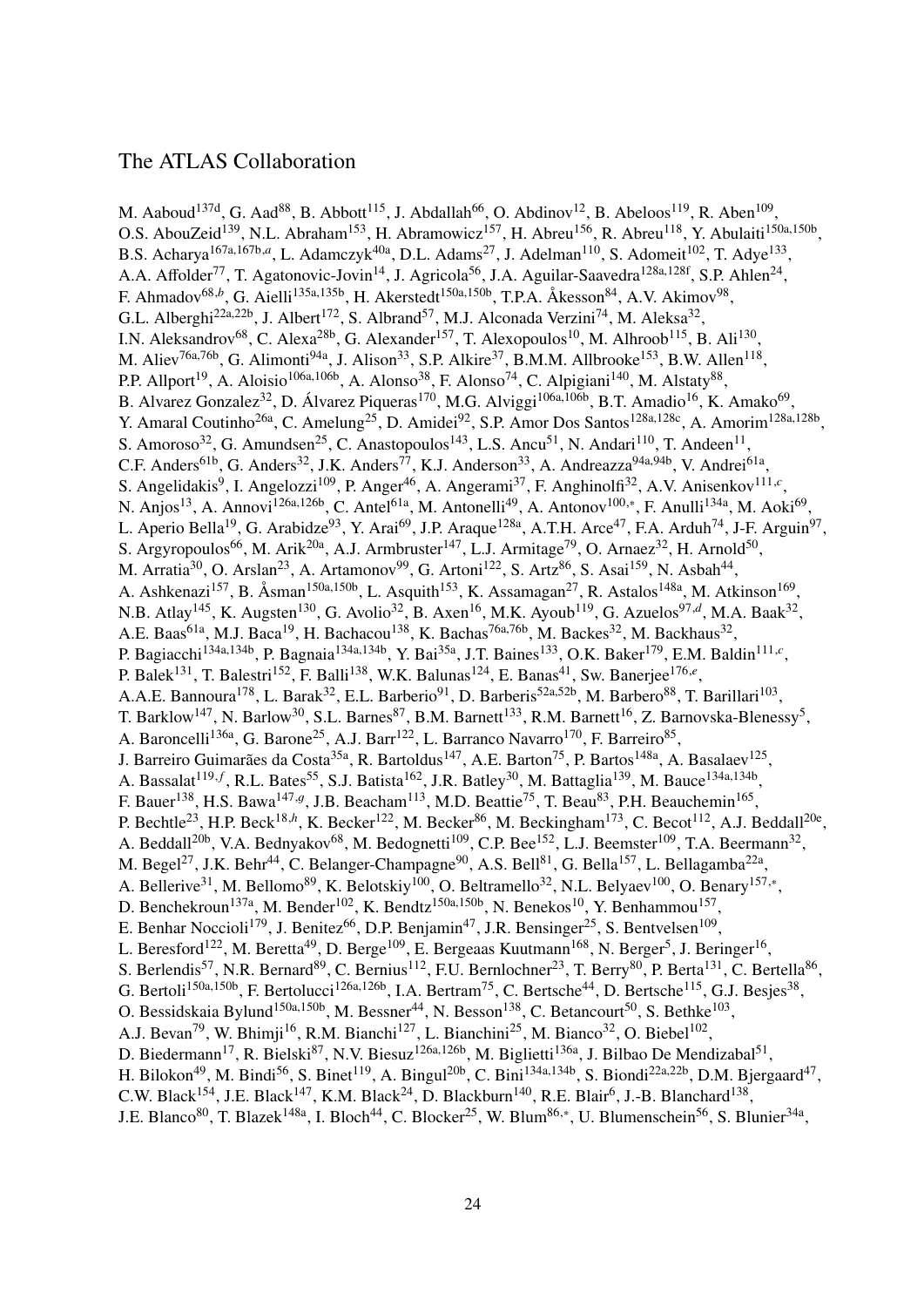## The ATLAS Collaboration

M. Aaboud<sup>137d</sup>, G. Aad<sup>88</sup>, B. Abbott<sup>115</sup>, J. Abdallah<sup>66</sup>, O. Abdinov<sup>12</sup>, B. Abeloos<sup>119</sup>, R. Aben<sup>109</sup>, O.S. AbouZeid<sup>139</sup>, N.L. Abraham<sup>153</sup>, H. Abramowicz<sup>157</sup>, H. Abreu<sup>156</sup>, R. Abreu<sup>118</sup>, Y. Abulaiti<sup>150a,150b</sup>, B.S. Acharya<sup>167a,167b,a</sup>, L. Adamczyk<sup>40a</sup>, D.L. Adams<sup>27</sup>, J. Adelman<sup>110</sup>, S. Adomeit<sup>102</sup>, T. Adye<sup>133</sup>, A.A. Affolder<sup>77</sup>, T. Agatonovic-Jovin<sup>14</sup>, J. Agricola<sup>56</sup>, J.A. Aguilar-Saavedra<sup>128a,128f</sup>, S.P. Ahlen<sup>24</sup>, F. Ahmadov<sup>68,b</sup>, G. Aielli<sup>135a,135b</sup>, H. Akerstedt<sup>150a,150b</sup>, T.P.A. Åkesson<sup>84</sup>, A.V. Akimov<sup>98</sup>, G.L. Alberghi<sup>22a,22b</sup>, J. Albert<sup>172</sup>, S. Albrand<sup>57</sup>, M.J. Alconada Verzini<sup>74</sup>, M. Aleksa<sup>32</sup>, I.N. Aleksandrov<sup>68</sup>, C. Alexa<sup>28b</sup>, G. Alexander<sup>157</sup>, T. Alexopoulos<sup>10</sup>, M. Alhroob<sup>115</sup>, B. Ali<sup>130</sup>, M. Aliev<sup>76a,76b</sup>, G. Alimonti<sup>94a</sup>, J. Alison<sup>33</sup>, S.P. Alkire<sup>37</sup>, B.M.M. Allbrooke<sup>153</sup>, B.W. Allen<sup>118</sup>, P.P. Allport<sup>19</sup>, A. Aloisio<sup>106a,106b</sup>, A. Alonso<sup>38</sup>, F. Alonso<sup>74</sup>, C. Alpigiani<sup>140</sup>, M. Alstaty<sup>88</sup>, B. Alvarez Gonzalez<sup>32</sup>, D. Álvarez Piqueras<sup>170</sup>, M.G. Alviggi<sup>106a,106b</sup>, B.T. Amadio<sup>16</sup>, K. Amako<sup>69</sup>, Y. Amaral Coutinho<sup>26a</sup>, C. Amelung<sup>25</sup>, D. Amidei<sup>92</sup>, S.P. Amor Dos Santos<sup>128a,128c</sup>, A. Amorim<sup>128a,128b</sup>, S. Amoroso<sup>32</sup>, G. Amundsen<sup>25</sup>, C. Anastopoulos<sup>143</sup>, L.S. Ancu<sup>51</sup>, N. Andari<sup>110</sup>, T. Andeen<sup>11</sup>, C.F. Anders<sup>61b</sup>, G. Anders<sup>32</sup>, J.K. Anders<sup>77</sup>, K.J. Anderson<sup>33</sup>, A. Andreazza<sup>94a,94b</sup>, V. Andrei<sup>61a</sup>, S. Angelidakis<sup>9</sup>, I. Angelozzi<sup>109</sup>, P. Anger<sup>46</sup>, A. Angerami<sup>37</sup>, F. Anghinolfi<sup>32</sup>, A.V. Anisenkov<sup>111,*c*</sup>, N. Anjos<sup>13</sup>, A. Annovi<sup>126a,126b</sup>, C. Antel<sup>61a</sup>, M. Antonelli<sup>49</sup>, A. Antonov<sup>100,∗</sup>, F. Anulli<sup>134a</sup>, M. Aoki<sup>69</sup>, L. Aperio Bella<sup>19</sup>, G. Arabidze<sup>93</sup>, Y. Arai<sup>69</sup>, J.P. Araque<sup>128a</sup>, A.T.H. Arce<sup>47</sup>, F.A. Arduh<sup>74</sup>, J-F. Arguin<sup>97</sup>, S. Argyropoulos<sup>66</sup>, M. Arik<sup>20a</sup>, A.J. Armbruster<sup>147</sup>, L.J. Armitage<sup>79</sup>, O. Arnaez<sup>32</sup>, H. Arnold<sup>50</sup>, M. Arratia<sup>30</sup>, O. Arslan<sup>23</sup>, A. Artamonov<sup>99</sup>, G. Artoni<sup>122</sup>, S. Artz<sup>86</sup>, S. Asai<sup>159</sup>, N. Asbah<sup>44</sup>, A. Ashkenazi<sup>157</sup>, B. Åsman<sup>150a,150b</sup>, L. Asquith<sup>153</sup>, K. Assamagan<sup>27</sup>, R. Astalos<sup>148a</sup>, M. Atkinson<sup>169</sup>, N.B. Atlay<sup>145</sup>, K. Augsten<sup>130</sup>, G. Avolio<sup>32</sup>, B. Axen<sup>16</sup>, M.K. Ayoub<sup>119</sup>, G. Azuelos<sup>97,*d*</sup>, M.A. Baak<sup>32</sup>, A.E. Baas<sup>61a</sup>, M.J. Baca<sup>19</sup>, H. Bachacou<sup>138</sup>, K. Bachas<sup>76a,76b</sup>, M. Backes<sup>32</sup>, M. Backhaus<sup>32</sup>, P. Bagiacchi<sup>134a,134b</sup>, P. Bagnaia<sup>134a,134b</sup>, Y. Bai<sup>35a</sup>, J.T. Baines<sup>133</sup>, O.K. Baker<sup>179</sup>, E.M. Baldin<sup>111,*c*</sup>, P. Balek<sup>131</sup>, T. Balestri<sup>152</sup>, F. Balli<sup>138</sup>, W.K. Balunas<sup>124</sup>, E. Banas<sup>41</sup>, Sw. Banerjee<sup>176,e</sup>, A.A.E. Bannoura<sup>178</sup>, L. Barak<sup>32</sup>, E.L. Barberio<sup>91</sup>, D. Barberis<sup>52a,52b</sup>, M. Barbero<sup>88</sup>, T. Barillari<sup>103</sup>, T. Barklow<sup>147</sup>, N. Barlow<sup>30</sup>, S.L. Barnes<sup>87</sup>, B.M. Barnett<sup>133</sup>, R.M. Barnett<sup>16</sup>, Z. Barnovska-Blenessy<sup>5</sup>, A. Baroncelli<sup>136a</sup>, G. Barone<sup>25</sup>, A.J. Barr<sup>122</sup>, L. Barranco Navarro<sup>170</sup>, F. Barreiro<sup>85</sup>, J. Barreiro Guimarães da Costa<sup>35a</sup>, R. Bartoldus<sup>147</sup>, A.E. Barton<sup>75</sup>, P. Bartos<sup>148a</sup>, A. Basalaev<sup>125</sup>, A. Bassalat<sup>119,f</sup>, R.L. Bates<sup>55</sup>, S.J. Batista<sup>162</sup>, J.R. Batley<sup>30</sup>, M. Battaglia<sup>139</sup>, M. Bauce<sup>134a,134b</sup>, F. Bauer<sup>138</sup>, H.S. Bawa<sup>147,g</sup>, J.B. Beacham<sup>113</sup>, M.D. Beattie<sup>75</sup>, T. Beau<sup>83</sup>, P.H. Beauchemin<sup>165</sup>, P. Bechtle<sup>23</sup>, H.P. Beck<sup>18,h</sup>, K. Becker<sup>122</sup>, M. Becker<sup>86</sup>, M. Beckingham<sup>173</sup>, C. Becot<sup>112</sup>, A.J. Beddall<sup>20e</sup>, A. Beddall<sup>20b</sup>, V.A. Bednyakov<sup>68</sup>, M. Bedognetti<sup>109</sup>, C.P. Bee<sup>152</sup>, L.J. Beemster<sup>109</sup>, T.A. Beermann<sup>32</sup>, M. Begel<sup>27</sup>, J.K. Behr<sup>44</sup>, C. Belanger-Champagne<sup>90</sup>, A.S. Bell<sup>81</sup>, G. Bella<sup>157</sup>, L. Bellagamba<sup>22a</sup>, A. Bellerive<sup>31</sup>, M. Bellomo<sup>89</sup>, K. Belotskiy<sup>100</sup>, O. Beltramello<sup>32</sup>, N.L. Belyaev<sup>100</sup>, O. Benary<sup>157,\*</sup>, D. Benchekroun<sup>137a</sup>, M. Bender<sup>102</sup>, K. Bendtz<sup>150a,150b</sup>, N. Benekos<sup>10</sup>, Y. Benhammou<sup>157</sup>, E. Benhar Noccioli<sup>179</sup>, J. Benitez<sup>66</sup>, D.P. Benjamin<sup>47</sup>, J.R. Bensinger<sup>25</sup>, S. Bentvelsen<sup>109</sup>, L. Beresford<sup>122</sup>, M. Beretta<sup>49</sup>, D. Berge<sup>109</sup>, E. Bergeaas Kuutmann<sup>168</sup>, N. Berger<sup>5</sup>, J. Beringer<sup>16</sup>, S. Berlendis<sup>57</sup>, N.R. Bernard<sup>89</sup>, C. Bernius<sup>112</sup>, F.U. Bernlochner<sup>23</sup>, T. Berry<sup>80</sup>, P. Berta<sup>131</sup>, C. Bertella<sup>86</sup>, G. Bertoli<sup>150a,150b</sup>, F. Bertolucci<sup>126a,126b</sup>, I.A. Bertram<sup>75</sup>, C. Bertsche<sup>44</sup>, D. Bertsche<sup>115</sup>, G.J. Besjes<sup>38</sup>, O. Bessidskaia Bylund<sup>150a,150b</sup>, M. Bessner<sup>44</sup>, N. Besson<sup>138</sup>, C. Betancourt<sup>50</sup>, S. Bethke<sup>103</sup>, A.J. Bevan<sup>79</sup>, W. Bhimji<sup>16</sup>, R.M. Bianchi<sup>127</sup>, L. Bianchini<sup>25</sup>, M. Bianco<sup>32</sup>, O. Biebel<sup>102</sup>, D. Biedermann<sup>17</sup>, R. Bielski<sup>87</sup>, N.V. Biesuz<sup>126a,126b</sup>, M. Biglietti<sup>136a</sup>, J. Bilbao De Mendizabal<sup>51</sup>, H. Bilokon<sup>49</sup>, M. Bindi<sup>56</sup>, S. Binet<sup>119</sup>, A. Bingul<sup>20b</sup>, C. Bini<sup>134a,134b</sup>, S. Biondi<sup>22a,22b</sup>, D.M. Bjergaard<sup>47</sup>, C.W. Black<sup>154</sup>, J.E. Black<sup>147</sup>, K.M. Black<sup>24</sup>, D. Blackburn<sup>140</sup>, R.E. Blair<sup>6</sup>, J.-B. Blanchard<sup>138</sup>, J.E. Blanco<sup>80</sup>, T. Blazek<sup>148a</sup>, I. Bloch<sup>44</sup>, C. Blocker<sup>25</sup>, W. Blum<sup>86,\*</sup>, U. Blumenschein<sup>56</sup>, S. Blunier<sup>34a</sup>,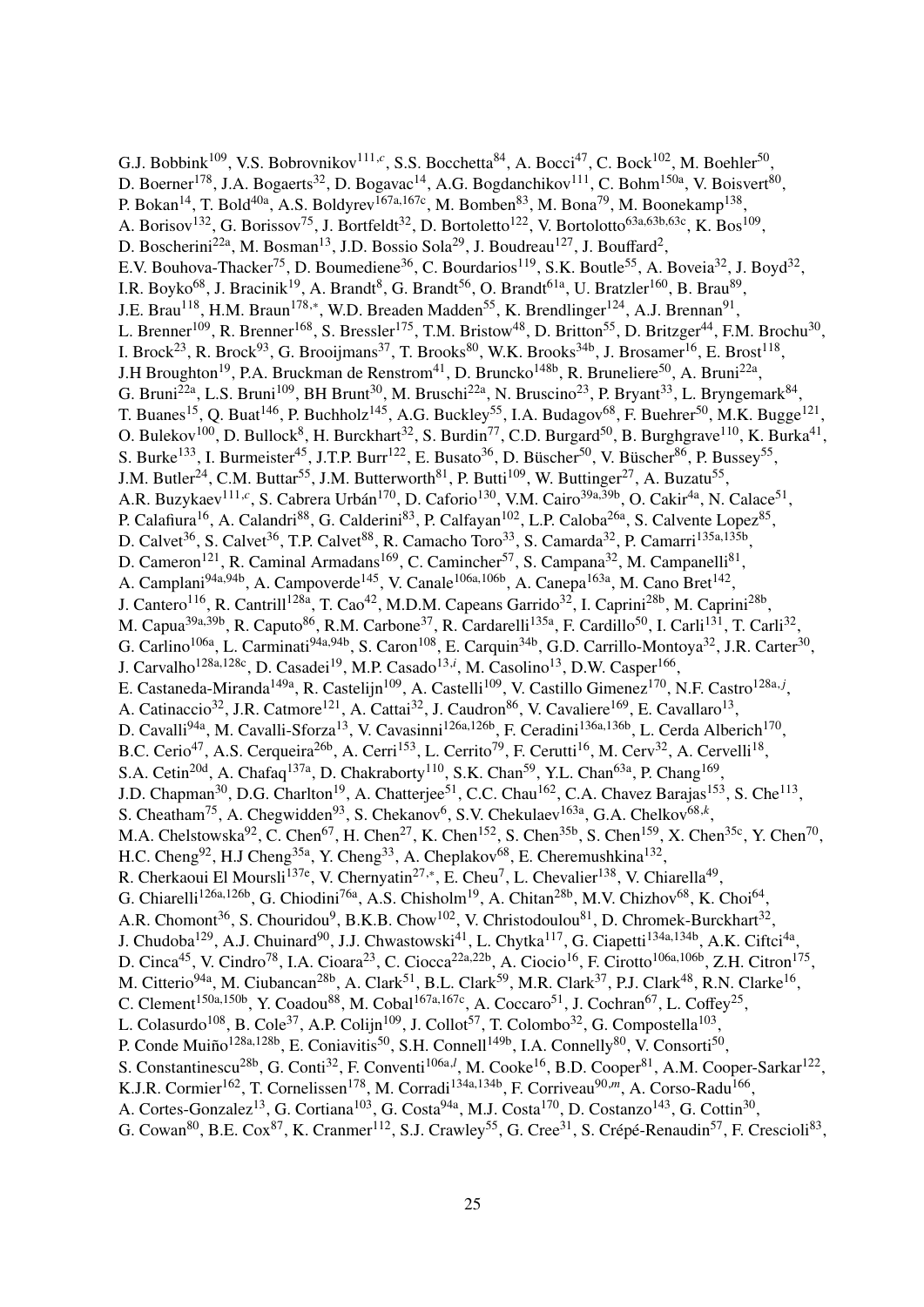G.J. Bobbink<sup>109</sup>, V.S. Bobrovnikov<sup>111,c</sup>, S.S. Bocchetta<sup>84</sup>, A. Bocci<sup>47</sup>, C. Bock<sup>102</sup>, M. Boehler<sup>50</sup>, D. Boerner<sup>178</sup>, J.A. Bogaerts<sup>32</sup>, D. Bogavac<sup>14</sup>, A.G. Bogdanchikov<sup>111</sup>, C. Bohm<sup>150a</sup>, V. Boisvert<sup>80</sup>, P. Bokan<sup>14</sup>, T. Bold<sup>40a</sup>, A.S. Boldyrev<sup>167a,167c</sup>, M. Bomben<sup>83</sup>, M. Bona<sup>79</sup>, M. Boonekamp<sup>138</sup>, A. Borisov<sup>132</sup>, G. Borissov<sup>75</sup>, J. Bortfeldt<sup>32</sup>, D. Bortoletto<sup>122</sup>, V. Bortolotto<sup>63a,63b,63c</sup>, K. Bos<sup>109</sup>, D. Boscherini<sup>22a</sup>, M. Bosman<sup>13</sup>, J.D. Bossio Sola<sup>29</sup>, J. Boudreau<sup>127</sup>, J. Bouffard<sup>2</sup>, E.V. Bouhova-Thacker<sup>75</sup>, D. Boumediene<sup>36</sup>, C. Bourdarios<sup>119</sup>, S.K. Boutle<sup>55</sup>, A. Boveia<sup>32</sup>, J. Boyd<sup>32</sup>, I.R. Boyko<sup>68</sup>, J. Bracinik<sup>19</sup>, A. Brandt<sup>8</sup>, G. Brandt<sup>56</sup>, O. Brandt<sup>61a</sup>, U. Bratzler<sup>160</sup>, B. Brau<sup>89</sup>, J.E. Brau<sup>118</sup>, H.M. Braun<sup>178,∗</sup>, W.D. Breaden Madden<sup>55</sup>, K. Brendlinger<sup>124</sup>, A.J. Brennan<sup>91</sup>, L. Brenner<sup>109</sup>, R. Brenner<sup>168</sup>, S. Bressler<sup>175</sup>, T.M. Bristow<sup>48</sup>, D. Britton<sup>55</sup>, D. Britzger<sup>44</sup>, F.M. Brochu<sup>30</sup>, I. Brock<sup>23</sup>, R. Brock<sup>93</sup>, G. Brooijmans<sup>37</sup>, T. Brooks<sup>80</sup>, W.K. Brooks<sup>34b</sup>, J. Brosamer<sup>16</sup>, E. Brost<sup>118</sup>, J.H Broughton<sup>19</sup>, P.A. Bruckman de Renstrom<sup>41</sup>, D. Bruncko<sup>148b</sup>, R. Bruneliere<sup>50</sup>, A. Bruni<sup>22a</sup>, G. Bruni<sup>22a</sup>, L.S. Bruni<sup>109</sup>, BH Brunt<sup>30</sup>, M. Bruschi<sup>22a</sup>, N. Bruscino<sup>23</sup>, P. Bryant<sup>33</sup>, L. Bryngemark<sup>84</sup>, T. Buanes<sup>15</sup>, Q. Buat<sup>146</sup>, P. Buchholz<sup>145</sup>, A.G. Buckley<sup>55</sup>, I.A. Budagov<sup>68</sup>, F. Buehrer<sup>50</sup>, M.K. Bugge<sup>121</sup>, O. Bulekov<sup>100</sup>, D. Bullock<sup>8</sup>, H. Burckhart<sup>32</sup>, S. Burdin<sup>77</sup>, C.D. Burgard<sup>50</sup>, B. Burghgrave<sup>110</sup>, K. Burka<sup>41</sup>, S. Burke<sup>133</sup>, I. Burmeister<sup>45</sup>, J.T.P. Burr<sup>122</sup>, E. Busato<sup>36</sup>, D. Büscher<sup>50</sup>, V. Büscher<sup>86</sup>, P. Bussey<sup>55</sup>, J.M. Butler<sup>24</sup>, C.M. Buttar<sup>55</sup>, J.M. Butterworth<sup>81</sup>, P. Butti<sup>109</sup>, W. Buttinger<sup>27</sup>, A. Buzatu<sup>55</sup>, A.R. Buzykaev<sup>111,c</sup>, S. Cabrera Urbán<sup>170</sup>, D. Caforio<sup>130</sup>, V.M. Cairo<sup>39a,39b</sup>, O. Cakir<sup>4a</sup>, N. Calace<sup>51</sup>, P. Calafiura<sup>16</sup>, A. Calandri<sup>88</sup>, G. Calderini<sup>83</sup>, P. Calfayan<sup>102</sup>, L.P. Caloba<sup>26a</sup>, S. Calvente Lopez<sup>85</sup>, D. Calvet<sup>36</sup>, S. Calvet<sup>36</sup>, T.P. Calvet<sup>88</sup>, R. Camacho Toro<sup>33</sup>, S. Camarda<sup>32</sup>, P. Camarri<sup>135a,135b</sup>, D. Cameron<sup>121</sup>, R. Caminal Armadans<sup>169</sup>, C. Camincher<sup>57</sup>, S. Campana<sup>32</sup>, M. Campanelli<sup>81</sup>, A. Camplani<sup>94a,94b</sup>, A. Campoverde<sup>145</sup>, V. Canale<sup>106a,106b</sup>, A. Canepa<sup>163a</sup>, M. Cano Bret<sup>142</sup>, J. Cantero<sup>116</sup>, R. Cantrill<sup>128a</sup>, T. Cao<sup>42</sup>, M.D.M. Capeans Garrido<sup>32</sup>, I. Caprini<sup>28b</sup>, M. Caprini<sup>28b</sup>, M. Capua<sup>39a,39b</sup>, R. Caputo<sup>86</sup>, R.M. Carbone<sup>37</sup>, R. Cardarelli<sup>135a</sup>, F. Cardillo<sup>50</sup>, I. Carli<sup>131</sup>, T. Carli<sup>32</sup>, G. Carlino<sup>106a</sup>, L. Carminati<sup>94a,94b</sup>, S. Caron<sup>108</sup>, E. Carquin<sup>34b</sup>, G.D. Carrillo-Montoya<sup>32</sup>, J.R. Carter<sup>30</sup>, J. Carvalho<sup>128a,128c</sup>, D. Casadei<sup>19</sup>, M.P. Casado<sup>13,*i*</sup>, M. Casolino<sup>13</sup>, D.W. Casper<sup>166</sup>, E. Castaneda-Miranda<sup>149a</sup>, R. Castelijn<sup>109</sup>, A. Castelli<sup>109</sup>, V. Castillo Gimenez<sup>170</sup>, N.F. Castro<sup>128a, *j*</sup>, A. Catinaccio<sup>32</sup>, J.R. Catmore<sup>121</sup>, A. Cattai<sup>32</sup>, J. Caudron<sup>86</sup>, V. Cavaliere<sup>169</sup>, E. Cavallaro<sup>13</sup>, D. Cavalli<sup>94a</sup>, M. Cavalli-Sforza<sup>13</sup>, V. Cavasinni<sup>126a,126b</sup>, F. Ceradini<sup>136a,136b</sup>, L. Cerda Alberich<sup>170</sup>, B.C. Cerio<sup>47</sup>, A.S. Cerqueira<sup>26b</sup>, A. Cerri<sup>153</sup>, L. Cerrito<sup>79</sup>, F. Cerutti<sup>16</sup>, M. Cerv<sup>32</sup>, A. Cervelli<sup>18</sup>, S.A. Cetin<sup>20d</sup>, A. Chafaq<sup>137a</sup>, D. Chakraborty<sup>110</sup>, S.K. Chan<sup>59</sup>, Y.L. Chan<sup>63a</sup>, P. Chang<sup>169</sup>, J.D. Chapman<sup>30</sup>, D.G. Charlton<sup>19</sup>, A. Chatterjee<sup>51</sup>, C.C. Chau<sup>162</sup>, C.A. Chavez Barajas<sup>153</sup>, S. Che<sup>113</sup>, S. Cheatham<sup>75</sup>, A. Chegwidden<sup>93</sup>, S. Chekanov<sup>6</sup>, S.V. Chekulaev<sup>163a</sup>, G.A. Chelkov<sup>68,k</sup>, M.A. Chelstowska<sup>92</sup>, C. Chen<sup>67</sup>, H. Chen<sup>27</sup>, K. Chen<sup>152</sup>, S. Chen<sup>35b</sup>, S. Chen<sup>159</sup>, X. Chen<sup>35c</sup>, Y. Chen<sup>70</sup>, H.C. Cheng<sup>92</sup>, H.J Cheng<sup>35a</sup>, Y. Cheng<sup>33</sup>, A. Cheplakov<sup>68</sup>, E. Cheremushkina<sup>132</sup>, R. Cherkaoui El Moursli<sup>137e</sup>, V. Chernyatin<sup>27,\*</sup>, E. Cheu<sup>7</sup>, L. Chevalier<sup>138</sup>, V. Chiarella<sup>49</sup>, G. Chiarelli<sup>126a,126b</sup>, G. Chiodini<sup>76a</sup>, A.S. Chisholm<sup>19</sup>, A. Chitan<sup>28b</sup>, M.V. Chizhov<sup>68</sup>, K. Choi<sup>64</sup>, A.R. Chomont<sup>36</sup>, S. Chouridou<sup>9</sup>, B.K.B. Chow<sup>102</sup>, V. Christodoulou<sup>81</sup>, D. Chromek-Burckhart<sup>32</sup>, J. Chudoba<sup>129</sup>, A.J. Chuinard<sup>90</sup>, J.J. Chwastowski<sup>41</sup>, L. Chytka<sup>117</sup>, G. Ciapetti<sup>134a,134b</sup>, A.K. Ciftci<sup>4a</sup>, D. Cinca<sup>45</sup>, V. Cindro<sup>78</sup>, I.A. Cioara<sup>23</sup>, C. Ciocca<sup>22a,22b</sup>, A. Ciocio<sup>16</sup>, F. Cirotto<sup>106a,106b</sup>, Z.H. Citron<sup>175</sup>, M. Citterio<sup>94a</sup>, M. Ciubancan<sup>28b</sup>, A. Clark<sup>51</sup>, B.L. Clark<sup>59</sup>, M.R. Clark<sup>37</sup>, P.J. Clark<sup>48</sup>, R.N. Clarke<sup>16</sup>, C. Clement<sup>150a,150b</sup>, Y. Coadou<sup>88</sup>, M. Cobal<sup>167a,167c</sup>, A. Coccaro<sup>51</sup>, J. Cochran<sup>67</sup>, L. Coffey<sup>25</sup>, L. Colasurdo<sup>108</sup>, B. Cole<sup>37</sup>, A.P. Colijn<sup>109</sup>, J. Collot<sup>57</sup>, T. Colombo<sup>32</sup>, G. Compostella<sup>103</sup>, P. Conde Muiño<sup>128a,128b</sup>, E. Coniavitis<sup>50</sup>, S.H. Connell<sup>149b</sup>, I.A. Connelly<sup>80</sup>, V. Consorti<sup>50</sup>, S. Constantinescu<sup>28b</sup>, G. Conti<sup>32</sup>, F. Conventi<sup>106a,*l*</sup>, M. Cooke<sup>16</sup>, B.D. Cooper<sup>81</sup>, A.M. Cooper-Sarkar<sup>122</sup>, K.J.R. Cormier<sup>162</sup>, T. Cornelissen<sup>178</sup>, M. Corradi<sup>134a,134b</sup>, F. Corriveau<sup>90,*m*</sup>, A. Corso-Radu<sup>166</sup>, A. Cortes-Gonzalez<sup>13</sup>, G. Cortiana<sup>103</sup>, G. Costa<sup>94a</sup>, M.J. Costa<sup>170</sup>, D. Costanzo<sup>143</sup>, G. Cottin<sup>30</sup>, G. Cowan<sup>80</sup>, B.E. Cox<sup>87</sup>, K. Cranmer<sup>112</sup>, S.J. Crawley<sup>55</sup>, G. Cree<sup>31</sup>, S. Crépé-Renaudin<sup>57</sup>, F. Crescioli<sup>83</sup>,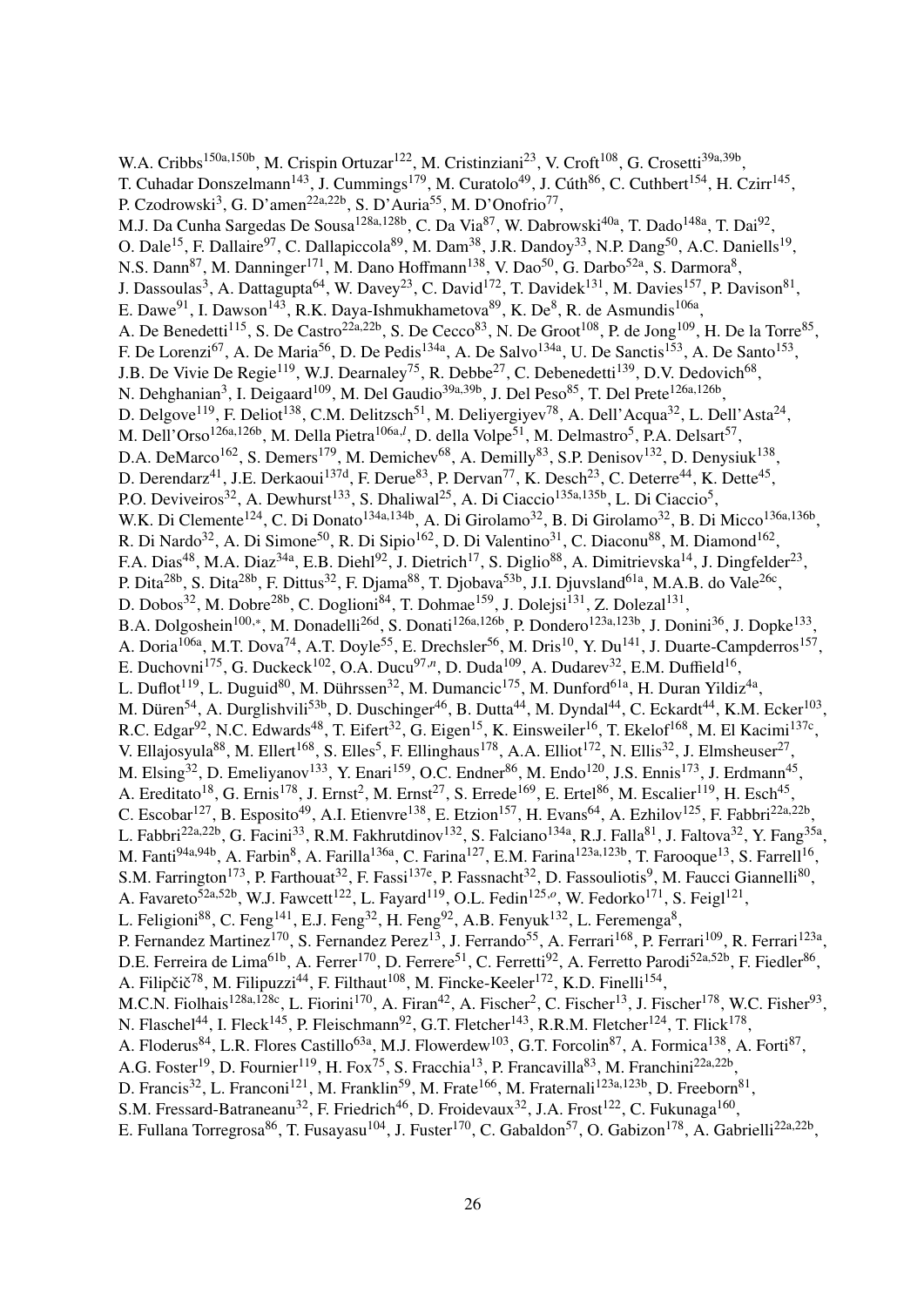W.A. Cribbs<sup>150a,150b</sup>, M. Crispin Ortuzar<sup>122</sup>, M. Cristinziani<sup>23</sup>, V. Croft<sup>108</sup>, G. Crosetti<sup>39a,39b</sup>, T. Cuhadar Donszelmann<sup>143</sup>, J. Cummings<sup>179</sup>, M. Curatolo<sup>49</sup>, J. Cúth<sup>86</sup>, C. Cuthbert<sup>154</sup>, H. Czirr<sup>145</sup>, P. Czodrowski<sup>3</sup>, G. D'amen<sup>22a,22b</sup>, S. D'Auria<sup>55</sup>, M. D'Onofrio<sup>77</sup>, M.J. Da Cunha Sargedas De Sousa<sup>128a,128b</sup>, C. Da Via<sup>87</sup>, W. Dabrowski<sup>40a</sup>, T. Dado<sup>148a</sup>, T. Dai<sup>92</sup>, O. Dale<sup>15</sup>, F. Dallaire<sup>97</sup>, C. Dallapiccola<sup>89</sup>, M. Dam<sup>38</sup>, J.R. Dandoy<sup>33</sup>, N.P. Dang<sup>50</sup>, A.C. Daniells<sup>19</sup>, N.S. Dann<sup>87</sup>, M. Danninger<sup>171</sup>, M. Dano Hoffmann<sup>138</sup>, V. Dao<sup>50</sup>, G. Darbo<sup>52a</sup>, S. Darmora<sup>8</sup>, J. Dassoulas<sup>3</sup>, A. Dattagupta<sup>64</sup>, W. Davey<sup>23</sup>, C. David<sup>172</sup>, T. Davidek<sup>131</sup>, M. Davies<sup>157</sup>, P. Davison<sup>81</sup>, E. Dawe<sup>91</sup>, I. Dawson<sup>143</sup>, R.K. Daya-Ishmukhametova<sup>89</sup>, K. De<sup>8</sup>, R. de Asmundis<sup>106a</sup>, A. De Benedetti<sup>115</sup>, S. De Castro<sup>22a,22b</sup>, S. De Cecco<sup>83</sup>, N. De Groot<sup>108</sup>, P. de Jong<sup>109</sup>, H. De la Torre<sup>85</sup>, F. De Lorenzi<sup>67</sup>, A. De Maria<sup>56</sup>, D. De Pedis<sup>134a</sup>, A. De Salvo<sup>134a</sup>, U. De Sanctis<sup>153</sup>, A. De Santo<sup>153</sup>, J.B. De Vivie De Regie<sup>119</sup>, W.J. Dearnaley<sup>75</sup>, R. Debbe<sup>27</sup>, C. Debenedetti<sup>139</sup>, D.V. Dedovich<sup>68</sup>, N. Dehghanian<sup>3</sup>, I. Deigaard<sup>109</sup>, M. Del Gaudio<sup>39a,39b</sup>, J. Del Peso<sup>85</sup>, T. Del Prete<sup>126a,126b</sup>, D. Delgove<sup>119</sup>, F. Deliot<sup>138</sup>, C.M. Delitzsch<sup>51</sup>, M. Deliyergiyev<sup>78</sup>, A. Dell'Acqua<sup>32</sup>, L. Dell'Asta<sup>24</sup>, M. Dell'Orso<sup>126a,126b</sup>, M. Della Pietra<sup>106a,*l*</sup>, D. della Volpe<sup>51</sup>, M. Delmastro<sup>5</sup>, P.A. Delsart<sup>57</sup>, D.A. DeMarco<sup>162</sup>, S. Demers<sup>179</sup>, M. Demichev<sup>68</sup>, A. Demilly<sup>83</sup>, S.P. Denisov<sup>132</sup>, D. Denysiuk<sup>138</sup>, D. Derendarz<sup>41</sup>, J.E. Derkaoui<sup>137d</sup>, F. Derue<sup>83</sup>, P. Dervan<sup>77</sup>, K. Desch<sup>23</sup>, C. Deterre<sup>44</sup>, K. Dette<sup>45</sup>, P.O. Deviveiros<sup>32</sup>, A. Dewhurst<sup>133</sup>, S. Dhaliwal<sup>25</sup>, A. Di Ciaccio<sup>135a,135b</sup>, L. Di Ciaccio<sup>5</sup>, W.K. Di Clemente<sup>124</sup>, C. Di Donato<sup>134a,134b</sup>, A. Di Girolamo<sup>32</sup>, B. Di Girolamo<sup>32</sup>, B. Di Micco<sup>136a,136b</sup>, R. Di Nardo<sup>32</sup>, A. Di Simone<sup>50</sup>, R. Di Sipio<sup>162</sup>, D. Di Valentino<sup>31</sup>, C. Diaconu<sup>88</sup>, M. Diamond<sup>162</sup>, F.A. Dias<sup>48</sup>, M.A. Diaz<sup>34a</sup>, E.B. Diehl<sup>92</sup>, J. Dietrich<sup>17</sup>, S. Diglio<sup>88</sup>, A. Dimitrievska<sup>14</sup>, J. Dingfelder<sup>23</sup>, P. Dita<sup>28b</sup>, S. Dita<sup>28b</sup>, F. Dittus<sup>32</sup>, F. Djama<sup>88</sup>, T. Djobava<sup>53b</sup>, J.I. Djuvsland<sup>61a</sup>, M.A.B. do Vale<sup>26c</sup>, D. Dobos<sup>32</sup>, M. Dobre<sup>28b</sup>, C. Doglioni<sup>84</sup>, T. Dohmae<sup>159</sup>, J. Dolejsi<sup>131</sup>, Z. Dolezal<sup>131</sup>, B.A. Dolgoshein<sup>100,∗</sup>, M. Donadelli<sup>26d</sup>, S. Donati<sup>126a,126b</sup>, P. Dondero<sup>123a,123b</sup>, J. Donini<sup>36</sup>, J. Dopke<sup>133</sup>, A. Doria<sup>106a</sup>, M.T. Dova<sup>74</sup>, A.T. Doyle<sup>55</sup>, E. Drechsler<sup>56</sup>, M. Dris<sup>10</sup>, Y. Du<sup>141</sup>, J. Duarte-Campderros<sup>157</sup>, E. Duchovni<sup>175</sup>, G. Duckeck<sup>102</sup>, O.A. Ducu<sup>97,*n*</sup>, D. Duda<sup>109</sup>, A. Dudarev<sup>32</sup>, E.M. Duffield<sup>16</sup>, L. Duflot<sup>119</sup>, L. Duguid<sup>80</sup>, M. Dührssen<sup>32</sup>, M. Dumancic<sup>175</sup>, M. Dunford<sup>61a</sup>, H. Duran Yildiz<sup>4a</sup>, M. Düren<sup>54</sup>, A. Durglishvili<sup>53b</sup>, D. Duschinger<sup>46</sup>, B. Dutta<sup>44</sup>, M. Dyndal<sup>44</sup>, C. Eckardt<sup>44</sup>, K.M. Ecker<sup>103</sup>, R.C. Edgar<sup>92</sup>, N.C. Edwards<sup>48</sup>, T. Eifert<sup>32</sup>, G. Eigen<sup>15</sup>, K. Einsweiler<sup>16</sup>, T. Ekelof<sup>168</sup>, M. El Kacimi<sup>137c</sup>, V. Ellajosyula<sup>88</sup>, M. Ellert<sup>168</sup>, S. Elles<sup>5</sup>, F. Ellinghaus<sup>178</sup>, A.A. Elliot<sup>172</sup>, N. Ellis<sup>32</sup>, J. Elmsheuser<sup>27</sup>, M. Elsing<sup>32</sup>, D. Emeliyanov<sup>133</sup>, Y. Enari<sup>159</sup>, O.C. Endner<sup>86</sup>, M. Endo<sup>120</sup>, J.S. Ennis<sup>173</sup>, J. Erdmann<sup>45</sup>, A. Ereditato<sup>18</sup>, G. Ernis<sup>178</sup>, J. Ernst<sup>2</sup>, M. Ernst<sup>27</sup>, S. Errede<sup>169</sup>, E. Ertel<sup>86</sup>, M. Escalier<sup>119</sup>, H. Esch<sup>45</sup>, C. Escobar<sup>127</sup>, B. Esposito<sup>49</sup>, A.I. Etienvre<sup>138</sup>, E. Etzion<sup>157</sup>, H. Evans<sup>64</sup>, A. Ezhilov<sup>125</sup>, F. Fabbri<sup>22a,22b</sup>, L. Fabbri<sup>22a,22b</sup>, G. Facini<sup>33</sup>, R.M. Fakhrutdinov<sup>132</sup>, S. Falciano<sup>134a</sup>, R.J. Falla<sup>81</sup>, J. Faltova<sup>32</sup>, Y. Fang<sup>35a</sup>, M. Fanti<sup>94a,94b</sup>, A. Farbin<sup>8</sup>, A. Farilla<sup>136a</sup>, C. Farina<sup>127</sup>, E.M. Farina<sup>123a,123b</sup>, T. Farooque<sup>13</sup>, S. Farrell<sup>16</sup>, S.M. Farrington<sup>173</sup>, P. Farthouat<sup>32</sup>, F. Fassi<sup>137e</sup>, P. Fassnacht<sup>32</sup>, D. Fassouliotis<sup>9</sup>, M. Faucci Giannelli<sup>80</sup>, A. Favareto<sup>52a,52b</sup>, W.J. Fawcett<sup>122</sup>, L. Fayard<sup>119</sup>, O.L. Fedin<sup>125,0</sup>, W. Fedorko<sup>171</sup>, S. Feigl<sup>121</sup>, L. Feligioni<sup>88</sup>, C. Feng<sup>141</sup>, E.J. Feng<sup>32</sup>, H. Feng<sup>92</sup>, A.B. Fenyuk<sup>132</sup>, L. Feremenga<sup>8</sup>, P. Fernandez Martinez<sup>170</sup>, S. Fernandez Perez<sup>13</sup>, J. Ferrando<sup>55</sup>, A. Ferrari<sup>168</sup>, P. Ferrari<sup>109</sup>, R. Ferrari<sup>123a</sup>, D.E. Ferreira de Lima<sup>61b</sup>, A. Ferrer<sup>170</sup>, D. Ferrere<sup>51</sup>, C. Ferretti<sup>92</sup>, A. Ferretto Parodi<sup>52a,52b</sup>, F. Fiedler<sup>86</sup>, A. Filipčič<sup>78</sup>, M. Filipuzzi<sup>44</sup>, F. Filthaut<sup>108</sup>, M. Fincke-Keeler<sup>172</sup>, K.D. Finelli<sup>154</sup>, M.C.N. Fiolhais<sup>128a,128c</sup>, L. Fiorini<sup>170</sup>, A. Firan<sup>42</sup>, A. Fischer<sup>2</sup>, C. Fischer<sup>13</sup>, J. Fischer<sup>178</sup>, W.C. Fisher<sup>93</sup>, N. Flaschel<sup>44</sup>, I. Fleck<sup>145</sup>, P. Fleischmann<sup>92</sup>, G.T. Fletcher<sup>143</sup>, R.R.M. Fletcher<sup>124</sup>, T. Flick<sup>178</sup>, A. Floderus<sup>84</sup>, L.R. Flores Castillo<sup>63a</sup>, M.J. Flowerdew<sup>103</sup>, G.T. Forcolin<sup>87</sup>, A. Formica<sup>138</sup>, A. Forti<sup>87</sup>, A.G. Foster<sup>19</sup>, D. Fournier<sup>119</sup>, H. Fox<sup>75</sup>, S. Fracchia<sup>13</sup>, P. Francavilla<sup>83</sup>, M. Franchini<sup>22a,22b</sup>, D. Francis<sup>32</sup>, L. Franconi<sup>121</sup>, M. Franklin<sup>59</sup>, M. Frate<sup>166</sup>, M. Fraternali<sup>123a,123b</sup>, D. Freeborn<sup>81</sup>, S.M. Fressard-Batraneanu<sup>32</sup>, F. Friedrich<sup>46</sup>, D. Froidevaux<sup>32</sup>, J.A. Frost<sup>122</sup>, C. Fukunaga<sup>160</sup>, E. Fullana Torregrosa<sup>86</sup>, T. Fusayasu<sup>104</sup>, J. Fuster<sup>170</sup>, C. Gabaldon<sup>57</sup>, O. Gabizon<sup>178</sup>, A. Gabrielli<sup>22a,22b</sup>,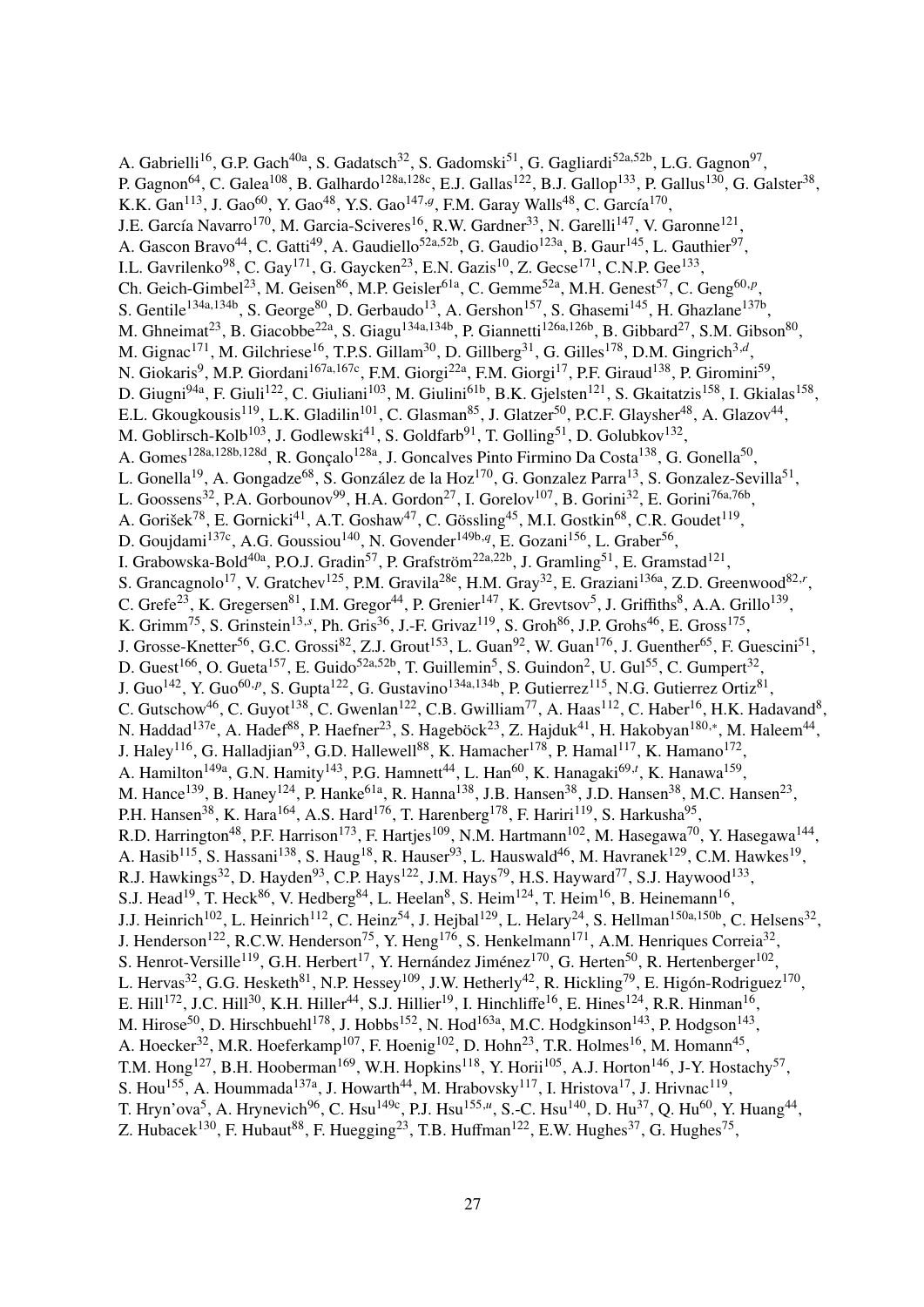A. Gabrielli<sup>16</sup>, G.P. Gach<sup>40a</sup>, S. Gadatsch<sup>32</sup>, S. Gadomski<sup>51</sup>, G. Gagliardi<sup>52a,52b</sup>, L.G. Gagnon<sup>97</sup>, P. Gagnon<sup>64</sup>, C. Galea<sup>108</sup>, B. Galhardo<sup>128a,128c</sup>, E.J. Gallas<sup>122</sup>, B.J. Gallop<sup>133</sup>, P. Gallus<sup>130</sup>, G. Galster<sup>38</sup>, K.K. Gan<sup>113</sup>, J. Gao<sup>60</sup>, Y. Gao<sup>48</sup>, Y.S. Gao<sup>147,g</sup>, F.M. Garay Walls<sup>48</sup>, C. García<sup>170</sup>, J.E. García Navarro<sup>170</sup>, M. Garcia-Sciveres<sup>16</sup>, R.W. Gardner<sup>33</sup>, N. Garelli<sup>147</sup>, V. Garonne<sup>121</sup>, A. Gascon Bravo<sup>44</sup>, C. Gatti<sup>49</sup>, A. Gaudiello<sup>52a,52b</sup>, G. Gaudio<sup>123a</sup>, B. Gaur<sup>145</sup>, L. Gauthier<sup>97</sup>, I.L. Gavrilenko<sup>98</sup>, C. Gay<sup>171</sup>, G. Gaycken<sup>23</sup>, E.N. Gazis<sup>10</sup>, Z. Gecse<sup>171</sup>, C.N.P. Gee<sup>133</sup>, Ch. Geich-Gimbel<sup>23</sup>, M. Geisen<sup>86</sup>, M.P. Geisler<sup>61a</sup>, C. Gemme<sup>52a</sup>, M.H. Genest<sup>57</sup>, C. Geng<sup>60,*p*</sup>, S. Gentile<sup>134a,134b</sup>, S. George<sup>80</sup>, D. Gerbaudo<sup>13</sup>, A. Gershon<sup>157</sup>, S. Ghasemi<sup>145</sup>, H. Ghazlane<sup>137b</sup>, M. Ghneimat<sup>23</sup>, B. Giacobbe<sup>22a</sup>, S. Giagu<sup>134a,134b</sup>, P. Giannetti<sup>126a,126b</sup>, B. Gibbard<sup>27</sup>, S.M. Gibson<sup>80</sup>, M. Gignac<sup>171</sup>, M. Gilchriese<sup>16</sup>, T.P.S. Gillam<sup>30</sup>, D. Gillberg<sup>31</sup>, G. Gilles<sup>178</sup>, D.M. Gingrich<sup>3,d</sup>, N. Giokaris<sup>9</sup>, M.P. Giordani<sup>167a,167c</sup>, F.M. Giorgi<sup>22a</sup>, F.M. Giorgi<sup>17</sup>, P.F. Giraud<sup>138</sup>, P. Giromini<sup>59</sup>, D. Giugni<sup>94a</sup>, F. Giuli<sup>122</sup>, C. Giuliani<sup>103</sup>, M. Giulini<sup>61b</sup>, B.K. Gjelsten<sup>121</sup>, S. Gkaitatzis<sup>158</sup>, I. Gkialas<sup>158</sup>, E.L. Gkougkousis<sup>119</sup>, L.K. Gladilin<sup>101</sup>, C. Glasman<sup>85</sup>, J. Glatzer<sup>50</sup>, P.C.F. Glaysher<sup>48</sup>, A. Glazov<sup>44</sup>, M. Goblirsch-Kolb<sup>103</sup>, J. Godlewski<sup>41</sup>, S. Goldfarb<sup>91</sup>, T. Golling<sup>51</sup>, D. Golubkov<sup>132</sup>, A. Gomes<sup>128a,128b,128d</sup>, R. Gonçalo<sup>128a</sup>, J. Goncalves Pinto Firmino Da Costa<sup>138</sup>, G. Gonella<sup>50</sup>, L. Gonella<sup>19</sup>, A. Gongadze<sup>68</sup>, S. González de la Hoz<sup>170</sup>, G. Gonzalez Parra<sup>13</sup>, S. Gonzalez-Sevilla<sup>51</sup>, L. Goossens<sup>32</sup>, P.A. Gorbounov<sup>99</sup>, H.A. Gordon<sup>27</sup>, I. Gorelov<sup>107</sup>, B. Gorini<sup>32</sup>, E. Gorini<sup>76a,76b</sup>, A. Gorišek<sup>78</sup>, E. Gornicki<sup>41</sup>, A.T. Goshaw<sup>47</sup>, C. Gössling<sup>45</sup>, M.I. Gostkin<sup>68</sup>, C.R. Goudet<sup>119</sup>, D. Goujdami<sup>137c</sup>, A.G. Goussiou<sup>140</sup>, N. Govender<sup>149b, q</sup>, E. Gozani<sup>156</sup>, L. Graber<sup>56</sup>, I. Grabowska-Bold<sup>40a</sup>, P.O.J. Gradin<sup>57</sup>, P. Grafström<sup>22a,22b</sup>, J. Gramling<sup>51</sup>, E. Gramstad<sup>121</sup>, S. Grancagnolo<sup>17</sup>, V. Gratchev<sup>125</sup>, P.M. Gravila<sup>28e</sup>, H.M. Gray<sup>32</sup>, E. Graziani<sup>136a</sup>, Z.D. Greenwood<sup>82,*r*</sup>, C. Grefe<sup>23</sup>, K. Gregersen<sup>81</sup>, I.M. Gregor<sup>44</sup>, P. Grenier<sup>147</sup>, K. Grevtsov<sup>5</sup>, J. Griffiths<sup>8</sup>, A.A. Grillo<sup>139</sup>, K. Grimm<sup>75</sup>, S. Grinstein<sup>13, s</sup>, Ph. Gris<sup>36</sup>, J.-F. Grivaz<sup>119</sup>, S. Groh<sup>86</sup>, J.P. Grohs<sup>46</sup>, E. Gross<sup>175</sup>, J. Grosse-Knetter<sup>56</sup>, G.C. Grossi<sup>82</sup>, Z.J. Grout<sup>153</sup>, L. Guan<sup>92</sup>, W. Guan<sup>176</sup>, J. Guenther<sup>65</sup>, F. Guescini<sup>51</sup>, D. Guest<sup>166</sup>, O. Gueta<sup>157</sup>, E. Guido<sup>52a,52b</sup>, T. Guillemin<sup>5</sup>, S. Guindon<sup>2</sup>, U. Gul<sup>55</sup>, C. Gumpert<sup>32</sup>, J. Guo<sup>142</sup>, Y. Guo<sup>60,p</sup>, S. Gupta<sup>122</sup>, G. Gustavino<sup>134a,134b</sup>, P. Gutierrez<sup>115</sup>, N.G. Gutierrez Ortiz<sup>81</sup>, C. Gutschow<sup>46</sup>, C. Guyot<sup>138</sup>, C. Gwenlan<sup>122</sup>, C.B. Gwilliam<sup>77</sup>, A. Haas<sup>112</sup>, C. Haber<sup>16</sup>, H.K. Hadavand<sup>8</sup>, N. Haddad<sup>137e</sup>, A. Hadef<sup>88</sup>, P. Haefner<sup>23</sup>, S. Hageböck<sup>23</sup>, Z. Hajduk<sup>41</sup>, H. Hakobyan<sup>180,∗</sup>, M. Haleem<sup>44</sup>, J. Haley<sup>116</sup>, G. Halladjian<sup>93</sup>, G.D. Hallewell<sup>88</sup>, K. Hamacher<sup>178</sup>, P. Hamal<sup>117</sup>, K. Hamano<sup>172</sup>, A. Hamilton<sup>149a</sup>, G.N. Hamity<sup>143</sup>, P.G. Hamnett<sup>44</sup>, L. Han<sup>60</sup>, K. Hanagaki<sup>69,*t*</sup>, K. Hanawa<sup>159</sup>, M. Hance<sup>139</sup>, B. Haney<sup>124</sup>, P. Hanke<sup>61a</sup>, R. Hanna<sup>138</sup>, J.B. Hansen<sup>38</sup>, J.D. Hansen<sup>38</sup>, M.C. Hansen<sup>23</sup>, P.H. Hansen<sup>38</sup>, K. Hara<sup>164</sup>, A.S. Hard<sup>176</sup>, T. Harenberg<sup>178</sup>, F. Hariri<sup>119</sup>, S. Harkusha<sup>95</sup>, R.D. Harrington<sup>48</sup>, P.F. Harrison<sup>173</sup>, F. Hartjes<sup>109</sup>, N.M. Hartmann<sup>102</sup>, M. Hasegawa<sup>70</sup>, Y. Hasegawa<sup>144</sup>, A. Hasib<sup>115</sup>, S. Hassani<sup>138</sup>, S. Haug<sup>18</sup>, R. Hauser<sup>93</sup>, L. Hauswald<sup>46</sup>, M. Havranek<sup>129</sup>, C.M. Hawkes<sup>19</sup>, R.J. Hawkings<sup>32</sup>, D. Hayden<sup>93</sup>, C.P. Hays<sup>122</sup>, J.M. Hays<sup>79</sup>, H.S. Hayward<sup>77</sup>, S.J. Haywood<sup>133</sup>, S.J. Head<sup>19</sup>, T. Heck<sup>86</sup>, V. Hedberg<sup>84</sup>, L. Heelan<sup>8</sup>, S. Heim<sup>124</sup>, T. Heim<sup>16</sup>, B. Heinemann<sup>16</sup>, J.J. Heinrich<sup>102</sup>, L. Heinrich<sup>112</sup>, C. Heinz<sup>54</sup>, J. Hejbal<sup>129</sup>, L. Helary<sup>24</sup>, S. Hellman<sup>150a,150b</sup>, C. Helsens<sup>32</sup>, J. Henderson<sup>122</sup>, R.C.W. Henderson<sup>75</sup>, Y. Heng<sup>176</sup>, S. Henkelmann<sup>171</sup>, A.M. Henriques Correia<sup>32</sup>, S. Henrot-Versille<sup>119</sup>, G.H. Herbert<sup>17</sup>, Y. Hernández Jiménez<sup>170</sup>, G. Herten<sup>50</sup>, R. Hertenberger<sup>102</sup>, L. Hervas<sup>32</sup>, G.G. Hesketh<sup>81</sup>, N.P. Hessey<sup>109</sup>, J.W. Hetherly<sup>42</sup>, R. Hickling<sup>79</sup>, E. Higón-Rodriguez<sup>170</sup>, E. Hill<sup>172</sup>, J.C. Hill<sup>30</sup>, K.H. Hiller<sup>44</sup>, S.J. Hillier<sup>19</sup>, I. Hinchliffe<sup>16</sup>, E. Hines<sup>124</sup>, R.R. Hinman<sup>16</sup>, M. Hirose<sup>50</sup>, D. Hirschbuehl<sup>178</sup>, J. Hobbs<sup>152</sup>, N. Hod<sup>163a</sup>, M.C. Hodgkinson<sup>143</sup>, P. Hodgson<sup>143</sup>, A. Hoecker<sup>32</sup>, M.R. Hoeferkamp<sup>107</sup>, F. Hoenig<sup>102</sup>, D. Hohn<sup>23</sup>, T.R. Holmes<sup>16</sup>, M. Homann<sup>45</sup>, T.M. Hong<sup>127</sup>, B.H. Hooberman<sup>169</sup>, W.H. Hopkins<sup>118</sup>, Y. Horii<sup>105</sup>, A.J. Horton<sup>146</sup>, J-Y. Hostachy<sup>57</sup>, S. Hou<sup>155</sup>, A. Hoummada<sup>137a</sup>, J. Howarth<sup>44</sup>, M. Hrabovsky<sup>117</sup>, I. Hristova<sup>17</sup>, J. Hrivnac<sup>119</sup>, T. Hryn'ova<sup>5</sup>, A. Hrynevich<sup>96</sup>, C. Hsu<sup>149c</sup>, P.J. Hsu<sup>155,*u*</sup>, S.-C. Hsu<sup>140</sup>, D. Hu<sup>37</sup>, Q. Hu<sup>60</sup>, Y. Huang<sup>44</sup>, Z. Hubacek<sup>130</sup>, F. Hubaut<sup>88</sup>, F. Huegging<sup>23</sup>, T.B. Huffman<sup>122</sup>, E.W. Hughes<sup>37</sup>, G. Hughes<sup>75</sup>,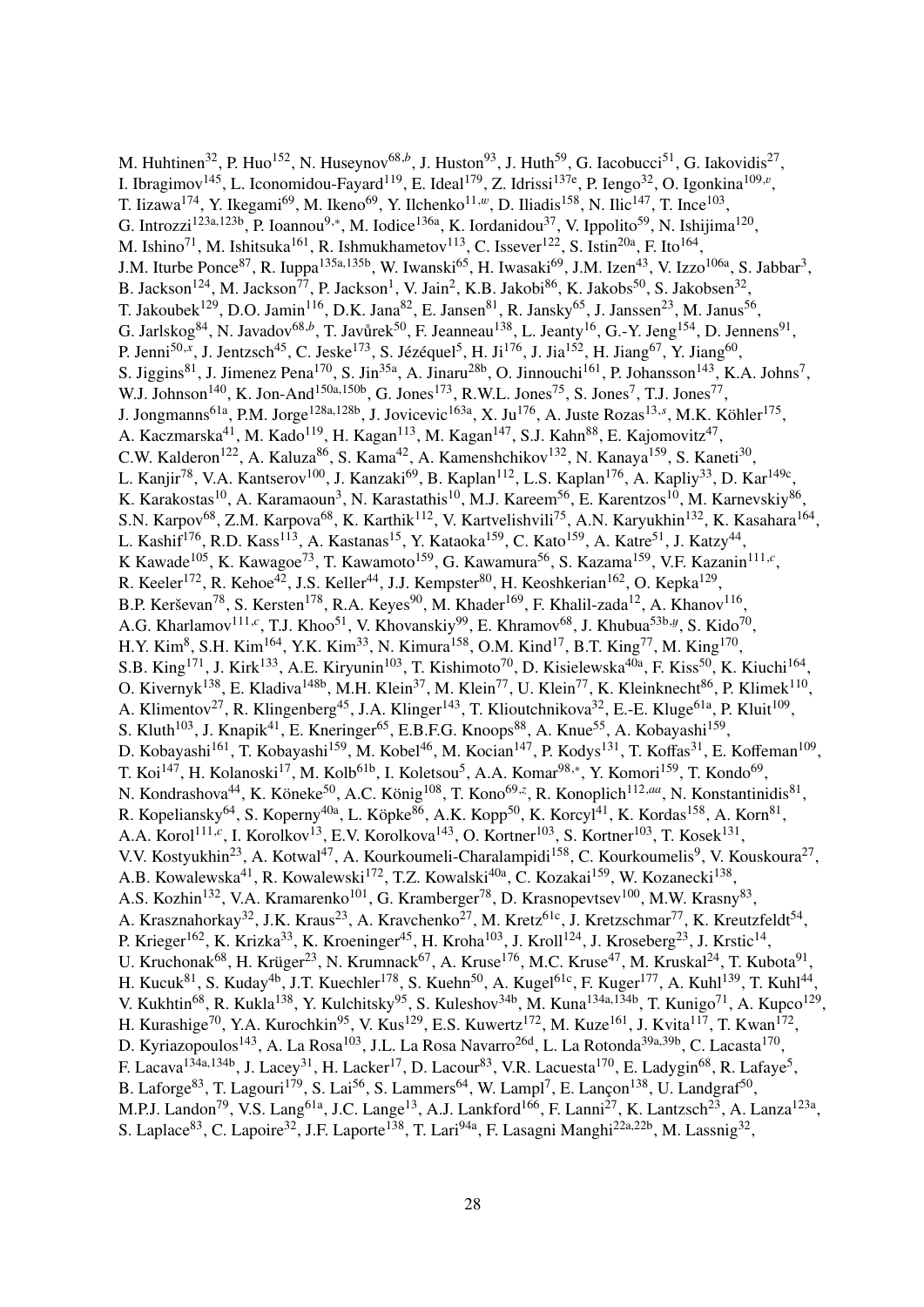M. Huhtinen<sup>32</sup>, P. Huo<sup>152</sup>, N. Huseynov<sup>68,b</sup>, J. Huston<sup>93</sup>, J. Huth<sup>59</sup>, G. Iacobucci<sup>51</sup>, G. Iakovidis<sup>27</sup>, I. Ibragimov<sup>145</sup>, L. Iconomidou-Fayard<sup>119</sup>, E. Ideal<sup>179</sup>, Z. Idrissi<sup>137e</sup>, P. Iengo<sup>32</sup>, O. Igonkina<sup>109,*v*</sup>, T. Iizawa<sup>174</sup>, Y. Ikegami<sup>69</sup>, M. Ikeno<sup>69</sup>, Y. Ilchenko<sup>11,*w*</sup>, D. Iliadis<sup>158</sup>, N. Ilic<sup>147</sup>, T. Ince<sup>103</sup>, G. Introzzi<sup>123a,123b</sup>, P. Ioannou<sup>9,\*</sup>, M. Iodice<sup>136a</sup>, K. Iordanidou<sup>37</sup>, V. Ippolito<sup>59</sup>, N. Ishijima<sup>120</sup>, M. Ishino<sup>71</sup>, M. Ishitsuka<sup>161</sup>, R. Ishmukhametov<sup>113</sup>, C. Issever<sup>122</sup>, S. Istin<sup>20a</sup>, F. Ito<sup>164</sup>, J.M. Iturbe Ponce<sup>87</sup>, R. Iuppa<sup>135a,135b</sup>, W. Iwanski<sup>65</sup>, H. Iwasaki<sup>69</sup>, J.M. Izen<sup>43</sup>, V. Izzo<sup>106a</sup>, S. Jabbar<sup>3</sup>, B. Jackson<sup>124</sup>, M. Jackson<sup>77</sup>, P. Jackson<sup>1</sup>, V. Jain<sup>2</sup>, K.B. Jakobi<sup>86</sup>, K. Jakobs<sup>50</sup>, S. Jakobsen<sup>32</sup>, T. Jakoubek<sup>129</sup>, D.O. Jamin<sup>116</sup>, D.K. Jana<sup>82</sup>, E. Jansen<sup>81</sup>, R. Jansky<sup>65</sup>, J. Janssen<sup>23</sup>, M. Janus<sup>56</sup>, G. Jarlskog<sup>84</sup>, N. Javadov<sup>68,b</sup>, T. Javůrek<sup>50</sup>, F. Jeanneau<sup>138</sup>, L. Jeanty<sup>16</sup>, G.-Y. Jeng<sup>154</sup>, D. Jennens<sup>91</sup>, P. Jenni<sup>50,x</sup>, J. Jentzsch<sup>45</sup>, C. Jeske<sup>173</sup>, S. Jézéquel<sup>5</sup>, H. Ji<sup>176</sup>, J. Jia<sup>152</sup>, H. Jiang<sup>67</sup>, Y. Jiang<sup>60</sup>, S. Jiggins<sup>81</sup>, J. Jimenez Pena<sup>170</sup>, S. Jin<sup>35a</sup>, A. Jinaru<sup>28b</sup>, O. Jinnouchi<sup>161</sup>, P. Johansson<sup>143</sup>, K.A. Johns<sup>7</sup>, W.J. Johnson<sup>140</sup>, K. Jon-And<sup>150a,150b</sup>, G. Jones<sup>173</sup>, R.W.L. Jones<sup>75</sup>, S. Jones<sup>7</sup>, T.J. Jones<sup>77</sup>, J. Jongmanns<sup>61a</sup>, P.M. Jorge<sup>128a,128b</sup>, J. Jovicevic<sup>163a</sup>, X. Ju<sup>176</sup>, A. Juste Rozas<sup>13,*s*</sup>, M.K. Köhler<sup>175</sup>, A. Kaczmarska<sup>41</sup>, M. Kado<sup>119</sup>, H. Kagan<sup>113</sup>, M. Kagan<sup>147</sup>, S.J. Kahn<sup>88</sup>, E. Kajomovitz<sup>47</sup>, C.W. Kalderon<sup>122</sup>, A. Kaluza<sup>86</sup>, S. Kama<sup>42</sup>, A. Kamenshchikov<sup>132</sup>, N. Kanaya<sup>159</sup>, S. Kaneti<sup>30</sup>, L. Kanjir<sup>78</sup>, V.A. Kantserov<sup>100</sup>, J. Kanzaki<sup>69</sup>, B. Kaplan<sup>112</sup>, L.S. Kaplan<sup>176</sup>, A. Kapliy<sup>33</sup>, D. Kar<sup>149c</sup>, K. Karakostas<sup>10</sup>, A. Karamaoun<sup>3</sup>, N. Karastathis<sup>10</sup>, M.J. Kareem<sup>56</sup>, E. Karentzos<sup>10</sup>, M. Karnevskiy<sup>86</sup>, S.N. Karpov<sup>68</sup>, Z.M. Karpova<sup>68</sup>, K. Karthik<sup>112</sup>, V. Kartvelishvili<sup>75</sup>, A.N. Karyukhin<sup>132</sup>, K. Kasahara<sup>164</sup>, L. Kashif<sup>176</sup>, R.D. Kass<sup>113</sup>, A. Kastanas<sup>15</sup>, Y. Kataoka<sup>159</sup>, C. Kato<sup>159</sup>, A. Katre<sup>51</sup>, J. Katzy<sup>44</sup>, K Kawade<sup>105</sup>, K. Kawagoe<sup>73</sup>, T. Kawamoto<sup>159</sup>, G. Kawamura<sup>56</sup>, S. Kazama<sup>159</sup>, V.F. Kazanin<sup>111,*c*</sup>, R. Keeler<sup>172</sup>, R. Kehoe<sup>42</sup>, J.S. Keller<sup>44</sup>, J.J. Kempster<sup>80</sup>, H. Keoshkerian<sup>162</sup>, O. Kepka<sup>129</sup>, B.P. Kerševan<sup>78</sup>, S. Kersten<sup>178</sup>, R.A. Keyes<sup>90</sup>, M. Khader<sup>169</sup>, F. Khalil-zada<sup>12</sup>, A. Khanov<sup>116</sup>, A.G. Kharlamov<sup>111,*c*</sup>, T.J. Khoo<sup>51</sup>, V. Khovanskiy<sup>99</sup>, E. Khramov<sup>68</sup>, J. Khubua<sup>53b,*y*</sup>, S. Kido<sup>70</sup>, H.Y. Kim<sup>8</sup>, S.H. Kim<sup>164</sup>, Y.K. Kim<sup>33</sup>, N. Kimura<sup>158</sup>, O.M. Kind<sup>17</sup>, B.T. King<sup>77</sup>, M. King<sup>170</sup>, S.B. King<sup>171</sup>, J. Kirk<sup>133</sup>, A.E. Kiryunin<sup>103</sup>, T. Kishimoto<sup>70</sup>, D. Kisielewska<sup>40a</sup>, F. Kiss<sup>50</sup>, K. Kiuchi<sup>164</sup>, O. Kivernyk<sup>138</sup>, E. Kladiva<sup>148b</sup>, M.H. Klein<sup>37</sup>, M. Klein<sup>77</sup>, U. Klein<sup>77</sup>, K. Kleinknecht<sup>86</sup>, P. Klimek<sup>110</sup>, A. Klimentov<sup>27</sup>, R. Klingenberg<sup>45</sup>, J.A. Klinger<sup>143</sup>, T. Klioutchnikova<sup>32</sup>, E.-E. Kluge<sup>61a</sup>, P. Kluit<sup>109</sup>, S. Kluth<sup>103</sup>, J. Knapik<sup>41</sup>, E. Kneringer<sup>65</sup>, E.B.F.G. Knoops<sup>88</sup>, A. Knue<sup>55</sup>, A. Kobayashi<sup>159</sup>, D. Kobayashi<sup>161</sup>, T. Kobayashi<sup>159</sup>, M. Kobel<sup>46</sup>, M. Kocian<sup>147</sup>, P. Kodys<sup>131</sup>, T. Koffas<sup>31</sup>, E. Koffeman<sup>109</sup>, T. Koi<sup>147</sup>, H. Kolanoski<sup>17</sup>, M. Kolb<sup>61b</sup>, I. Koletsou<sup>5</sup>, A.A. Komar<sup>98,\*</sup>, Y. Komori<sup>159</sup>, T. Kondo<sup>69</sup>, N. Kondrashova<sup>44</sup>, K. Köneke<sup>50</sup>, A.C. König<sup>108</sup>, T. Kono<sup>69,*z*</sup>, R. Konoplich<sup>112,*aa*</sup>, N. Konstantinidis<sup>81</sup>, R. Kopeliansky<sup>64</sup>, S. Koperny<sup>40a</sup>, L. Köpke<sup>86</sup>, A.K. Kopp<sup>50</sup>, K. Korcyl<sup>41</sup>, K. Kordas<sup>158</sup>, A. Korn<sup>81</sup>, A.A. Korol<sup>111,*c*</sup>, I. Korolkov<sup>13</sup>, E.V. Korolkova<sup>143</sup>, O. Kortner<sup>103</sup>, S. Kortner<sup>103</sup>, T. Kosek<sup>131</sup>, V.V. Kostyukhin<sup>23</sup>, A. Kotwal<sup>47</sup>, A. Kourkoumeli-Charalampidi<sup>158</sup>, C. Kourkoumelis<sup>9</sup>, V. Kouskoura<sup>27</sup>, A.B. Kowalewska<sup>41</sup>, R. Kowalewski<sup>172</sup>, T.Z. Kowalski<sup>40a</sup>, C. Kozakai<sup>159</sup>, W. Kozanecki<sup>138</sup>, A.S. Kozhin<sup>132</sup>, V.A. Kramarenko<sup>101</sup>, G. Kramberger<sup>78</sup>, D. Krasnopevtsev<sup>100</sup>, M.W. Krasny<sup>83</sup>, A. Krasznahorkay<sup>32</sup>, J.K. Kraus<sup>23</sup>, A. Kravchenko<sup>27</sup>, M. Kretz<sup>61c</sup>, J. Kretzschmar<sup>77</sup>, K. Kreutzfeldt<sup>54</sup>, P. Krieger<sup>162</sup>, K. Krizka<sup>33</sup>, K. Kroeninger<sup>45</sup>, H. Kroha<sup>103</sup>, J. Kroll<sup>124</sup>, J. Kroseberg<sup>23</sup>, J. Krstic<sup>14</sup>, U. Kruchonak<sup>68</sup>, H. Krüger<sup>23</sup>, N. Krumnack<sup>67</sup>, A. Kruse<sup>176</sup>, M.C. Kruse<sup>47</sup>, M. Kruskal<sup>24</sup>, T. Kubota<sup>91</sup>, H. Kucuk<sup>81</sup>, S. Kuday<sup>4b</sup>, J.T. Kuechler<sup>178</sup>, S. Kuehn<sup>50</sup>, A. Kugel<sup>61c</sup>, F. Kuger<sup>177</sup>, A. Kuhl<sup>139</sup>, T. Kuhl<sup>44</sup>, V. Kukhtin<sup>68</sup>, R. Kukla<sup>138</sup>, Y. Kulchitsky<sup>95</sup>, S. Kuleshov<sup>34b</sup>, M. Kuna<sup>134a,134b</sup>, T. Kunigo<sup>71</sup>, A. Kupco<sup>129</sup>, H. Kurashige<sup>70</sup>, Y.A. Kurochkin<sup>95</sup>, V. Kus<sup>129</sup>, E.S. Kuwertz<sup>172</sup>, M. Kuze<sup>161</sup>, J. Kvita<sup>117</sup>, T. Kwan<sup>172</sup>, D. Kyriazopoulos<sup>143</sup>, A. La Rosa<sup>103</sup>, J.L. La Rosa Navarro<sup>26d</sup>, L. La Rotonda<sup>39a,39b</sup>, C. Lacasta<sup>170</sup>, F. Lacava<sup>134a,134b</sup>, J. Lacey<sup>31</sup>, H. Lacker<sup>17</sup>, D. Lacour<sup>83</sup>, V.R. Lacuesta<sup>170</sup>, E. Ladygin<sup>68</sup>, R. Lafaye<sup>5</sup>, B. Laforge<sup>83</sup>, T. Lagouri<sup>179</sup>, S. Lai<sup>56</sup>, S. Lammers<sup>64</sup>, W. Lampl<sup>7</sup>, E. Lançon<sup>138</sup>, U. Landgraf<sup>50</sup>, M.P.J. Landon<sup>79</sup>, V.S. Lang<sup>61a</sup>, J.C. Lange<sup>13</sup>, A.J. Lankford<sup>166</sup>, F. Lanni<sup>27</sup>, K. Lantzsch<sup>23</sup>, A. Lanza<sup>123a</sup>, S. Laplace<sup>83</sup>, C. Lapoire<sup>32</sup>, J.F. Laporte<sup>138</sup>, T. Lari<sup>94a</sup>, F. Lasagni Manghi<sup>22a,22b</sup>, M. Lassnig<sup>32</sup>,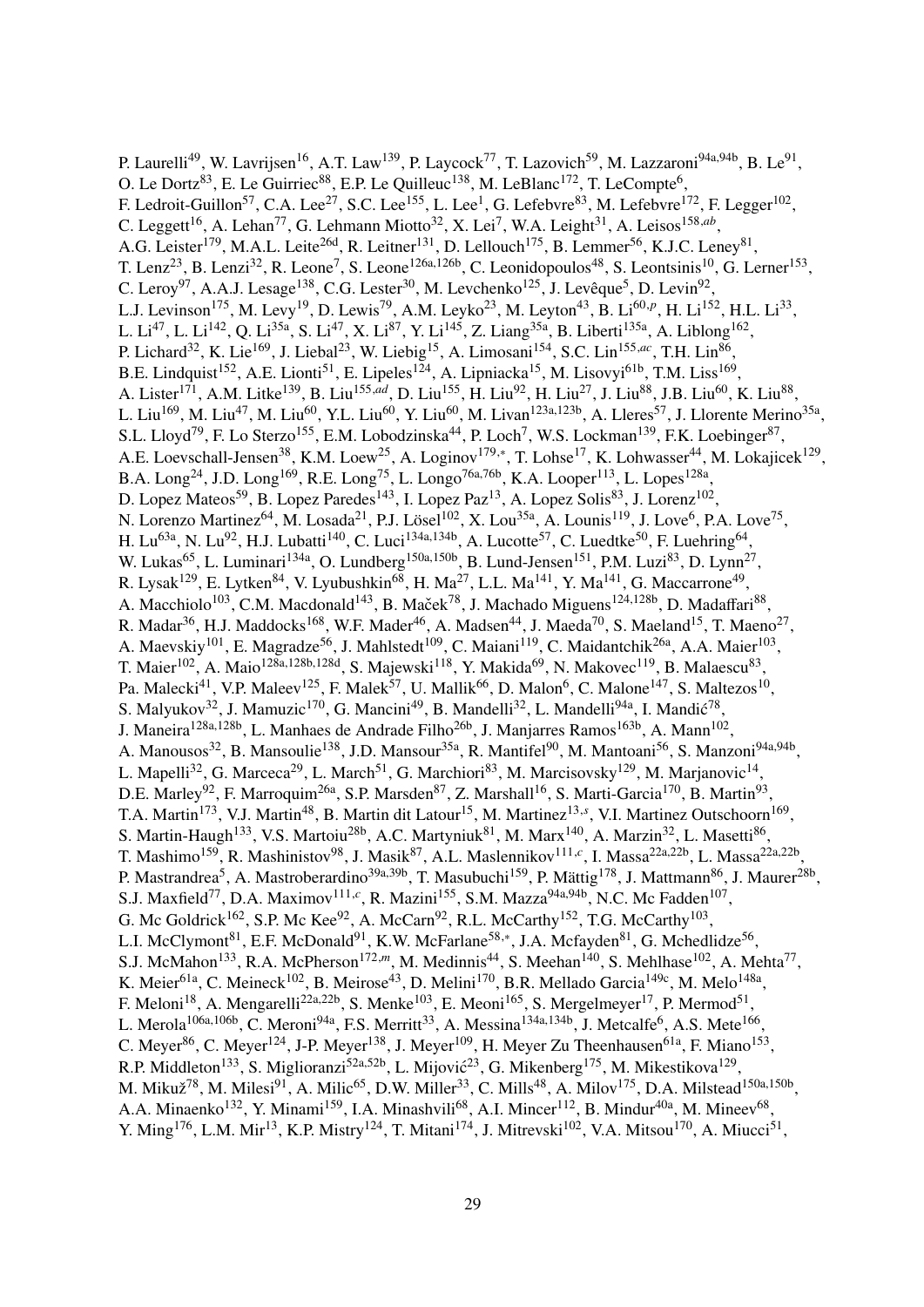P. Laurelli<sup>49</sup>, W. Lavrijsen<sup>16</sup>, A.T. Law<sup>139</sup>, P. Laycock<sup>77</sup>, T. Lazovich<sup>59</sup>, M. Lazzaroni<sup>94a,94b</sup>, B. Le<sup>91</sup>, O. Le Dortz<sup>83</sup>, E. Le Guirriec<sup>88</sup>, E.P. Le Quilleuc<sup>138</sup>, M. LeBlanc<sup>172</sup>, T. LeCompte<sup>6</sup>, F. Ledroit-Guillon<sup>57</sup>, C.A. Lee<sup>27</sup>, S.C. Lee<sup>155</sup>, L. Lee<sup>1</sup>, G. Lefebvre<sup>83</sup>, M. Lefebvre<sup>172</sup>, F. Legger<sup>102</sup>, C. Leggett<sup>16</sup>, A. Lehan<sup>77</sup>, G. Lehmann Miotto<sup>32</sup>, X. Lei<sup>7</sup>, W.A. Leight<sup>31</sup>, A. Leisos<sup>158,ab</sup>, A.G. Leister<sup>179</sup>, M.A.L. Leite<sup>26d</sup>, R. Leitner<sup>131</sup>, D. Lellouch<sup>175</sup>, B. Lemmer<sup>56</sup>, K.J.C. Leney<sup>81</sup>, T. Lenz<sup>23</sup>, B. Lenzi<sup>32</sup>, R. Leone<sup>7</sup>, S. Leone<sup>126a,126b</sup>, C. Leonidopoulos<sup>48</sup>, S. Leontsinis<sup>10</sup>, G. Lerner<sup>153</sup>, C. Leroy<sup>97</sup>, A.A.J. Lesage<sup>138</sup>, C.G. Lester<sup>30</sup>, M. Levchenko<sup>125</sup>, J. Levêque<sup>5</sup>, D. Levin<sup>92</sup>, L.J. Levinson<sup>175</sup>, M. Levy<sup>19</sup>, D. Lewis<sup>79</sup>, A.M. Leyko<sup>23</sup>, M. Leyton<sup>43</sup>, B. Li<sup>60,p</sup>, H. Li<sup>152</sup>, H.L. Li<sup>33</sup>, L. Li<sup>47</sup>, L. Li<sup>142</sup>, Q. Li<sup>35a</sup>, S. Li<sup>47</sup>, X. Li<sup>87</sup>, Y. Li<sup>145</sup>, Z. Liang<sup>35a</sup>, B. Liberti<sup>135a</sup>, A. Liblong<sup>162</sup>, P. Lichard<sup>32</sup>, K. Lie<sup>169</sup>, J. Liebal<sup>23</sup>, W. Liebig<sup>15</sup>, A. Limosani<sup>154</sup>, S.C. Lin<sup>155,ac</sup>, T.H. Lin<sup>86</sup>, B.E. Lindquist<sup>152</sup>, A.E. Lionti<sup>51</sup>, E. Lipeles<sup>124</sup>, A. Lipniacka<sup>15</sup>, M. Lisovyi<sup>61b</sup>, T.M. Liss<sup>169</sup>, A. Lister<sup>171</sup>, A.M. Litke<sup>139</sup>, B. Liu<sup>155,ad</sup>, D. Liu<sup>155</sup>, H. Liu<sup>92</sup>, H. Liu<sup>27</sup>, J. Liu<sup>88</sup>, J.B. Liu<sup>60</sup>, K. Liu<sup>88</sup>, L. Liu<sup>169</sup>, M. Liu<sup>47</sup>, M. Liu<sup>60</sup>, Y.L. Liu<sup>60</sup>, Y. Liu<sup>60</sup>, M. Livan<sup>123a,123b</sup>, A. Lleres<sup>57</sup>, J. Llorente Merino<sup>35a</sup>, S.L. Lloyd<sup>79</sup>, F. Lo Sterzo<sup>155</sup>, E.M. Lobodzinska<sup>44</sup>, P. Loch<sup>7</sup>, W.S. Lockman<sup>139</sup>, F.K. Loebinger<sup>87</sup>, A.E. Loevschall-Jensen<sup>38</sup>, K.M. Loew<sup>25</sup>, A. Loginov<sup>179,\*</sup>, T. Lohse<sup>17</sup>, K. Lohwasser<sup>44</sup>, M. Lokajicek<sup>129</sup>, B.A. Long<sup>24</sup>, J.D. Long<sup>169</sup>, R.E. Long<sup>75</sup>, L. Longo<sup>76a,76b</sup>, K.A. Looper<sup>113</sup>, L. Lopes<sup>128a</sup>, D. Lopez Mateos<sup>59</sup>, B. Lopez Paredes<sup>143</sup>, I. Lopez Paz<sup>13</sup>, A. Lopez Solis<sup>83</sup>, J. Lorenz<sup>102</sup>, N. Lorenzo Martinez<sup>64</sup>, M. Losada<sup>21</sup>, P.J. Lösel<sup>102</sup>, X. Lou<sup>35a</sup>, A. Lounis<sup>119</sup>, J. Love<sup>6</sup>, P.A. Love<sup>75</sup>, H. Lu<sup>63a</sup>, N. Lu<sup>92</sup>, H.J. Lubatti<sup>140</sup>, C. Luci<sup>134a,134b</sup>, A. Lucotte<sup>57</sup>, C. Luedtke<sup>50</sup>, F. Luehring<sup>64</sup>, W. Lukas<sup>65</sup>, L. Luminari<sup>134a</sup>, O. Lundberg<sup>150a,150b</sup>, B. Lund-Jensen<sup>151</sup>, P.M. Luzi<sup>83</sup>, D. Lynn<sup>27</sup>, R. Lysak<sup>129</sup>, E. Lytken<sup>84</sup>, V. Lyubushkin<sup>68</sup>, H. Ma<sup>27</sup>, L.L. Ma<sup>141</sup>, Y. Ma<sup>141</sup>, G. Maccarrone<sup>49</sup>, A. Macchiolo<sup>103</sup>, C.M. Macdonald<sup>143</sup>, B. Maček<sup>78</sup>, J. Machado Miguens<sup>124,128b</sup>, D. Madaffari<sup>88</sup>, R. Madar $^{36}$ , H.J. Maddocks $^{168}$ , W.F. Mader $^{46}$ , A. Madsen $^{44}$ , J. Maeda $^{70}$ , S. Maeland $^{15}$ , T. Maeno $^{27}$ , A. Maevskiy<sup>101</sup>, E. Magradze<sup>56</sup>, J. Mahlstedt<sup>109</sup>, C. Maiani<sup>119</sup>, C. Maidantchik<sup>26a</sup>, A.A. Maier<sup>103</sup>, T. Maier $^{102}$ , A. Maio<sup>128a,128b,128d</sup>, S. Majewski<sup>118</sup>, Y. Makida<sup>69</sup>, N. Makovec<sup>119</sup>, B. Malaescu<sup>83</sup>, Pa. Malecki<sup>41</sup>, V.P. Maleev<sup>125</sup>, F. Malek<sup>57</sup>, U. Mallik<sup>66</sup>, D. Malon<sup>6</sup>, C. Malone<sup>147</sup>, S. Maltezos<sup>10</sup>, S. Malyukov<sup>32</sup>, J. Mamuzic<sup>170</sup>, G. Mancini<sup>49</sup>, B. Mandelli<sup>32</sup>, L. Mandelli<sup>94a</sup>, I. Mandić<sup>78</sup>, J. Maneira<sup>128a,128b</sup>, L. Manhaes de Andrade Filho<sup>26b</sup>, J. Manjarres Ramos<sup>163b</sup>, A. Mann<sup>102</sup>, A. Manousos<sup>32</sup>, B. Mansoulie<sup>138</sup>, J.D. Mansour<sup>35a</sup>, R. Mantifel<sup>90</sup>, M. Mantoani<sup>56</sup>, S. Manzoni<sup>94a,94b</sup>, L. Mapelli<sup>32</sup>, G. Marceca<sup>29</sup>, L. March<sup>51</sup>, G. Marchiori<sup>83</sup>, M. Marcisovsky<sup>129</sup>, M. Marjanovic<sup>14</sup>, D.E. Marley<sup>92</sup>, F. Marroquim<sup>26a</sup>, S.P. Marsden<sup>87</sup>, Z. Marshall<sup>16</sup>, S. Marti-Garcia<sup>170</sup>, B. Martin<sup>93</sup>, T.A. Martin<sup>173</sup>, V.J. Martin<sup>48</sup>, B. Martin dit Latour<sup>15</sup>, M. Martinez<sup>13,s</sup>, V.I. Martinez Outschoorn<sup>169</sup>, S. Martin-Haugh<sup>133</sup>, V.S. Martoiu<sup>28b</sup>, A.C. Martyniuk<sup>81</sup>, M. Marx<sup>140</sup>, A. Marzin<sup>32</sup>, L. Masetti<sup>86</sup>, T. Mashimo<sup>159</sup>, R. Mashinistov<sup>98</sup>, J. Masik<sup>87</sup>, A.L. Maslennikov<sup>111,*c*</sup>, I. Massa<sup>22a,22b</sup>, L. Massa<sup>22a,22b</sup>, P. Mastrandrea<sup>5</sup>, A. Mastroberardino<sup>39a,39b</sup>, T. Masubuchi<sup>159</sup>, P. Mättig<sup>178</sup>, J. Mattmann<sup>86</sup>, J. Maurer<sup>28b</sup>, S.J. Maxfield<sup>77</sup>, D.A. Maximov<sup>111,c</sup>, R. Mazini<sup>155</sup>, S.M. Mazza<sup>94a,94b</sup>, N.C. Mc Fadden<sup>107</sup>, G. Mc Goldrick<sup>162</sup>, S.P. Mc Kee<sup>92</sup>, A. McCarn<sup>92</sup>, R.L. McCarthy<sup>152</sup>, T.G. McCarthy<sup>103</sup>, L.I. McClymont<sup>81</sup>, E.F. McDonald<sup>91</sup>, K.W. McFarlane<sup>58,\*</sup>, J.A. Mcfayden<sup>81</sup>, G. Mchedlidze<sup>56</sup>, S.J. McMahon<sup>133</sup>, R.A. McPherson<sup>172,*m*</sup>, M. Medinnis<sup>44</sup>, S. Meehan<sup>140</sup>, S. Mehlhase<sup>102</sup>, A. Mehta<sup>77</sup>, K. Meier<sup>61a</sup>, C. Meineck<sup>102</sup>, B. Meirose<sup>43</sup>, D. Melini<sup>170</sup>, B.R. Mellado Garcia<sup>149c</sup>, M. Melo<sup>148a</sup>, F. Meloni<sup>18</sup>, A. Mengarelli<sup>22a,22b</sup>, S. Menke<sup>103</sup>, E. Meoni<sup>165</sup>, S. Mergelmeyer<sup>17</sup>, P. Mermod<sup>51</sup>, L. Merola<sup>106a,106b</sup>, C. Meroni<sup>94a</sup>, F.S. Merritt<sup>33</sup>, A. Messina<sup>134a,134b</sup>, J. Metcalfe<sup>6</sup>, A.S. Mete<sup>166</sup>, C. Meyer<sup>86</sup>, C. Meyer<sup>124</sup>, J-P. Meyer<sup>138</sup>, J. Meyer<sup>109</sup>, H. Meyer Zu Theenhausen<sup>61a</sup>, F. Miano<sup>153</sup>, R.P. Middleton<sup>133</sup>, S. Miglioranzi<sup>52a,52b</sup>, L. Mijović<sup>23</sup>, G. Mikenberg<sup>175</sup>, M. Mikestikova<sup>129</sup>, M. Mikuž<sup>78</sup>, M. Milesi<sup>91</sup>, A. Milic<sup>65</sup>, D.W. Miller<sup>33</sup>, C. Mills<sup>48</sup>, A. Milov<sup>175</sup>, D.A. Milstead<sup>150a,150b</sup>, A.A. Minaenko<sup>132</sup>, Y. Minami<sup>159</sup>, I.A. Minashvili<sup>68</sup>, A.I. Mincer<sup>112</sup>, B. Mindur<sup>40a</sup>, M. Mineev<sup>68</sup>, Y. Ming<sup>176</sup>, L.M. Mir<sup>13</sup>, K.P. Mistry<sup>124</sup>, T. Mitani<sup>174</sup>, J. Mitrevski<sup>102</sup>, V.A. Mitsou<sup>170</sup>, A. Miucci<sup>51</sup>,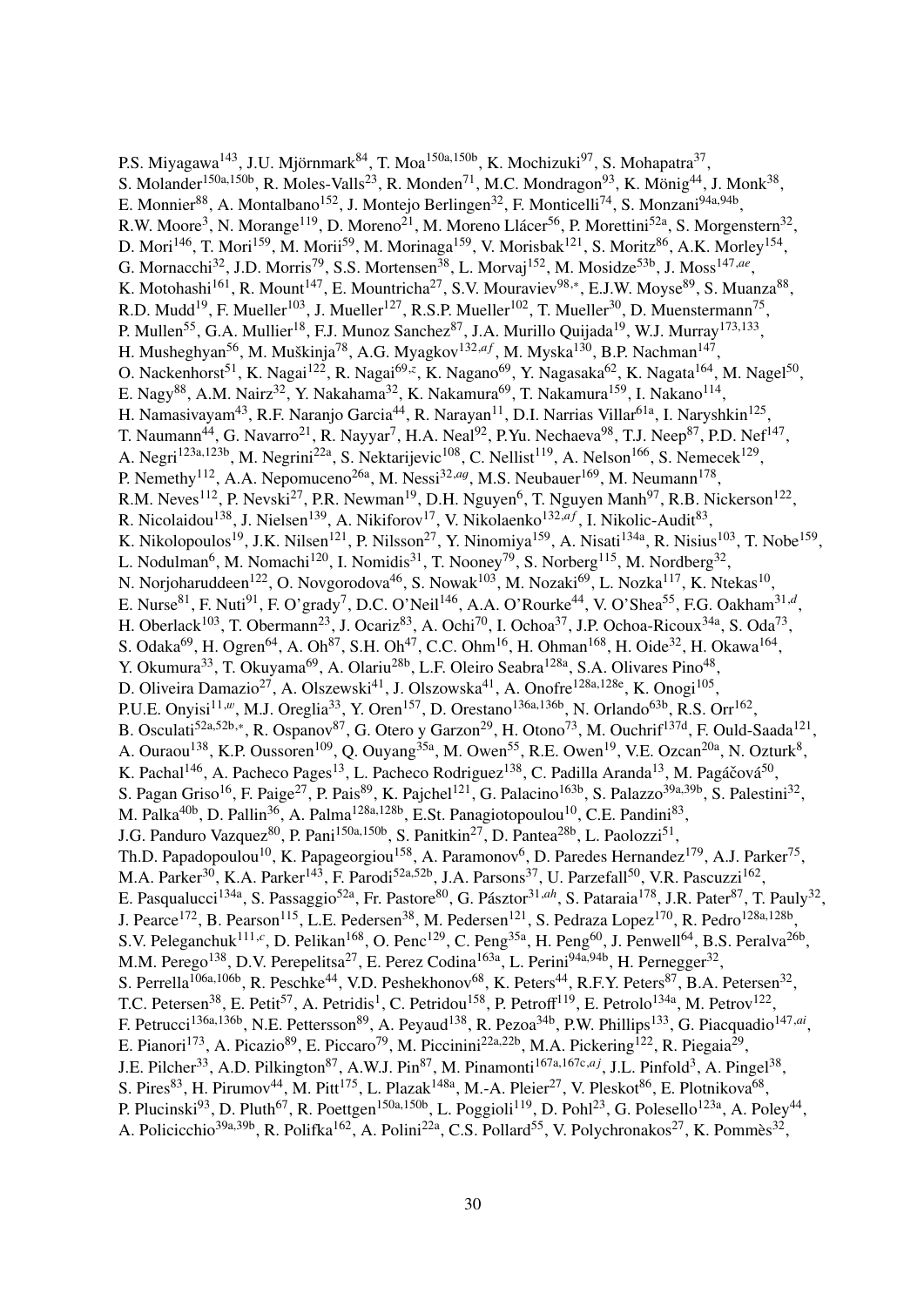P.S. Miyagawa<sup>143</sup>, J.U. Mjörnmark<sup>84</sup>, T. Moa<sup>150a,150b</sup>, K. Mochizuki<sup>97</sup>, S. Mohapatra<sup>37</sup>, S. Molander<sup>150a,150b</sup>, R. Moles-Valls<sup>23</sup>, R. Monden<sup>71</sup>, M.C. Mondragon<sup>93</sup>, K. Mönig<sup>44</sup>, J. Monk<sup>38</sup>, E. Monnier<sup>88</sup>, A. Montalbano<sup>152</sup>, J. Montejo Berlingen<sup>32</sup>, F. Monticelli<sup>74</sup>, S. Monzani<sup>94a,94b</sup>, R.W. Moore<sup>3</sup>, N. Morange<sup>119</sup>, D. Moreno<sup>21</sup>, M. Moreno Llácer<sup>56</sup>, P. Morettini<sup>52a</sup>, S. Morgenstern<sup>32</sup>, D. Mori<sup>146</sup>, T. Mori<sup>159</sup>, M. Morii<sup>59</sup>, M. Morinaga<sup>159</sup>, V. Morisbak<sup>121</sup>, S. Moritz<sup>86</sup>, A.K. Morley<sup>154</sup>, G. Mornacchi<sup>32</sup>, J.D. Morris<sup>79</sup>, S.S. Mortensen<sup>38</sup>, L. Morvaj<sup>152</sup>, M. Mosidze<sup>53b</sup>, J. Moss<sup>147,ae</sup>, K. Motohashi<sup>161</sup>, R. Mount<sup>147</sup>, E. Mountricha<sup>27</sup>, S.V. Mouraviev<sup>98,\*</sup>, E.J.W. Moyse<sup>89</sup>, S. Muanza<sup>88</sup>, R.D. Mudd<sup>19</sup>, F. Mueller<sup>103</sup>, J. Mueller<sup>127</sup>, R.S.P. Mueller<sup>102</sup>, T. Mueller<sup>30</sup>, D. Muenstermann<sup>75</sup>, P. Mullen<sup>55</sup>, G.A. Mullier<sup>18</sup>, F.J. Munoz Sanchez<sup>87</sup>, J.A. Murillo Quijada<sup>19</sup>, W.J. Murray<sup>173,133</sup>, H. Musheghyan<sup>56</sup>, M. Muškinja<sup>78</sup>, A.G. Myagkov<sup>132,af</sup>, M. Myska<sup>130</sup>, B.P. Nachman<sup>147</sup>, O. Nackenhorst<sup>51</sup>, K. Nagai<sup>122</sup>, R. Nagai<sup>69,*z*</sup>, K. Nagano<sup>69</sup>, Y. Nagasaka<sup>62</sup>, K. Nagata<sup>164</sup>, M. Nagel<sup>50</sup>, E. Nagy<sup>88</sup>, A.M. Nairz<sup>32</sup>, Y. Nakahama<sup>32</sup>, K. Nakamura<sup>69</sup>, T. Nakamura<sup>159</sup>, I. Nakano<sup>114</sup>, H. Namasivayam<sup>43</sup>, R.F. Naranjo Garcia<sup>44</sup>, R. Narayan<sup>11</sup>, D.I. Narrias Villar<sup>61a</sup>, I. Naryshkin<sup>125</sup>, T. Naumann<sup>44</sup>, G. Navarro<sup>21</sup>, R. Nayyar<sup>7</sup>, H.A. Neal<sup>92</sup>, P.Yu. Nechaeva<sup>98</sup>, T.J. Neep<sup>87</sup>, P.D. Nef<sup>147</sup>, A. Negri<sup>123a,123b</sup>, M. Negrini<sup>22a</sup>, S. Nektarijevic<sup>108</sup>, C. Nellist<sup>119</sup>, A. Nelson<sup>166</sup>, S. Nemecek<sup>129</sup>, P. Nemethy<sup>112</sup>, A.A. Nepomuceno<sup>26a</sup>, M. Nessi<sup>32,ag</sup>, M.S. Neubauer<sup>169</sup>, M. Neumann<sup>178</sup>, R.M. Neves<sup>112</sup>, P. Nevski<sup>27</sup>, P.R. Newman<sup>19</sup>, D.H. Nguyen<sup>6</sup>, T. Nguyen Manh<sup>97</sup>, R.B. Nickerson<sup>122</sup>, R. Nicolaidou<sup>138</sup>, J. Nielsen<sup>139</sup>, A. Nikiforov<sup>17</sup>, V. Nikolaenko<sup>132,af</sup>, I. Nikolic-Audit<sup>83</sup>, K. Nikolopoulos<sup>19</sup>, J.K. Nilsen<sup>121</sup>, P. Nilsson<sup>27</sup>, Y. Ninomiya<sup>159</sup>, A. Nisati<sup>134a</sup>, R. Nisius<sup>103</sup>, T. Nobe<sup>159</sup>, L. Nodulman<sup>6</sup>, M. Nomachi<sup>120</sup>, I. Nomidis<sup>31</sup>, T. Nooney<sup>79</sup>, S. Norberg<sup>115</sup>, M. Nordberg<sup>32</sup>, N. Norjoharuddeen<sup>122</sup>, O. Novgorodova<sup>46</sup>, S. Nowak<sup>103</sup>, M. Nozaki<sup>69</sup>, L. Nozka<sup>117</sup>, K. Ntekas<sup>10</sup>, E. Nurse<sup>81</sup>, F. Nuti<sup>91</sup>, F. O'grady<sup>7</sup>, D.C. O'Neil<sup>146</sup>, A.A. O'Rourke<sup>44</sup>, V. O'Shea<sup>55</sup>, F.G. Oakham<sup>31,d</sup>, H. Oberlack<sup>103</sup>, T. Obermann<sup>23</sup>, J. Ocariz<sup>83</sup>, A. Ochi<sup>70</sup>, I. Ochoa<sup>37</sup>, J.P. Ochoa-Ricoux<sup>34a</sup>, S. Oda<sup>73</sup>, S. Odaka<sup>69</sup>, H. Ogren<sup>64</sup>, A. Oh<sup>87</sup>, S.H. Oh<sup>47</sup>, C.C. Ohm<sup>16</sup>, H. Ohman<sup>168</sup>, H. Oide<sup>32</sup>, H. Okawa<sup>164</sup>, Y. Okumura<sup>33</sup>, T. Okuyama<sup>69</sup>, A. Olariu<sup>28b</sup>, L.F. Oleiro Seabra<sup>128a</sup>, S.A. Olivares Pino<sup>48</sup>, D. Oliveira Damazio<sup>27</sup>, A. Olszewski<sup>41</sup>, J. Olszowska<sup>41</sup>, A. Onofre<sup>128a,128e</sup>, K. Onogi<sup>105</sup>, P.U.E. Onyisi<sup>11,w</sup>, M.J. Oreglia<sup>33</sup>, Y. Oren<sup>157</sup>, D. Orestano<sup>136a,136b</sup>, N. Orlando<sup>63b</sup>, R.S. Orr<sup>162</sup>, B. Osculati<sup>52a,52b,\*</sup>, R. Ospanov<sup>87</sup>, G. Otero y Garzon<sup>29</sup>, H. Otono<sup>73</sup>, M. Ouchrif<sup>137d</sup>, F. Ould-Saada<sup>121</sup>, A. Ouraou<sup>138</sup>, K.P. Oussoren<sup>109</sup>, Q. Ouyang<sup>35a</sup>, M. Owen<sup>55</sup>, R.E. Owen<sup>19</sup>, V.E. Ozcan<sup>20a</sup>, N. Ozturk<sup>8</sup>, K. Pachal<sup>146</sup>, A. Pacheco Pages<sup>13</sup>, L. Pacheco Rodriguez<sup>138</sup>, C. Padilla Aranda<sup>13</sup>, M. Pagáčová<sup>50</sup>, S. Pagan Griso<sup>16</sup>, F. Paige<sup>27</sup>, P. Pais<sup>89</sup>, K. Pajchel<sup>121</sup>, G. Palacino<sup>163b</sup>, S. Palazzo<sup>39a,39b</sup>, S. Palestini<sup>32</sup>, M. Palka<sup>40b</sup>, D. Pallin<sup>36</sup>, A. Palma<sup>128a,128b</sup>, E.St. Panagiotopoulou<sup>10</sup>, C.E. Pandini<sup>83</sup>, J.G. Panduro Vazquez<sup>80</sup>, P. Pani<sup>150a,150b</sup>, S. Panitkin<sup>27</sup>, D. Pantea<sup>28b</sup>, L. Paolozzi<sup>51</sup>, Th.D. Papadopoulou<sup>10</sup>, K. Papageorgiou<sup>158</sup>, A. Paramonov<sup>6</sup>, D. Paredes Hernandez<sup>179</sup>, A.J. Parker<sup>75</sup>, M.A. Parker<sup>30</sup>, K.A. Parker<sup>143</sup>, F. Parodi<sup>52a,52b</sup>, J.A. Parsons<sup>37</sup>, U. Parzefall<sup>50</sup>, V.R. Pascuzzi<sup>162</sup>, E. Pasqualucci<sup>134a</sup>, S. Passaggio<sup>52a</sup>, Fr. Pastore<sup>80</sup>, G. Pásztor<sup>31,ah</sup>, S. Pataraia<sup>178</sup>, J.R. Pater<sup>87</sup>, T. Pauly<sup>32</sup>, J. Pearce<sup>172</sup>, B. Pearson<sup>115</sup>, L.E. Pedersen<sup>38</sup>, M. Pedersen<sup>121</sup>, S. Pedraza Lopez<sup>170</sup>, R. Pedro<sup>128a,128b</sup>, S.V. Peleganchuk<sup>111,*c*</sup>, D. Pelikan<sup>168</sup>, O. Penc<sup>129</sup>, C. Peng<sup>35a</sup>, H. Peng<sup>60</sup>, J. Penwell<sup>64</sup>, B.S. Peralva<sup>26b</sup>, M.M. Perego<sup>138</sup>, D.V. Perepelitsa<sup>27</sup>, E. Perez Codina<sup>163a</sup>, L. Perini<sup>94a,94b</sup>, H. Pernegger<sup>32</sup>, S. Perrella<sup>106a,106b</sup>, R. Peschke<sup>44</sup>, V.D. Peshekhonov<sup>68</sup>, K. Peters<sup>44</sup>, R.F.Y. Peters<sup>87</sup>, B.A. Petersen<sup>32</sup>, T.C. Petersen<sup>38</sup>, E. Petit<sup>57</sup>, A. Petridis<sup>1</sup>, C. Petridou<sup>158</sup>, P. Petroff<sup>119</sup>, E. Petrolo<sup>134a</sup>, M. Petrov<sup>122</sup>, F. Petrucci<sup>136a,136b</sup>, N.E. Pettersson<sup>89</sup>, A. Peyaud<sup>138</sup>, R. Pezoa<sup>34b</sup>, P.W. Phillips<sup>133</sup>, G. Piacquadio<sup>147,ai</sup>, E. Pianori<sup>173</sup>, A. Picazio<sup>89</sup>, E. Piccaro<sup>79</sup>, M. Piccinini<sup>22a,22b</sup>, M.A. Pickering<sup>122</sup>, R. Piegaia<sup>29</sup>, J.E. Pilcher<sup>33</sup>, A.D. Pilkington<sup>87</sup>, A.W.J. Pin<sup>87</sup>, M. Pinamonti<sup>167a,167c,aj</sup>, J.L. Pinfold<sup>3</sup>, A. Pingel<sup>38</sup>, S. Pires<sup>83</sup>, H. Pirumov<sup>44</sup>, M. Pitt<sup>175</sup>, L. Plazak<sup>148a</sup>, M.-A. Pleier<sup>27</sup>, V. Pleskot<sup>86</sup>, E. Plotnikova<sup>68</sup>, P. Plucinski<sup>93</sup>, D. Pluth<sup>67</sup>, R. Poettgen<sup>150a,150b</sup>, L. Poggioli<sup>119</sup>, D. Pohl<sup>23</sup>, G. Polesello<sup>123a</sup>, A. Poley<sup>44</sup>, A. Policicchio<sup>39a,39b</sup>, R. Polifka<sup>162</sup>, A. Polini<sup>22a</sup>, C.S. Pollard<sup>55</sup>, V. Polychronakos<sup>27</sup>, K. Pommès<sup>32</sup>,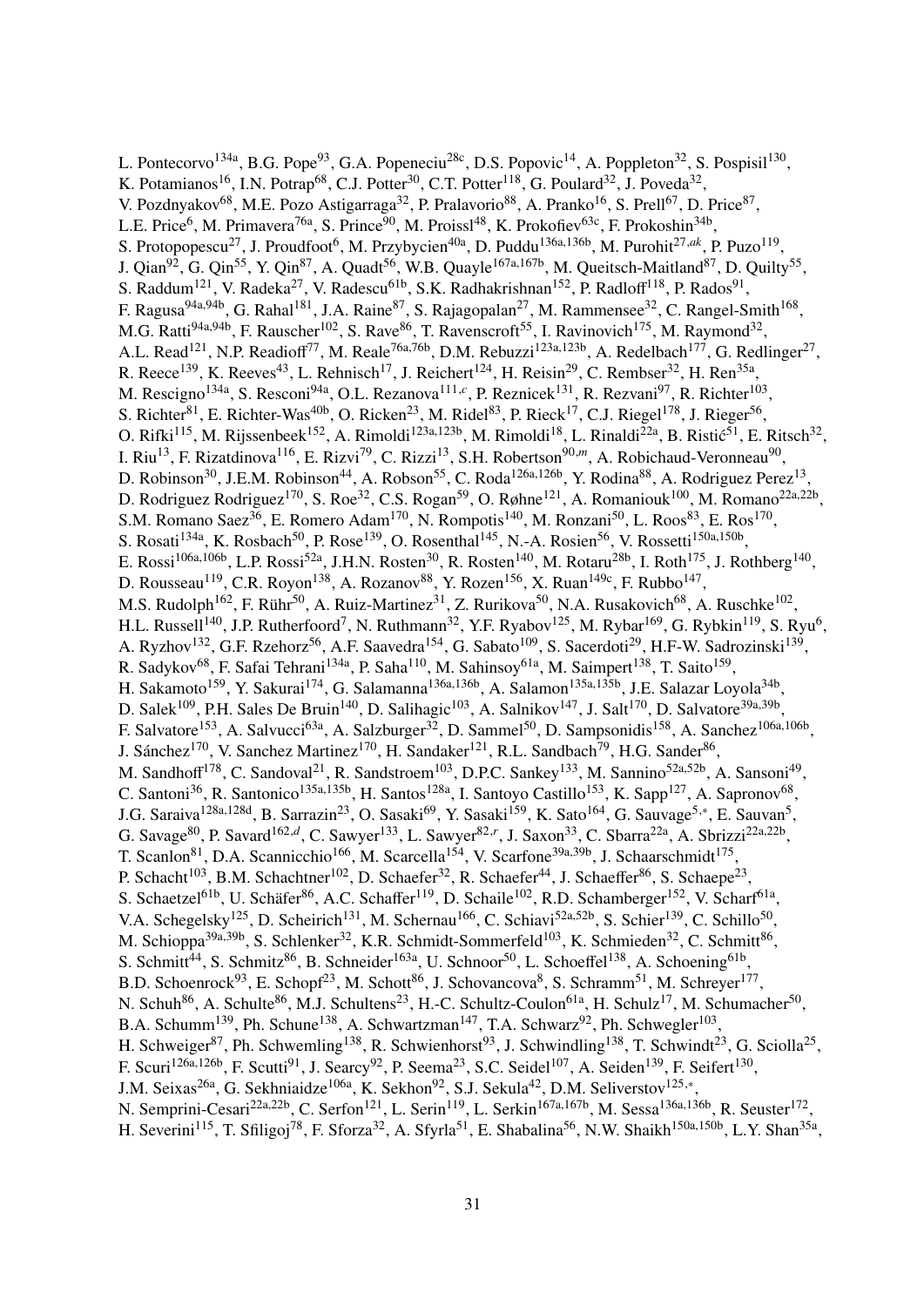L. Pontecorvo<sup>134a</sup>, B.G. Pope<sup>93</sup>, G.A. Popeneciu<sup>28c</sup>, D.S. Popovic<sup>14</sup>, A. Poppleton<sup>32</sup>, S. Pospisil<sup>130</sup>, K. Potamianos<sup>16</sup>, I.N. Potrap<sup>68</sup>, C.J. Potter<sup>30</sup>, C.T. Potter<sup>118</sup>, G. Poulard<sup>32</sup>, J. Poveda<sup>32</sup>, V. Pozdnyakov<sup>68</sup>, M.E. Pozo Astigarraga<sup>32</sup>, P. Pralavorio<sup>88</sup>, A. Pranko<sup>16</sup>, S. Prell<sup>67</sup>, D. Price<sup>87</sup>, L.E. Price<sup>6</sup>, M. Primavera<sup>76a</sup>, S. Prince<sup>90</sup>, M. Proissl<sup>48</sup>, K. Prokofiev<sup>63c</sup>, F. Prokoshin<sup>34b</sup>, S. Protopopescu<sup>27</sup>, J. Proudfoot<sup>6</sup>, M. Przybycien<sup>40a</sup>, D. Puddu<sup>136a,136b</sup>, M. Purohit<sup>27,ak</sup>, P. Puzo<sup>119</sup>, J. Qian<sup>92</sup>, G. Qin<sup>55</sup>, Y. Qin<sup>87</sup>, A. Quadt<sup>56</sup>, W.B. Quayle<sup>167a,167b</sup>, M. Queitsch-Maitland<sup>87</sup>, D. Quilty<sup>55</sup>, S. Raddum<sup>121</sup>, V. Radeka<sup>27</sup>, V. Radescu<sup>61b</sup>, S.K. Radhakrishnan<sup>152</sup>, P. Radloff<sup>118</sup>, P. Rados<sup>91</sup>, F. Ragusa<sup>94a,94b</sup>, G. Rahal<sup>181</sup>, J.A. Raine<sup>87</sup>, S. Rajagopalan<sup>27</sup>, M. Rammensee<sup>32</sup>, C. Rangel-Smith<sup>168</sup>, M.G. Ratti<sup>94a,94b</sup>, F. Rauscher<sup>102</sup>, S. Rave<sup>86</sup>, T. Ravenscroft<sup>55</sup>, I. Ravinovich<sup>175</sup>, M. Raymond<sup>32</sup>, A.L. Read<sup>121</sup>, N.P. Readioff<sup>77</sup>, M. Reale<sup>76a,76b</sup>, D.M. Rebuzzi<sup>123a,123b</sup>, A. Redelbach<sup>177</sup>, G. Redlinger<sup>27</sup>, R. Reece<sup>139</sup>, K. Reeves<sup>43</sup>, L. Rehnisch<sup>17</sup>, J. Reichert<sup>124</sup>, H. Reisin<sup>29</sup>, C. Rembser<sup>32</sup>, H. Ren<sup>35a</sup>, M. Rescigno<sup>134a</sup>, S. Resconi<sup>94a</sup>, O.L. Rezanova<sup>111,*c*</sup>, P. Reznicek<sup>131</sup>, R. Rezvani<sup>97</sup>, R. Richter<sup>103</sup>, S. Richter<sup>81</sup>, E. Richter-Was<sup>40b</sup>, O. Ricken<sup>23</sup>, M. Ridel<sup>83</sup>, P. Rieck<sup>17</sup>, C.J. Riegel<sup>178</sup>, J. Rieger<sup>56</sup>, O. Rifki<sup>115</sup>, M. Rijssenbeek<sup>152</sup>, A. Rimoldi<sup>123a,123b</sup>, M. Rimoldi<sup>18</sup>, L. Rinaldi<sup>22a</sup>, B. Ristić<sup>51</sup>, E. Ritsch<sup>32</sup>, I. Riu<sup>13</sup>, F. Rizatdinova<sup>116</sup>, E. Rizvi<sup>79</sup>, C. Rizzi<sup>13</sup>, S.H. Robertson<sup>90,*m*</sup>, A. Robichaud-Veronneau<sup>90</sup>, D. Robinson<sup>30</sup>, J.E.M. Robinson<sup>44</sup>, A. Robson<sup>55</sup>, C. Roda<sup>126a,126b</sup>, Y. Rodina<sup>88</sup>, A. Rodriguez Perez<sup>13</sup>, D. Rodriguez Rodriguez<sup>170</sup>, S. Roe<sup>32</sup>, C.S. Rogan<sup>59</sup>, O. Røhne<sup>121</sup>, A. Romaniouk<sup>100</sup>, M. Romano<sup>22a,22b</sup>, S.M. Romano Saez<sup>36</sup>, E. Romero Adam<sup>170</sup>, N. Rompotis<sup>140</sup>, M. Ronzani<sup>50</sup>, L. Roos<sup>83</sup>, E. Ros<sup>170</sup>, S. Rosati<sup>134a</sup>, K. Rosbach<sup>50</sup>, P. Rose<sup>139</sup>, O. Rosenthal<sup>145</sup>, N.-A. Rosien<sup>56</sup>, V. Rossetti<sup>150a,150b</sup>, E. Rossi<sup>106a,106b</sup>, L.P. Rossi<sup>52a</sup>, J.H.N. Rosten<sup>30</sup>, R. Rosten<sup>140</sup>, M. Rotaru<sup>28b</sup>, I. Roth<sup>175</sup>, J. Rothberg<sup>140</sup>, D. Rousseau<sup>119</sup>, C.R. Royon<sup>138</sup>, A. Rozanov<sup>88</sup>, Y. Rozen<sup>156</sup>, X. Ruan<sup>149c</sup>, F. Rubbo<sup>147</sup>, M.S. Rudolph<sup>162</sup>, F. Rühr<sup>50</sup>, A. Ruiz-Martinez<sup>31</sup>, Z. Rurikova<sup>50</sup>, N.A. Rusakovich<sup>68</sup>, A. Ruschke<sup>102</sup>, H.L. Russell<sup>140</sup>, J.P. Rutherfoord<sup>7</sup>, N. Ruthmann<sup>32</sup>, Y.F. Ryabov<sup>125</sup>, M. Rybar<sup>169</sup>, G. Rybkin<sup>119</sup>, S. Ryu<sup>6</sup>, A. Ryzhov<sup>132</sup>, G.F. Rzehorz<sup>56</sup>, A.F. Saavedra<sup>154</sup>, G. Sabato<sup>109</sup>, S. Sacerdoti<sup>29</sup>, H.F-W. Sadrozinski<sup>139</sup>, R. Sadykov<sup>68</sup>, F. Safai Tehrani<sup>134a</sup>, P. Saha<sup>110</sup>, M. Sahinsoy<sup>61a</sup>, M. Saimpert<sup>138</sup>, T. Saito<sup>159</sup>, H. Sakamoto<sup>159</sup>, Y. Sakurai<sup>174</sup>, G. Salamanna<sup>136a,136b</sup>, A. Salamon<sup>135a,135b</sup>, J.E. Salazar Loyola<sup>34b</sup>, D. Salek<sup>109</sup>, P.H. Sales De Bruin<sup>140</sup>, D. Salihagic<sup>103</sup>, A. Salnikov<sup>147</sup>, J. Salt<sup>170</sup>, D. Salvatore<sup>39a,39b</sup>, F. Salvatore<sup>153</sup>, A. Salvucci<sup>63a</sup>, A. Salzburger<sup>32</sup>, D. Sammel<sup>50</sup>, D. Sampsonidis<sup>158</sup>, A. Sanchez<sup>106a,106b</sup>, J. Sánchez<sup>170</sup>, V. Sanchez Martinez<sup>170</sup>, H. Sandaker<sup>121</sup>, R.L. Sandbach<sup>79</sup>, H.G. Sander<sup>86</sup>, M. Sandhoff<sup>178</sup>, C. Sandoval<sup>21</sup>, R. Sandstroem<sup>103</sup>, D.P.C. Sankey<sup>133</sup>, M. Sannino<sup>52a,52b</sup>, A. Sansoni<sup>49</sup>, C. Santoni<sup>36</sup>, R. Santonico<sup>135a,135b</sup>, H. Santos<sup>128a</sup>, I. Santoyo Castillo<sup>153</sup>, K. Sapp<sup>127</sup>, A. Sapronov<sup>68</sup>, J.G. Saraiva<sup>128a,128d</sup>, B. Sarrazin<sup>23</sup>, O. Sasaki<sup>69</sup>, Y. Sasaki<sup>159</sup>, K. Sato<sup>164</sup>, G. Sauvage<sup>5,\*</sup>, E. Sauvan<sup>5</sup>, G. Savage<sup>80</sup>, P. Savard<sup>162,d</sup>, C. Sawyer<sup>133</sup>, L. Sawyer<sup>82,r</sup>, J. Saxon<sup>33</sup>, C. Sbarra<sup>22a</sup>, A. Sbrizzi<sup>22a,22b</sup>, T. Scanlon<sup>81</sup>, D.A. Scannicchio<sup>166</sup>, M. Scarcella<sup>154</sup>, V. Scarfone<sup>39a,39b</sup>, J. Schaarschmidt<sup>175</sup>, P. Schacht<sup>103</sup>, B.M. Schachtner<sup>102</sup>, D. Schaefer<sup>32</sup>, R. Schaefer<sup>44</sup>, J. Schaeffer<sup>86</sup>, S. Schaepe<sup>23</sup>, S. Schaetzel<sup>61b</sup>, U. Schäfer<sup>86</sup>, A.C. Schaffer<sup>119</sup>, D. Schaile<sup>102</sup>, R.D. Schamberger<sup>152</sup>, V. Scharf<sup>61a</sup>, V.A. Schegelsky<sup>125</sup>, D. Scheirich<sup>131</sup>, M. Schernau<sup>166</sup>, C. Schiavi<sup>52a,52b</sup>, S. Schier<sup>139</sup>, C. Schillo<sup>50</sup>, M. Schioppa<sup>39a,39b</sup>, S. Schlenker<sup>32</sup>, K.R. Schmidt-Sommerfeld<sup>103</sup>, K. Schmieden<sup>32</sup>, C. Schmitt<sup>86</sup>, S. Schmitt<sup>44</sup>, S. Schmitz<sup>86</sup>, B. Schneider<sup>163a</sup>, U. Schnoor<sup>50</sup>, L. Schoeffel<sup>138</sup>, A. Schoening<sup>61b</sup>, B.D. Schoenrock<sup>93</sup>, E. Schopf<sup>23</sup>, M. Schott<sup>86</sup>, J. Schovancova<sup>8</sup>, S. Schramm<sup>51</sup>, M. Schreyer<sup>177</sup>, N. Schuh<sup>86</sup>, A. Schulte<sup>86</sup>, M.J. Schultens<sup>23</sup>, H.-C. Schultz-Coulon<sup>61a</sup>, H. Schulz<sup>17</sup>, M. Schumacher<sup>50</sup>, B.A. Schumm<sup>139</sup>, Ph. Schune<sup>138</sup>, A. Schwartzman<sup>147</sup>, T.A. Schwarz<sup>92</sup>, Ph. Schwegler<sup>103</sup>, H. Schweiger<sup>87</sup>, Ph. Schwemling<sup>138</sup>, R. Schwienhorst<sup>93</sup>, J. Schwindling<sup>138</sup>, T. Schwindt<sup>23</sup>, G. Sciolla<sup>25</sup>, F. Scuri<sup>126a,126b</sup>, F. Scutti<sup>91</sup>, J. Searcy<sup>92</sup>, P. Seema<sup>23</sup>, S.C. Seidel<sup>107</sup>, A. Seiden<sup>139</sup>, F. Seifert<sup>130</sup>, J.M. Seixas<sup>26a</sup>, G. Sekhniaidze<sup>106a</sup>, K. Sekhon<sup>92</sup>, S.J. Sekula<sup>42</sup>, D.M. Seliverstov<sup>125,\*</sup>, N. Semprini-Cesari<sup>22a,22b</sup>, C. Serfon<sup>121</sup>, L. Serin<sup>119</sup>, L. Serkin<sup>167a,167b</sup>, M. Sessa<sup>136a,136b</sup>, R. Seuster<sup>172</sup>, H. Severini<sup>115</sup>, T. Sfiligoj<sup>78</sup>, F. Sforza<sup>32</sup>, A. Sfyrla<sup>51</sup>, E. Shabalina<sup>56</sup>, N.W. Shaikh<sup>150a,150b</sup>, L.Y. Shan<sup>35a</sup>,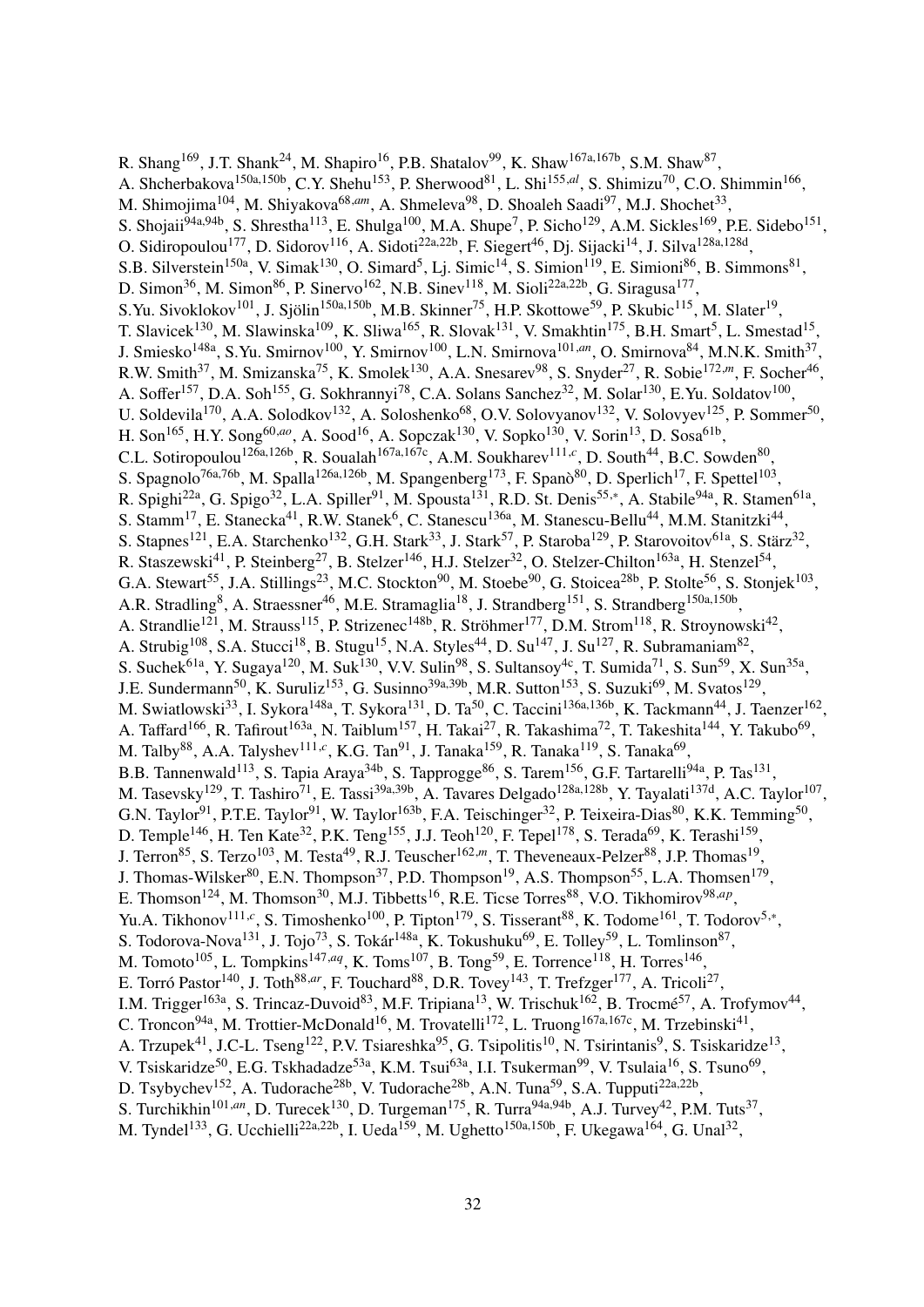R. Shang<sup>169</sup>, J.T. Shank<sup>24</sup>, M. Shapiro<sup>16</sup>, P.B. Shatalov<sup>99</sup>, K. Shaw<sup>167a,167b</sup>, S.M. Shaw<sup>87</sup>, A. Shcherbakova<sup>150a,150b</sup>, C.Y. Shehu<sup>153</sup>, P. Sherwood<sup>81</sup>, L. Shi<sup>155,*al*</sup>, S. Shimizu<sup>70</sup>, C.O. Shimmin<sup>166</sup>, M. Shimojima<sup>104</sup>, M. Shiyakova<sup>68,am</sup>, A. Shmeleva<sup>98</sup>, D. Shoaleh Saadi<sup>97</sup>, M.J. Shochet<sup>33</sup>, S. Shojaii<sup>94a,94b</sup>, S. Shrestha<sup>113</sup>, E. Shulga<sup>100</sup>, M.A. Shupe<sup>7</sup>, P. Sicho<sup>129</sup>, A.M. Sickles<sup>169</sup>, P.E. Sidebo<sup>151</sup>, O. Sidiropoulou<sup>177</sup>, D. Sidorov<sup>116</sup>, A. Sidoti<sup>22a,22b</sup>, F. Siegert<sup>46</sup>, Dj. Sijacki<sup>14</sup>, J. Silva<sup>128a,128d</sup>, S.B. Silverstein<sup>150a</sup>, V. Simak<sup>130</sup>, O. Simard<sup>5</sup>, Lj. Simic<sup>14</sup>, S. Simion<sup>119</sup>, E. Simioni<sup>86</sup>, B. Simmons<sup>81</sup>, D. Simon<sup>36</sup>, M. Simon<sup>86</sup>, P. Sinervo<sup>162</sup>, N.B. Sinev<sup>118</sup>, M. Sioli<sup>22a,22b</sup>, G. Siragusa<sup>177</sup>, S.Yu. Sivoklokov<sup>101</sup>, J. Sjölin<sup>150a,150b</sup>, M.B. Skinner<sup>75</sup>, H.P. Skottowe<sup>59</sup>, P. Skubic<sup>115</sup>, M. Slater<sup>19</sup>, T. Slavicek<sup>130</sup>, M. Slawinska<sup>109</sup>, K. Sliwa<sup>165</sup>, R. Slovak<sup>131</sup>, V. Smakhtin<sup>175</sup>, B.H. Smart<sup>5</sup>, L. Smestad<sup>15</sup>, J. Smiesko148a, S.Yu. Smirnov100, Y. Smirnov100, L.N. Smirnova101,*an*, O. Smirnova84, M.N.K. Smith<sup>37</sup> , R.W. Smith<sup>37</sup>, M. Smizanska<sup>75</sup>, K. Smolek<sup>130</sup>, A.A. Snesarev<sup>98</sup>, S. Snyder<sup>27</sup>, R. Sobie<sup>172,*m*</sup>, F. Socher<sup>46</sup>, A. Soffer<sup>157</sup>, D.A. Soh<sup>155</sup>, G. Sokhrannyi<sup>78</sup>, C.A. Solans Sanchez<sup>32</sup>, M. Solar<sup>130</sup>, E.Yu. Soldatov<sup>100</sup>, U. Soldevila<sup>170</sup>, A.A. Solodkov<sup>132</sup>, A. Soloshenko<sup>68</sup>, O.V. Solovyanov<sup>132</sup>, V. Solovyev<sup>125</sup>, P. Sommer<sup>50</sup>, H. Son<sup>165</sup>, H.Y. Song<sup>60,*ao*</sup>, A. Sood<sup>16</sup>, A. Sopczak<sup>130</sup>, V. Sopko<sup>130</sup>, V. Sorin<sup>13</sup>, D. Sosa<sup>61b</sup>, C.L. Sotiropoulou<sup>126a,126b</sup>, R. Soualah<sup>167a,167c</sup>, A.M. Soukharev<sup>111,c</sup>, D. South<sup>44</sup>, B.C. Sowden<sup>80</sup>, S. Spagnolo<sup>76a,76b</sup>, M. Spalla<sup>126a,126b</sup>, M. Spangenberg<sup>173</sup>, F. Spanò<sup>80</sup>, D. Sperlich<sup>17</sup>, F. Spettel<sup>103</sup>, R. Spighi<sup>22a</sup>, G. Spigo<sup>32</sup>, L.A. Spiller<sup>91</sup>, M. Spousta<sup>131</sup>, R.D. St. Denis<sup>55,\*</sup>, A. Stabile<sup>94a</sup>, R. Stamen<sup>61a</sup>, S. Stamm<sup>17</sup>, E. Stanecka<sup>41</sup>, R.W. Stanek<sup>6</sup>, C. Stanescu<sup>136a</sup>, M. Stanescu-Bellu<sup>44</sup>, M.M. Stanitzki<sup>44</sup>, S. Stapnes<sup>121</sup>, E.A. Starchenko<sup>132</sup>, G.H. Stark<sup>33</sup>, J. Stark<sup>57</sup>, P. Staroba<sup>129</sup>, P. Starovoitov<sup>61a</sup>, S. Stärz<sup>32</sup>, R. Staszewski<sup>41</sup>, P. Steinberg<sup>27</sup>, B. Stelzer<sup>146</sup>, H.J. Stelzer<sup>32</sup>, O. Stelzer-Chilton<sup>163a</sup>, H. Stenzel<sup>54</sup>, G.A. Stewart<sup>55</sup>, J.A. Stillings<sup>23</sup>, M.C. Stockton<sup>90</sup>, M. Stoebe<sup>90</sup>, G. Stoicea<sup>28b</sup>, P. Stolte<sup>56</sup>, S. Stonjek<sup>103</sup>, A.R. Stradling<sup>8</sup>, A. Straessner<sup>46</sup>, M.E. Stramaglia<sup>18</sup>, J. Strandberg<sup>151</sup>, S. Strandberg<sup>150a,150b</sup>, A. Strandlie<sup>121</sup>, M. Strauss<sup>115</sup>, P. Strizenec<sup>148b</sup>, R. Ströhmer<sup>177</sup>, D.M. Strom<sup>118</sup>, R. Stroynowski<sup>42</sup>, A. Strubig<sup>108</sup>, S.A. Stucci<sup>18</sup>, B. Stugu<sup>15</sup>, N.A. Styles<sup>44</sup>, D. Su<sup>147</sup>, J. Su<sup>127</sup>, R. Subramaniam<sup>82</sup>, S. Suchek<sup>61a</sup>, Y. Sugaya<sup>120</sup>, M. Suk<sup>130</sup>, V.V. Sulin<sup>98</sup>, S. Sultansoy<sup>4c</sup>, T. Sumida<sup>71</sup>, S. Sun<sup>59</sup>, X. Sun<sup>35a</sup>, J.E. Sundermann<sup>50</sup>, K. Suruliz<sup>153</sup>, G. Susinno<sup>39a,39b</sup>, M.R. Sutton<sup>153</sup>, S. Suzuki<sup>69</sup>, M. Svatos<sup>129</sup>, M. Swiatlowski<sup>33</sup>, I. Sykora<sup>148a</sup>, T. Sykora<sup>131</sup>, D. Ta<sup>50</sup>, C. Taccini<sup>136a,136b</sup>, K. Tackmann<sup>44</sup>, J. Taenzer<sup>162</sup>, A. Taffard<sup>166</sup>, R. Tafirout<sup>163a</sup>, N. Taiblum<sup>157</sup>, H. Takai<sup>27</sup>, R. Takashima<sup>72</sup>, T. Takeshita<sup>144</sup>, Y. Takubo<sup>69</sup>, M. Talby<sup>88</sup>, A.A. Talyshev<sup>111,*c*</sup>, K.G. Tan<sup>91</sup>, J. Tanaka<sup>159</sup>, R. Tanaka<sup>119</sup>, S. Tanaka<sup>69</sup>, B.B. Tannenwald<sup>113</sup>, S. Tapia Araya<sup>34b</sup>, S. Tapprogge<sup>86</sup>, S. Tarem<sup>156</sup>, G.F. Tartarelli<sup>94a</sup>, P. Tas<sup>131</sup>, M. Tasevsky<sup>129</sup>, T. Tashiro<sup>71</sup>, E. Tassi<sup>39a,39b</sup>, A. Tavares Delgado<sup>128a,128b</sup>, Y. Tayalati<sup>137d</sup>, A.C. Taylor<sup>107</sup>, G.N. Taylor<sup>91</sup>, P.T.E. Taylor<sup>91</sup>, W. Taylor<sup>163b</sup>, F.A. Teischinger<sup>32</sup>, P. Teixeira-Dias<sup>80</sup>, K.K. Temming<sup>50</sup>, D. Temple<sup>146</sup>, H. Ten Kate<sup>32</sup>, P.K. Teng<sup>155</sup>, J.J. Teoh<sup>120</sup>, F. Tepel<sup>178</sup>, S. Terada<sup>69</sup>, K. Terashi<sup>159</sup>, J. Terron<sup>85</sup>, S. Terzo<sup>103</sup>, M. Testa<sup>49</sup>, R.J. Teuscher<sup>162,*m*</sup>, T. Theveneaux-Pelzer<sup>88</sup>, J.P. Thomas<sup>19</sup>, J. Thomas-Wilsker<sup>80</sup>, E.N. Thompson<sup>37</sup>, P.D. Thompson<sup>19</sup>, A.S. Thompson<sup>55</sup>, L.A. Thomsen<sup>179</sup>, E. Thomson<sup>124</sup>, M. Thomson<sup>30</sup>, M.J. Tibbetts<sup>16</sup>, R.E. Ticse Torres<sup>88</sup>, V.O. Tikhomirov<sup>98,ap</sup>, Yu.A. Tikhonov<sup>111,*c*</sup>, S. Timoshenko<sup>100</sup>, P. Tipton<sup>179</sup>, S. Tisserant<sup>88</sup>, K. Todome<sup>161</sup>, T. Todorov<sup>5,\*</sup>, S. Todorova-Nova<sup>131</sup>, J. Tojo<sup>73</sup>, S. Tokár<sup>148a</sup>, K. Tokushuku<sup>69</sup>, E. Tolley<sup>59</sup>, L. Tomlinson<sup>87</sup>, M. Tomoto<sup>105</sup>, L. Tompkins<sup>147,*aq*</sup>, K. Toms<sup>107</sup>, B. Tong<sup>59</sup>, E. Torrence<sup>118</sup>, H. Torres<sup>146</sup>, E. Torró Pastor<sup>140</sup>, J. Toth<sup>88,ar</sup>, F. Touchard<sup>88</sup>, D.R. Tovey<sup>143</sup>, T. Trefzger<sup>177</sup>, A. Tricoli<sup>27</sup>, I.M. Trigger<sup>163a</sup>, S. Trincaz-Duvoid<sup>83</sup>, M.F. Tripiana<sup>13</sup>, W. Trischuk<sup>162</sup>, B. Trocmé<sup>57</sup>, A. Trofymov<sup>44</sup>, C. Troncon<sup>94a</sup>, M. Trottier-McDonald<sup>16</sup>, M. Trovatelli<sup>172</sup>, L. Truong<sup>167a,167c</sup>, M. Trzebinski<sup>41</sup>, A. Trzupek<sup>41</sup>, J.C-L. Tseng<sup>122</sup>, P.V. Tsiareshka<sup>95</sup>, G. Tsipolitis<sup>10</sup>, N. Tsirintanis<sup>9</sup>, S. Tsiskaridze<sup>13</sup>, V. Tsiskaridze<sup>50</sup>, E.G. Tskhadadze<sup>53a</sup>, K.M. Tsui<sup>63a</sup>, I.I. Tsukerman<sup>99</sup>, V. Tsulaia<sup>16</sup>, S. Tsuno<sup>69</sup>, D. Tsybychev<sup>152</sup>, A. Tudorache<sup>28b</sup>, V. Tudorache<sup>28b</sup>, A.N. Tuna<sup>59</sup>, S.A. Tupputi<sup>22a,22b</sup>, S. Turchikhin<sup>101,*an*</sup>, D. Turecek<sup>130</sup>, D. Turgeman<sup>175</sup>, R. Turra<sup>94a,94b</sup>, A.J. Turvey<sup>42</sup>, P.M. Tuts<sup>37</sup>, M. Tyndel<sup>133</sup>, G. Ucchielli<sup>22a,22b</sup>, I. Ueda<sup>159</sup>, M. Ughetto<sup>150a,150b</sup>, F. Ukegawa<sup>164</sup>, G. Unal<sup>32</sup>,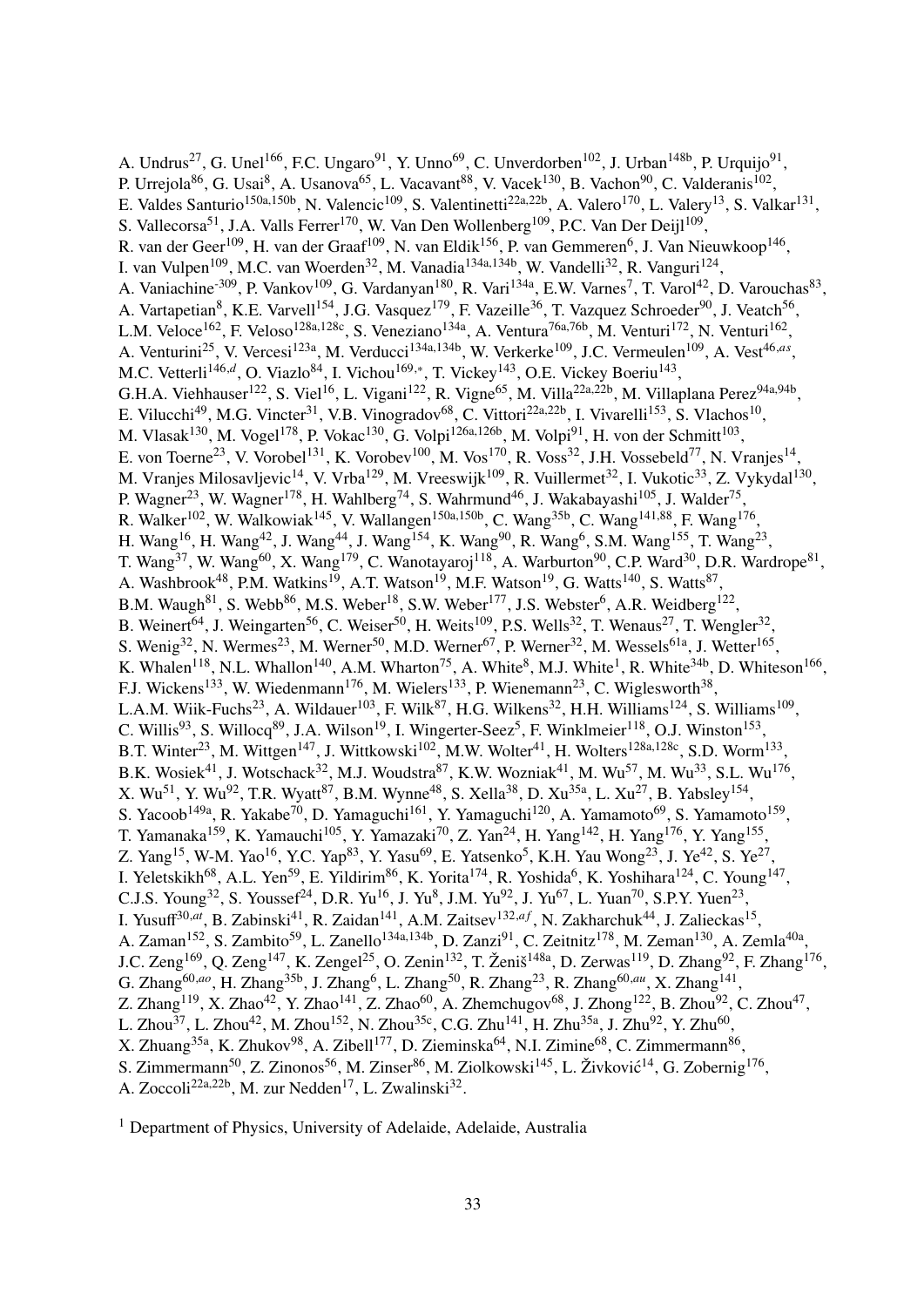A. Undrus<sup>27</sup>, G. Unel<sup>166</sup>, F.C. Ungaro<sup>91</sup>, Y. Unno<sup>69</sup>, C. Unverdorben<sup>102</sup>, J. Urban<sup>148b</sup>, P. Urquijo<sup>91</sup>, P. Urrejola<sup>86</sup>, G. Usai<sup>8</sup>, A. Usanova<sup>65</sup>, L. Vacavant<sup>88</sup>, V. Vacek<sup>130</sup>, B. Vachon<sup>90</sup>, C. Valderanis<sup>102</sup>, E. Valdes Santurio<sup>150a,150b</sup>, N. Valencic<sup>109</sup>, S. Valentinetti<sup>22a,22b</sup>, A. Valero<sup>170</sup>, L. Valery<sup>13</sup>, S. Valkar<sup>131</sup>, S. Vallecorsa<sup>51</sup>, J.A. Valls Ferrer<sup>170</sup>, W. Van Den Wollenberg<sup>109</sup>, P.C. Van Der Deijl<sup>109</sup>, R. van der Geer<sup>109</sup>, H. van der Graaf<sup>109</sup>, N. van Eldik<sup>156</sup>, P. van Gemmeren<sup>6</sup>, J. Van Nieuwkoop<sup>146</sup>, I. van Vulpen<sup>109</sup>, M.C. van Woerden<sup>32</sup>, M. Vanadia<sup>134a,134b</sup>, W. Vandelli<sup>32</sup>, R. Vanguri<sup>124</sup>, A. Vaniachine<sup>-309</sup>, P. Vankov<sup>109</sup>, G. Vardanyan<sup>180</sup>, R. Vari<sup>134a</sup>, E.W. Varnes<sup>7</sup>, T. Varol<sup>42</sup>, D. Varouchas<sup>83</sup>, A. Vartapetian<sup>8</sup>, K.E. Varvell<sup>154</sup>, J.G. Vasquez<sup>179</sup>, F. Vazeille<sup>36</sup>, T. Vazquez Schroeder<sup>90</sup>, J. Veatch<sup>56</sup>, L.M. Veloce<sup>162</sup>, F. Veloso<sup>128a,128c</sup>, S. Veneziano<sup>134a</sup>, A. Ventura<sup>76a,76b</sup>, M. Venturi<sup>172</sup>, N. Venturi<sup>162</sup>, A. Venturini<sup>25</sup>, V. Vercesi<sup>123a</sup>, M. Verducci<sup>134a,134b</sup>, W. Verkerke<sup>109</sup>, J.C. Vermeulen<sup>109</sup>, A. Vest<sup>46,as</sup>, M.C. Vetterli<sup>146,d</sup>, O. Viazlo<sup>84</sup>, I. Vichou<sup>169,∗</sup>, T. Vickey<sup>143</sup>, O.E. Vickey Boeriu<sup>143</sup>, G.H.A. Viehhauser<sup>122</sup>, S. Viel<sup>16</sup>, L. Vigani<sup>122</sup>, R. Vigne<sup>65</sup>, M. Villa<sup>22a,22b</sup>, M. Villaplana Perez<sup>94a,94b</sup>, E. Vilucchi<sup>49</sup>, M.G. Vincter<sup>31</sup>, V.B. Vinogradov<sup>68</sup>, C. Vittori<sup>22a,22b</sup>, I. Vivarelli<sup>153</sup>, S. Vlachos<sup>10</sup>, M. Vlasak<sup>130</sup>, M. Vogel<sup>178</sup>, P. Vokac<sup>130</sup>, G. Volpi<sup>126a,126b</sup>, M. Volpi<sup>91</sup>, H. von der Schmitt<sup>103</sup>, E. von Toerne<sup>23</sup>, V. Vorobel<sup>131</sup>, K. Vorobev<sup>100</sup>, M. Vos<sup>170</sup>, R. Voss<sup>32</sup>, J.H. Vossebeld<sup>77</sup>, N. Vranjes<sup>14</sup>, M. Vranjes Milosavljevic<sup>14</sup>, V. Vrba<sup>129</sup>, M. Vreeswijk<sup>109</sup>, R. Vuillermet<sup>32</sup>, I. Vukotic<sup>33</sup>, Z. Vykydal<sup>130</sup>, P. Wagner<sup>23</sup>, W. Wagner<sup>178</sup>, H. Wahlberg<sup>74</sup>, S. Wahrmund<sup>46</sup>, J. Wakabayashi<sup>105</sup>, J. Walder<sup>75</sup>, R. Walker<sup>102</sup>, W. Walkowiak<sup>145</sup>, V. Wallangen<sup>150a,150b</sup>, C. Wang<sup>35b</sup>, C. Wang<sup>141,88</sup>, F. Wang<sup>176</sup>, H. Wang<sup>16</sup>, H. Wang<sup>42</sup>, J. Wang<sup>44</sup>, J. Wang<sup>154</sup>, K. Wang<sup>90</sup>, R. Wang<sup>6</sup>, S.M. Wang<sup>155</sup>, T. Wang<sup>23</sup>, T. Wang<sup>37</sup>, W. Wang<sup>60</sup>, X. Wang<sup>179</sup>, C. Wanotayaroj<sup>118</sup>, A. Warburton<sup>90</sup>, C.P. Ward<sup>30</sup>, D.R. Wardrope<sup>81</sup>, A. Washbrook<sup>48</sup>, P.M. Watkins<sup>19</sup>, A.T. Watson<sup>19</sup>, M.F. Watson<sup>19</sup>, G. Watts<sup>140</sup>, S. Watts<sup>87</sup>, B.M. Waugh<sup>81</sup>, S. Webb<sup>86</sup>, M.S. Weber<sup>18</sup>, S.W. Weber<sup>177</sup>, J.S. Webster<sup>6</sup>, A.R. Weidberg<sup>122</sup>, B. Weinert<sup>64</sup>, J. Weingarten<sup>56</sup>, C. Weiser<sup>50</sup>, H. Weits<sup>109</sup>, P.S. Wells<sup>32</sup>, T. Wenaus<sup>27</sup>, T. Wengler<sup>32</sup>, S. Wenig<sup>32</sup>, N. Wermes<sup>23</sup>, M. Werner<sup>50</sup>, M.D. Werner<sup>67</sup>, P. Werner<sup>32</sup>, M. Wessels<sup>61a</sup>, J. Wetter<sup>165</sup>, K. Whalen<sup>118</sup>, N.L. Whallon<sup>140</sup>, A.M. Wharton<sup>75</sup>, A. White<sup>8</sup>, M.J. White<sup>1</sup>, R. White<sup>34b</sup>, D. Whiteson<sup>166</sup>, F.J. Wickens<sup>133</sup>, W. Wiedenmann<sup>176</sup>, M. Wielers<sup>133</sup>, P. Wienemann<sup>23</sup>, C. Wiglesworth<sup>38</sup>, L.A.M. Wiik-Fuchs<sup>23</sup>, A. Wildauer<sup>103</sup>, F. Wilk<sup>87</sup>, H.G. Wilkens<sup>32</sup>, H.H. Williams<sup>124</sup>, S. Williams<sup>109</sup>, C. Willis<sup>93</sup>, S. Willocq<sup>89</sup>, J.A. Wilson<sup>19</sup>, I. Wingerter-Seez<sup>5</sup>, F. Winklmeier<sup>118</sup>, O.J. Winston<sup>153</sup>, B.T. Winter<sup>23</sup>, M. Wittgen<sup>147</sup>, J. Wittkowski<sup>102</sup>, M.W. Wolter<sup>41</sup>, H. Wolters<sup>128a,128c</sup>, S.D. Worm<sup>133</sup>, B.K. Wosiek<sup>41</sup>, J. Wotschack<sup>32</sup>, M.J. Woudstra<sup>87</sup>, K.W. Wozniak<sup>41</sup>, M. Wu<sup>57</sup>, M. Wu<sup>33</sup>, S.L. Wu<sup>176</sup>, X. Wu<sup>51</sup>, Y. Wu<sup>92</sup>, T.R. Wyatt<sup>87</sup>, B.M. Wynne<sup>48</sup>, S. Xella<sup>38</sup>, D. Xu<sup>35a</sup>, L. Xu<sup>27</sup>, B. Yabsley<sup>154</sup>, S. Yacoob<sup>149a</sup>, R. Yakabe<sup>70</sup>, D. Yamaguchi<sup>161</sup>, Y. Yamaguchi<sup>120</sup>, A. Yamamoto<sup>69</sup>, S. Yamamoto<sup>159</sup>, T. Yamanaka<sup>159</sup>, K. Yamauchi<sup>105</sup>, Y. Yamazaki<sup>70</sup>, Z. Yan<sup>24</sup>, H. Yang<sup>142</sup>, H. Yang<sup>176</sup>, Y. Yang<sup>155</sup>, Z. Yang<sup>15</sup>, W-M. Yao<sup>16</sup>, Y.C. Yap<sup>83</sup>, Y. Yasu<sup>69</sup>, E. Yatsenko<sup>5</sup>, K.H. Yau Wong<sup>23</sup>, J. Ye<sup>42</sup>, S. Ye<sup>27</sup>, I. Yeletskikh<sup>68</sup>, A.L. Yen<sup>59</sup>, E. Yildirim<sup>86</sup>, K. Yorita<sup>174</sup>, R. Yoshida<sup>6</sup>, K. Yoshihara<sup>124</sup>, C. Young<sup>147</sup>, C.J.S. Young<sup>32</sup>, S. Youssef<sup>24</sup>, D.R. Yu<sup>16</sup>, J. Yu<sup>8</sup>, J.M. Yu<sup>92</sup>, J. Yu<sup>67</sup>, L. Yuan<sup>70</sup>, S.P.Y. Yuen<sup>23</sup>, I. Yusuff<sup>30,*at*</sup>, B. Zabinski<sup>41</sup>, R. Zaidan<sup>141</sup>, A.M. Zaitsev<sup>132,af</sup>, N. Zakharchuk<sup>44</sup>, J. Zalieckas<sup>15</sup>, A. Zaman<sup>152</sup>, S. Zambito<sup>59</sup>, L. Zanello<sup>134a,134b</sup>, D. Zanzi<sup>91</sup>, C. Zeitnitz<sup>178</sup>, M. Zeman<sup>130</sup>, A. Zemla<sup>40a</sup>, J.C. Zeng<sup>169</sup>, Q. Zeng<sup>147</sup>, K. Zengel<sup>25</sup>, O. Zenin<sup>132</sup>, T. Ženiš<sup>148a</sup>, D. Zerwas<sup>119</sup>, D. Zhang<sup>92</sup>, F. Zhang<sup>176</sup>, G. Zhang<sup>60,*ao*</sup>, H. Zhang<sup>35b</sup>, J. Zhang<sup>6</sup>, L. Zhang<sup>50</sup>, R. Zhang<sup>23</sup>, R. Zhang<sup>60,*au*</sup>, X. Zhang<sup>141</sup>, Z. Zhang<sup>119</sup>, X. Zhao<sup>42</sup>, Y. Zhao<sup>141</sup>, Z. Zhao<sup>60</sup>, A. Zhemchugov<sup>68</sup>, J. Zhong<sup>122</sup>, B. Zhou<sup>92</sup>, C. Zhou<sup>47</sup>, L. Zhou<sup>37</sup>, L. Zhou<sup>42</sup>, M. Zhou<sup>152</sup>, N. Zhou<sup>35c</sup>, C.G. Zhu<sup>141</sup>, H. Zhu<sup>35a</sup>, J. Zhu<sup>92</sup>, Y. Zhu<sup>60</sup>, X. Zhuang<sup>35a</sup>, K. Zhukov<sup>98</sup>, A. Zibell<sup>177</sup>, D. Zieminska<sup>64</sup>, N.I. Zimine<sup>68</sup>, C. Zimmermann<sup>86</sup>, S. Zimmermann<sup>50</sup>, Z. Zinonos<sup>56</sup>, M. Zinser<sup>86</sup>, M. Ziolkowski<sup>145</sup>, L. Živković<sup>14</sup>, G. Zobernig<sup>176</sup>, A. Zoccoli<sup>22a,22b</sup>, M. zur Nedden<sup>17</sup>, L. Zwalinski<sup>32</sup>.

<sup>1</sup> Department of Physics, University of Adelaide, Adelaide, Australia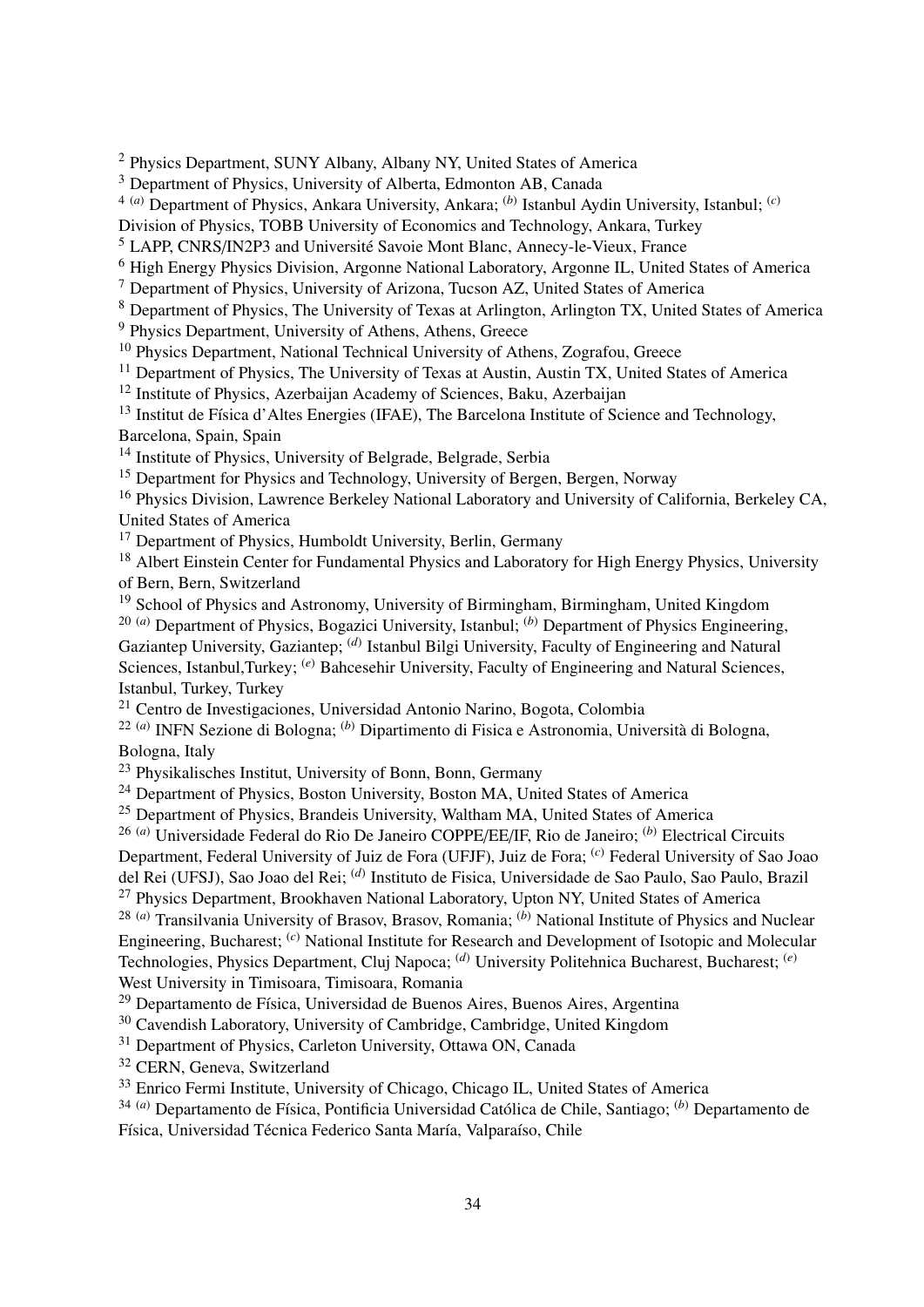<sup>2</sup> Physics Department, SUNY Albany, Albany NY, United States of America

<sup>3</sup> Department of Physics, University of Alberta, Edmonton AB, Canada

4 (*a*) Department of Physics, Ankara University, Ankara; (*b*) Istanbul Aydin University, Istanbul; (*c*)

Division of Physics, TOBB University of Economics and Technology, Ankara, Turkey

<sup>5</sup> LAPP, CNRS/IN2P3 and Université Savoie Mont Blanc, Annecy-le-Vieux, France

<sup>6</sup> High Energy Physics Division, Argonne National Laboratory, Argonne IL, United States of America

<sup>7</sup> Department of Physics, University of Arizona, Tucson AZ, United States of America

<sup>8</sup> Department of Physics, The University of Texas at Arlington, Arlington TX, United States of America

<sup>9</sup> Physics Department, University of Athens, Athens, Greece

<sup>10</sup> Physics Department, National Technical University of Athens, Zografou, Greece

<sup>11</sup> Department of Physics, The University of Texas at Austin, Austin TX, United States of America

<sup>12</sup> Institute of Physics, Azerbaijan Academy of Sciences, Baku, Azerbaijan

<sup>13</sup> Institut de Física d'Altes Energies (IFAE), The Barcelona Institute of Science and Technology. Barcelona, Spain, Spain

<sup>14</sup> Institute of Physics, University of Belgrade, Belgrade, Serbia

<sup>15</sup> Department for Physics and Technology, University of Bergen, Bergen, Norway

<sup>16</sup> Physics Division, Lawrence Berkeley National Laboratory and University of California, Berkeley CA, United States of America

<sup>17</sup> Department of Physics, Humboldt University, Berlin, Germany

<sup>18</sup> Albert Einstein Center for Fundamental Physics and Laboratory for High Energy Physics, University of Bern, Bern, Switzerland

<sup>19</sup> School of Physics and Astronomy, University of Birmingham, Birmingham, United Kingdom

20 (*a*) Department of Physics, Bogazici University, Istanbul; (*b*) Department of Physics Engineering, Gaziantep University, Gaziantep; <sup>(d)</sup> Istanbul Bilgi University, Faculty of Engineering and Natural Sciences, Istanbul,Turkey; <sup>(*e*)</sup> Bahcesehir University, Faculty of Engineering and Natural Sciences. Istanbul, Turkey, Turkey

<sup>21</sup> Centro de Investigaciones, Universidad Antonio Narino, Bogota, Colombia

22 (*a*) INFN Sezione di Bologna; (*b*) Dipartimento di Fisica e Astronomia, Università di Bologna, Bologna, Italy

<sup>23</sup> Physikalisches Institut, University of Bonn, Bonn, Germany

<sup>24</sup> Department of Physics, Boston University, Boston MA, United States of America

<sup>25</sup> Department of Physics, Brandeis University, Waltham MA, United States of America

26 (*a*) Universidade Federal do Rio De Janeiro COPPE/EE/IF, Rio de Janeiro; (*b*) Electrical Circuits Department, Federal University of Juiz de Fora (UFJF), Juiz de Fora; (*c*) Federal University of Sao Joao

del Rei (UFSJ), Sao Joao del Rei; (*d*) Instituto de Fisica, Universidade de Sao Paulo, Sao Paulo, Brazil

<sup>27</sup> Physics Department, Brookhaven National Laboratory, Upton NY, United States of America 28 (*a*) Transilvania University of Brasov, Brasov, Romania; (*b*) National Institute of Physics and Nuclear Engineering, Bucharest; (*c*) National Institute for Research and Development of Isotopic and Molecular Technologies, Physics Department, Cluj Napoca; (*d*) University Politehnica Bucharest, Bucharest; (*e*)

West University in Timisoara, Timisoara, Romania

<sup>29</sup> Departamento de Física, Universidad de Buenos Aires, Buenos Aires, Argentina

<sup>30</sup> Cavendish Laboratory, University of Cambridge, Cambridge, United Kingdom

<sup>31</sup> Department of Physics, Carleton University, Ottawa ON, Canada

<sup>32</sup> CERN, Geneva, Switzerland

<sup>33</sup> Enrico Fermi Institute, University of Chicago, Chicago IL, United States of America

34 (*a*) Departamento de Física, Pontificia Universidad Católica de Chile, Santiago; (*b*) Departamento de Física, Universidad Técnica Federico Santa María, Valparaíso, Chile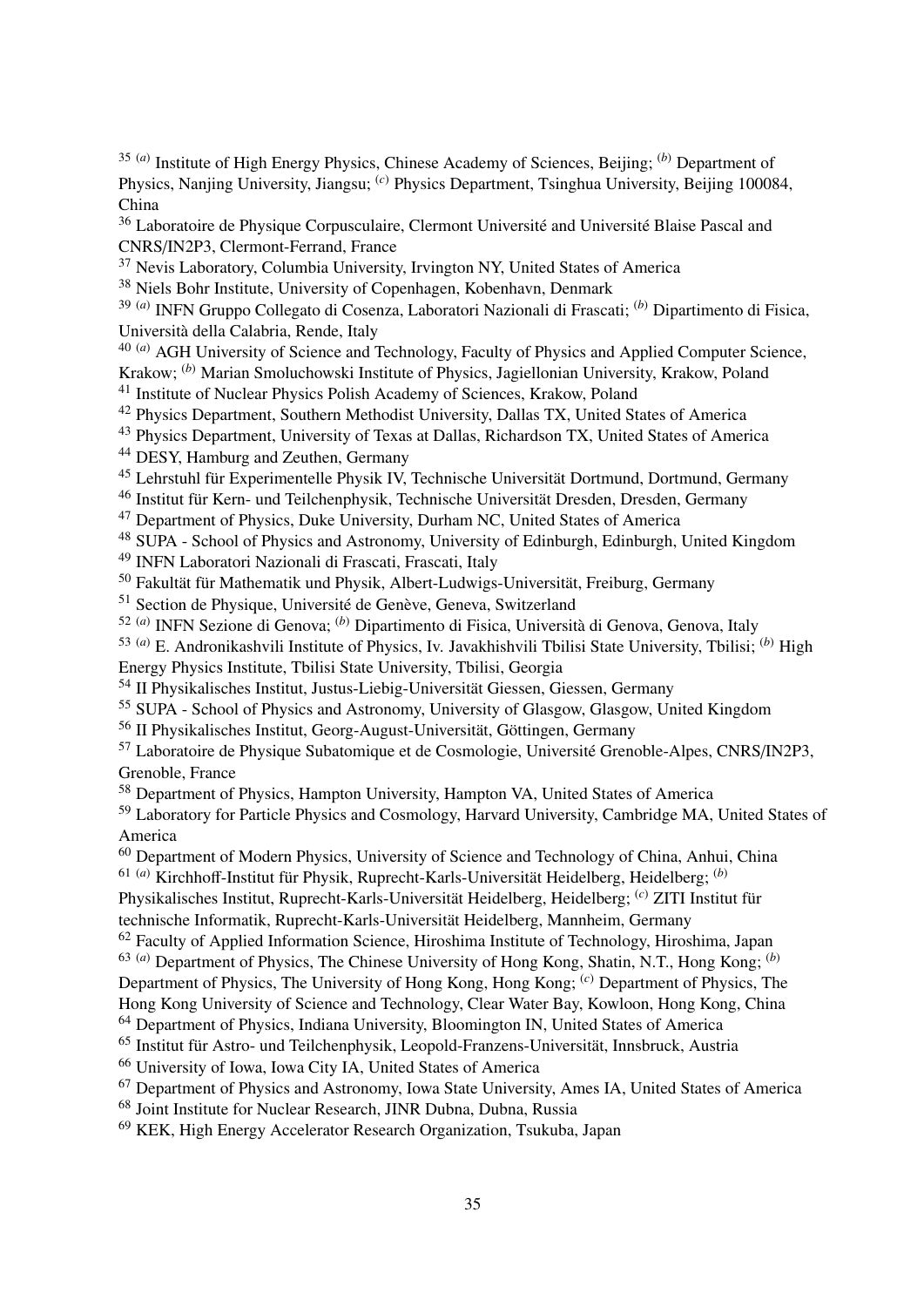35 (*a*) Institute of High Energy Physics, Chinese Academy of Sciences, Beijing; (*b*) Department of Physics, Nanjing University, Jiangsu; (*c*) Physics Department, Tsinghua University, Beijing 100084, China

<sup>36</sup> Laboratoire de Physique Corpusculaire, Clermont Université and Université Blaise Pascal and CNRS/IN2P3, Clermont-Ferrand, France

<sup>37</sup> Nevis Laboratory, Columbia University, Irvington NY, United States of America

<sup>38</sup> Niels Bohr Institute, University of Copenhagen, Kobenhavn, Denmark

39 (*a*) INFN Gruppo Collegato di Cosenza, Laboratori Nazionali di Frascati; (*b*) Dipartimento di Fisica, Università della Calabria, Rende, Italy

<sup>40 (*a*)</sup> AGH University of Science and Technology, Faculty of Physics and Applied Computer Science, Krakow; (*b*) Marian Smoluchowski Institute of Physics, Jagiellonian University, Krakow, Poland

<sup>41</sup> Institute of Nuclear Physics Polish Academy of Sciences, Krakow, Poland

<sup>42</sup> Physics Department, Southern Methodist University, Dallas TX, United States of America

<sup>43</sup> Physics Department, University of Texas at Dallas, Richardson TX, United States of America

<sup>44</sup> DESY, Hamburg and Zeuthen, Germany

<sup>45</sup> Lehrstuhl für Experimentelle Physik IV, Technische Universität Dortmund, Dortmund, Germany

<sup>46</sup> Institut für Kern- und Teilchenphysik, Technische Universität Dresden, Dresden, Germany

<sup>47</sup> Department of Physics, Duke University, Durham NC, United States of America

<sup>48</sup> SUPA - School of Physics and Astronomy, University of Edinburgh, Edinburgh, United Kingdom

<sup>49</sup> INFN Laboratori Nazionali di Frascati, Frascati, Italy

<sup>50</sup> Fakultät für Mathematik und Physik, Albert-Ludwigs-Universität, Freiburg, Germany

<sup>51</sup> Section de Physique, Université de Genève, Geneva, Switzerland

52 (*a*) INFN Sezione di Genova; (*b*) Dipartimento di Fisica, Università di Genova, Genova, Italy

53 (*a*) E. Andronikashvili Institute of Physics, Iv. Javakhishvili Tbilisi State University, Tbilisi; (*b*) High Energy Physics Institute, Tbilisi State University, Tbilisi, Georgia

<sup>54</sup> II Physikalisches Institut, Justus-Liebig-Universität Giessen, Giessen, Germany

<sup>55</sup> SUPA - School of Physics and Astronomy, University of Glasgow, Glasgow, United Kingdom

<sup>56</sup> II Physikalisches Institut, Georg-August-Universität, Göttingen, Germany

<sup>57</sup> Laboratoire de Physique Subatomique et de Cosmologie, Université Grenoble-Alpes, CNRS/IN2P3, Grenoble, France

<sup>58</sup> Department of Physics, Hampton University, Hampton VA, United States of America

<sup>59</sup> Laboratory for Particle Physics and Cosmology, Harvard University, Cambridge MA, United States of America

<sup>60</sup> Department of Modern Physics, University of Science and Technology of China, Anhui, China 61 (*a*) Kirchhoff-Institut für Physik, Ruprecht-Karls-Universität Heidelberg, Heidelberg; (*b*)

Physikalisches Institut, Ruprecht-Karls-Universität Heidelberg, Heidelberg; (*c*) ZITI Institut für technische Informatik, Ruprecht-Karls-Universität Heidelberg, Mannheim, Germany

<sup>62</sup> Faculty of Applied Information Science, Hiroshima Institute of Technology, Hiroshima, Japan

63 (*a*) Department of Physics, The Chinese University of Hong Kong, Shatin, N.T., Hong Kong; (*b*)

Department of Physics, The University of Hong Kong, Hong Kong; (*c*) Department of Physics, The

Hong Kong University of Science and Technology, Clear Water Bay, Kowloon, Hong Kong, China

<sup>64</sup> Department of Physics, Indiana University, Bloomington IN, United States of America

<sup>65</sup> Institut für Astro- und Teilchenphysik, Leopold-Franzens-Universität, Innsbruck, Austria

<sup>66</sup> University of Iowa, Iowa City IA, United States of America

<sup>67</sup> Department of Physics and Astronomy, Iowa State University, Ames IA, United States of America

<sup>68</sup> Joint Institute for Nuclear Research, JINR Dubna, Dubna, Russia

<sup>69</sup> KEK, High Energy Accelerator Research Organization, Tsukuba, Japan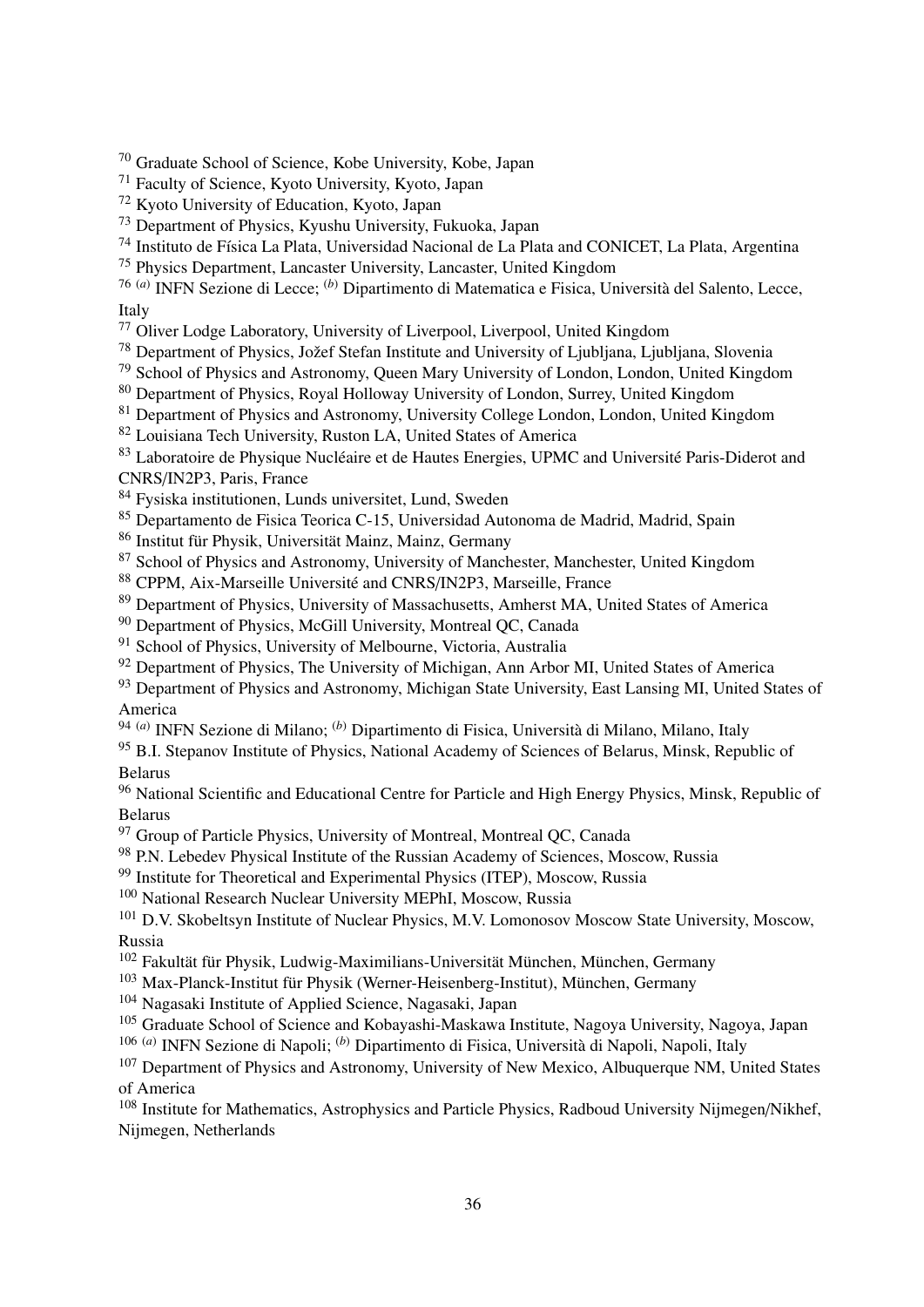<sup>70</sup> Graduate School of Science, Kobe University, Kobe, Japan

<sup>71</sup> Faculty of Science, Kyoto University, Kyoto, Japan

<sup>72</sup> Kyoto University of Education, Kyoto, Japan

<sup>73</sup> Department of Physics, Kyushu University, Fukuoka, Japan

<sup>74</sup> Instituto de Física La Plata, Universidad Nacional de La Plata and CONICET, La Plata, Argentina

<sup>75</sup> Physics Department, Lancaster University, Lancaster, United Kingdom

76 (*a*) INFN Sezione di Lecce; (*b*) Dipartimento di Matematica e Fisica, Università del Salento, Lecce, Italy

<sup>77</sup> Oliver Lodge Laboratory, University of Liverpool, Liverpool, United Kingdom

<sup>78</sup> Department of Physics, Jožef Stefan Institute and University of Ljubljana, Ljubljana, Slovenia

<sup>79</sup> School of Physics and Astronomy, Queen Mary University of London, London, United Kingdom

<sup>80</sup> Department of Physics, Royal Holloway University of London, Surrey, United Kingdom

<sup>81</sup> Department of Physics and Astronomy, University College London, London, United Kingdom

<sup>82</sup> Louisiana Tech University, Ruston LA, United States of America

83 Laboratoire de Physique Nucléaire et de Hautes Energies, UPMC and Université Paris-Diderot and CNRS/IN2P3, Paris, France

<sup>84</sup> Fysiska institutionen, Lunds universitet, Lund, Sweden

<sup>85</sup> Departamento de Fisica Teorica C-15, Universidad Autonoma de Madrid, Madrid, Spain

<sup>86</sup> Institut für Physik, Universität Mainz, Mainz, Germany

<sup>87</sup> School of Physics and Astronomy, University of Manchester, Manchester, United Kingdom

<sup>88</sup> CPPM, Aix-Marseille Université and CNRS/IN2P3, Marseille, France

<sup>89</sup> Department of Physics, University of Massachusetts, Amherst MA, United States of America

<sup>90</sup> Department of Physics, McGill University, Montreal QC, Canada

<sup>91</sup> School of Physics, University of Melbourne, Victoria, Australia

 $92$  Department of Physics, The University of Michigan, Ann Arbor MI, United States of America

<sup>93</sup> Department of Physics and Astronomy, Michigan State University, East Lansing MI, United States of America

94 (*a*) INFN Sezione di Milano; (*b*) Dipartimento di Fisica, Università di Milano, Milano, Italy

<sup>95</sup> B.I. Stepanov Institute of Physics, National Academy of Sciences of Belarus, Minsk, Republic of Belarus

<sup>96</sup> National Scientific and Educational Centre for Particle and High Energy Physics, Minsk, Republic of Belarus

<sup>97</sup> Group of Particle Physics, University of Montreal, Montreal OC, Canada

<sup>98</sup> P.N. Lebedev Physical Institute of the Russian Academy of Sciences, Moscow, Russia

<sup>99</sup> Institute for Theoretical and Experimental Physics (ITEP), Moscow, Russia

<sup>100</sup> National Research Nuclear University MEPhI, Moscow, Russia

<sup>101</sup> D.V. Skobeltsyn Institute of Nuclear Physics, M.V. Lomonosov Moscow State University, Moscow, Russia

<sup>102</sup> Fakultät für Physik, Ludwig-Maximilians-Universität München, München, Germany

<sup>103</sup> Max-Planck-Institut für Physik (Werner-Heisenberg-Institut), München, Germany

<sup>104</sup> Nagasaki Institute of Applied Science, Nagasaki, Japan

<sup>105</sup> Graduate School of Science and Kobayashi-Maskawa Institute, Nagoya University, Nagoya, Japan

106 (*a*) INFN Sezione di Napoli; (*b*) Dipartimento di Fisica, Università di Napoli, Napoli, Italy

<sup>107</sup> Department of Physics and Astronomy, University of New Mexico, Albuquerque NM, United States of America

<sup>108</sup> Institute for Mathematics, Astrophysics and Particle Physics, Radboud University Nijmegen/Nikhef, Nijmegen, Netherlands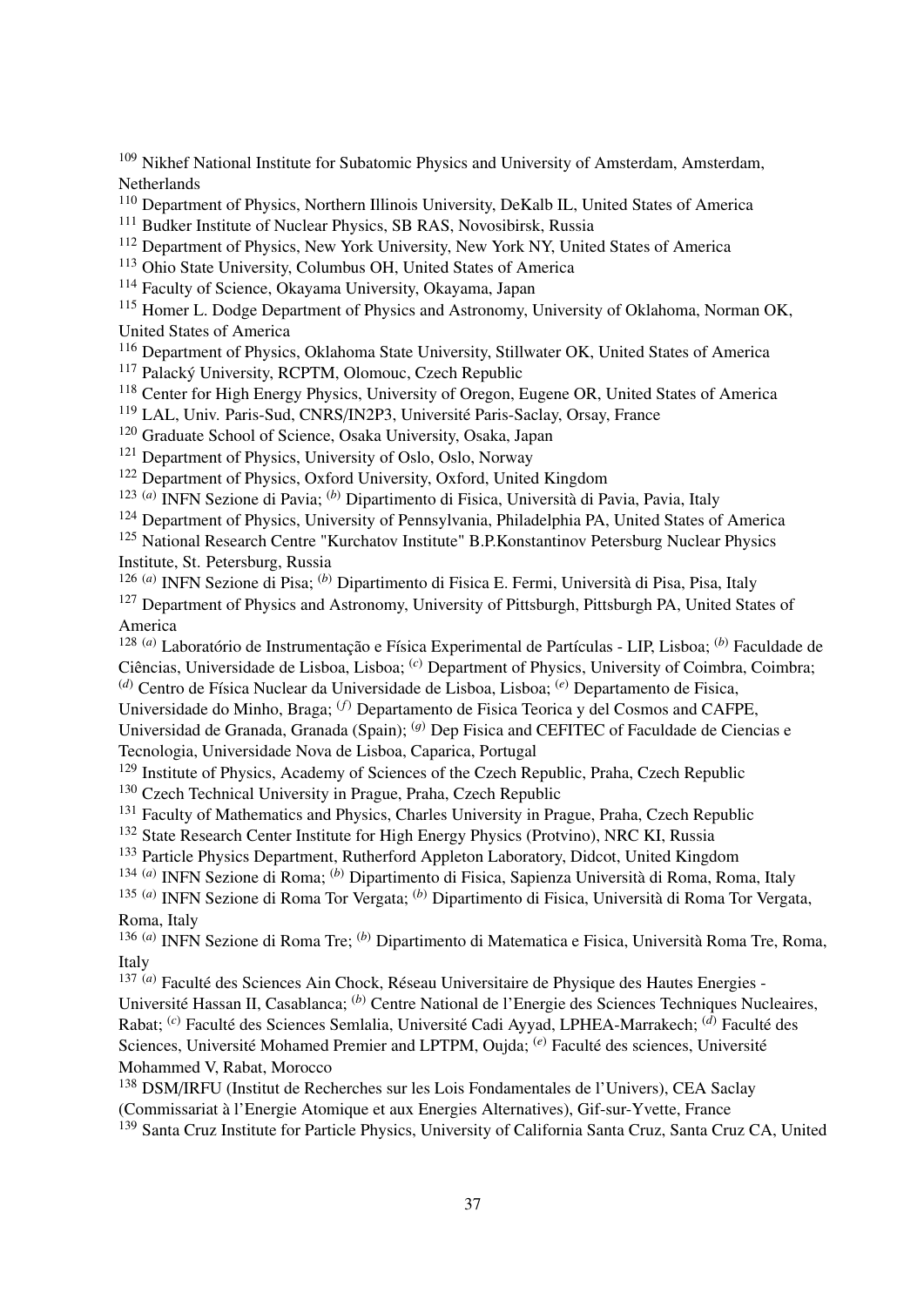<sup>109</sup> Nikhef National Institute for Subatomic Physics and University of Amsterdam, Amsterdam, Netherlands

<sup>110</sup> Department of Physics, Northern Illinois University, DeKalb IL, United States of America

<sup>111</sup> Budker Institute of Nuclear Physics, SB RAS, Novosibirsk, Russia

<sup>112</sup> Department of Physics, New York University, New York NY, United States of America

<sup>113</sup> Ohio State University, Columbus OH, United States of America

<sup>114</sup> Faculty of Science, Okayama University, Okayama, Japan

<sup>115</sup> Homer L. Dodge Department of Physics and Astronomy, University of Oklahoma, Norman OK, United States of America

<sup>116</sup> Department of Physics, Oklahoma State University, Stillwater OK, United States of America

<sup>117</sup> Palacký University, RCPTM, Olomouc, Czech Republic

<sup>118</sup> Center for High Energy Physics, University of Oregon, Eugene OR, United States of America

<sup>119</sup> LAL, Univ. Paris-Sud, CNRS/IN2P3, Université Paris-Saclay, Orsay, France

<sup>120</sup> Graduate School of Science, Osaka University, Osaka, Japan

<sup>121</sup> Department of Physics, University of Oslo, Oslo, Norway

<sup>122</sup> Department of Physics, Oxford University, Oxford, United Kingdom

123 (*a*) INFN Sezione di Pavia; (*b*) Dipartimento di Fisica, Università di Pavia, Pavia, Italy

<sup>124</sup> Department of Physics, University of Pennsylvania, Philadelphia PA, United States of America

<sup>125</sup> National Research Centre "Kurchatov Institute" B.P.Konstantinov Petersburg Nuclear Physics Institute, St. Petersburg, Russia

126 (*a*) INFN Sezione di Pisa; (*b*) Dipartimento di Fisica E. Fermi, Università di Pisa, Pisa, Italy <sup>127</sup> Department of Physics and Astronomy, University of Pittsburgh, Pittsburgh PA, United States of America

128 (*a*) Laboratório de Instrumentação e Física Experimental de Partículas - LIP, Lisboa; (*b*) Faculdade de Ciências, Universidade de Lisboa, Lisboa; (*c*) Department of Physics, University of Coimbra, Coimbra; (*d*) Centro de Física Nuclear da Universidade de Lisboa, Lisboa; (*e*) Departamento de Fisica,

Universidade do Minho, Braga; (*f*) Departamento de Fisica Teorica y del Cosmos and CAFPE,

Universidad de Granada, Granada (Spain);  $^{(g)}$  Dep Fisica and CEFITEC of Faculdade de Ciencias e Tecnologia, Universidade Nova de Lisboa, Caparica, Portugal

<sup>129</sup> Institute of Physics, Academy of Sciences of the Czech Republic, Praha, Czech Republic

<sup>130</sup> Czech Technical University in Prague, Praha, Czech Republic

<sup>131</sup> Faculty of Mathematics and Physics, Charles University in Prague, Praha, Czech Republic

<sup>132</sup> State Research Center Institute for High Energy Physics (Protvino), NRC KI, Russia

<sup>133</sup> Particle Physics Department, Rutherford Appleton Laboratory, Didcot, United Kingdom

134 (*a*) INFN Sezione di Roma; (*b*) Dipartimento di Fisica, Sapienza Università di Roma, Roma, Italy

135 (*a*) INFN Sezione di Roma Tor Vergata; (*b*) Dipartimento di Fisica, Università di Roma Tor Vergata, Roma, Italy

136 (*a*) INFN Sezione di Roma Tre; (*b*) Dipartimento di Matematica e Fisica, Università Roma Tre, Roma, Italy

137 (*a*) Faculté des Sciences Ain Chock, Réseau Universitaire de Physique des Hautes Energies - Université Hassan II, Casablanca; (*b*) Centre National de l'Energie des Sciences Techniques Nucleaires, Rabat; (*c*) Faculté des Sciences Semlalia, Université Cadi Ayyad, LPHEA-Marrakech; (*d*) Faculté des Sciences, Université Mohamed Premier and LPTPM, Oujda; (*e*) Faculté des sciences, Université Mohammed V, Rabat, Morocco

<sup>138</sup> DSM/IRFU (Institut de Recherches sur les Lois Fondamentales de l'Univers), CEA Saclay (Commissariat à l'Energie Atomique et aux Energies Alternatives), Gif-sur-Yvette, France <sup>139</sup> Santa Cruz Institute for Particle Physics, University of California Santa Cruz, Santa Cruz CA, United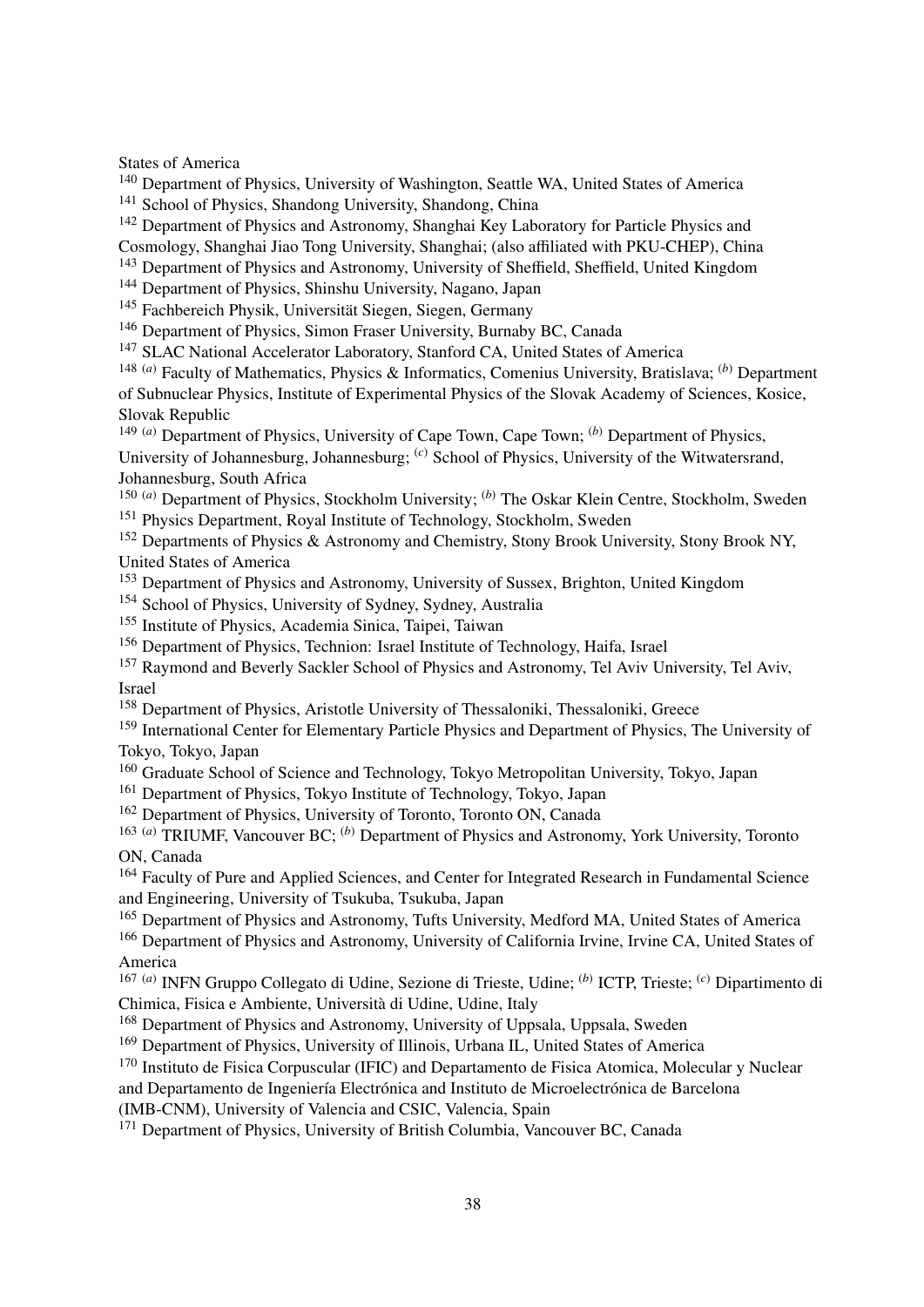States of America

<sup>140</sup> Department of Physics, University of Washington, Seattle WA, United States of America <sup>141</sup> School of Physics, Shandong University, Shandong, China

<sup>142</sup> Department of Physics and Astronomy, Shanghai Key Laboratory for Particle Physics and Cosmology, Shanghai Jiao Tong University, Shanghai; (also affiliated with PKU-CHEP), China

- <sup>143</sup> Department of Physics and Astronomy, University of Sheffield, Sheffield, United Kingdom
- <sup>144</sup> Department of Physics, Shinshu University, Nagano, Japan
- <sup>145</sup> Fachbereich Physik, Universität Siegen, Siegen, Germany
- <sup>146</sup> Department of Physics, Simon Fraser University, Burnaby BC, Canada
- <sup>147</sup> SLAC National Accelerator Laboratory, Stanford CA, United States of America

148 (*a*) Faculty of Mathematics, Physics & Informatics, Comenius University, Bratislava; (*b*) Department of Subnuclear Physics, Institute of Experimental Physics of the Slovak Academy of Sciences, Kosice, Slovak Republic

149 (*a*) Department of Physics, University of Cape Town, Cape Town; (*b*) Department of Physics,

University of Johannesburg, Johannesburg; <sup>(*c*)</sup> School of Physics, University of the Witwatersrand, Johannesburg, South Africa

150 (*a*) Department of Physics, Stockholm University; (*b*) The Oskar Klein Centre, Stockholm, Sweden <sup>151</sup> Physics Department, Royal Institute of Technology, Stockholm, Sweden

<sup>152</sup> Departments of Physics & Astronomy and Chemistry, Stony Brook University, Stony Brook NY, United States of America

- <sup>153</sup> Department of Physics and Astronomy, University of Sussex, Brighton, United Kingdom
- <sup>154</sup> School of Physics, University of Sydney, Sydney, Australia
- <sup>155</sup> Institute of Physics, Academia Sinica, Taipei, Taiwan
- <sup>156</sup> Department of Physics, Technion: Israel Institute of Technology, Haifa, Israel
- <sup>157</sup> Raymond and Beverly Sackler School of Physics and Astronomy, Tel Aviv University, Tel Aviv, Israel
- <sup>158</sup> Department of Physics, Aristotle University of Thessaloniki, Thessaloniki, Greece

<sup>159</sup> International Center for Elementary Particle Physics and Department of Physics, The University of Tokyo, Tokyo, Japan

<sup>160</sup> Graduate School of Science and Technology, Tokyo Metropolitan University, Tokyo, Japan

<sup>161</sup> Department of Physics, Tokyo Institute of Technology, Tokyo, Japan

<sup>162</sup> Department of Physics, University of Toronto, Toronto ON, Canada

163 (*a*) TRIUMF, Vancouver BC; (*b*) Department of Physics and Astronomy, York University, Toronto ON, Canada

<sup>164</sup> Faculty of Pure and Applied Sciences, and Center for Integrated Research in Fundamental Science and Engineering, University of Tsukuba, Tsukuba, Japan

<sup>165</sup> Department of Physics and Astronomy, Tufts University, Medford MA, United States of America

<sup>166</sup> Department of Physics and Astronomy, University of California Irvine, Irvine CA, United States of America

167 (*a*) INFN Gruppo Collegato di Udine, Sezione di Trieste, Udine; (*b*) ICTP, Trieste; (*c*) Dipartimento di Chimica, Fisica e Ambiente, Università di Udine, Udine, Italy

<sup>168</sup> Department of Physics and Astronomy, University of Uppsala, Uppsala, Sweden

<sup>169</sup> Department of Physics, University of Illinois, Urbana IL, United States of America

<sup>170</sup> Instituto de Fisica Corpuscular (IFIC) and Departamento de Fisica Atomica, Molecular y Nuclear

and Departamento de Ingeniería Electrónica and Instituto de Microelectrónica de Barcelona

(IMB-CNM), University of Valencia and CSIC, Valencia, Spain

<sup>171</sup> Department of Physics, University of British Columbia, Vancouver BC, Canada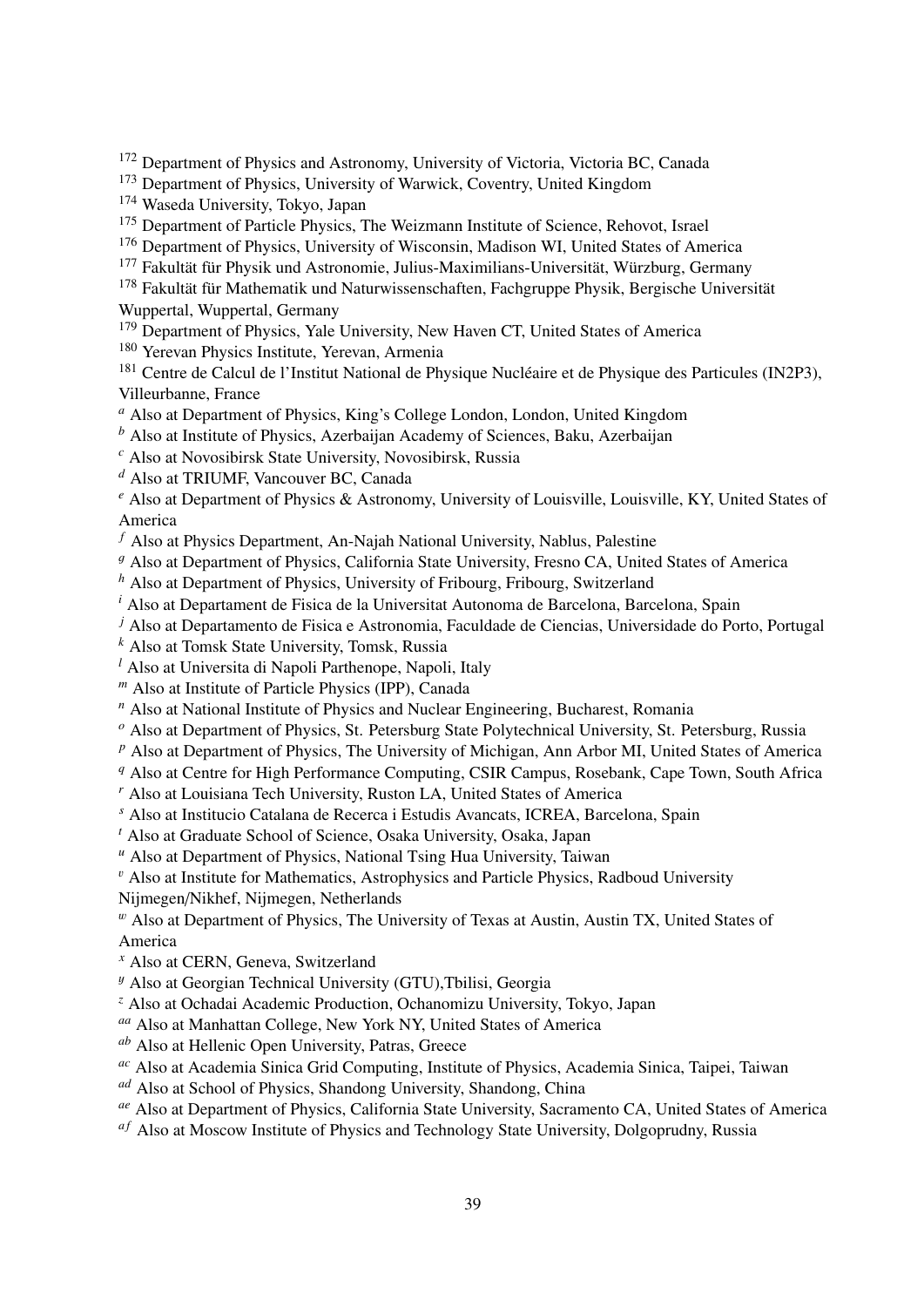<sup>172</sup> Department of Physics and Astronomy, University of Victoria, Victoria BC, Canada

<sup>173</sup> Department of Physics, University of Warwick, Coventry, United Kingdom

<sup>174</sup> Waseda University, Tokyo, Japan

<sup>175</sup> Department of Particle Physics, The Weizmann Institute of Science, Rehovot, Israel

<sup>176</sup> Department of Physics, University of Wisconsin, Madison WI, United States of America

<sup>177</sup> Fakultät für Physik und Astronomie, Julius-Maximilians-Universität, Würzburg, Germany

<sup>178</sup> Fakultät für Mathematik und Naturwissenschaften, Fachgruppe Physik, Bergische Universität Wuppertal, Wuppertal, Germany

<sup>179</sup> Department of Physics, Yale University, New Haven CT, United States of America

<sup>180</sup> Yerevan Physics Institute, Yerevan, Armenia

<sup>181</sup> Centre de Calcul de l'Institut National de Physique Nucléaire et de Physique des Particules (IN2P3), Villeurbanne, France

*<sup>a</sup>* Also at Department of Physics, King's College London, London, United Kingdom

*<sup>b</sup>* Also at Institute of Physics, Azerbaijan Academy of Sciences, Baku, Azerbaijan

*<sup>c</sup>* Also at Novosibirsk State University, Novosibirsk, Russia

*<sup>d</sup>* Also at TRIUMF, Vancouver BC, Canada

*<sup>e</sup>* Also at Department of Physics & Astronomy, University of Louisville, Louisville, KY, United States of America

*<sup>f</sup>* Also at Physics Department, An-Najah National University, Nablus, Palestine

<sup>g</sup> Also at Department of Physics, California State University, Fresno CA, United States of America

*<sup>h</sup>* Also at Department of Physics, University of Fribourg, Fribourg, Switzerland

*<sup>i</sup>* Also at Departament de Fisica de la Universitat Autonoma de Barcelona, Barcelona, Spain

*<sup>j</sup>* Also at Departamento de Fisica e Astronomia, Faculdade de Ciencias, Universidade do Porto, Portugal

*<sup>k</sup>* Also at Tomsk State University, Tomsk, Russia

*<sup>l</sup>* Also at Universita di Napoli Parthenope, Napoli, Italy

*<sup>m</sup>* Also at Institute of Particle Physics (IPP), Canada

*<sup>n</sup>* Also at National Institute of Physics and Nuclear Engineering, Bucharest, Romania

*<sup>o</sup>* Also at Department of Physics, St. Petersburg State Polytechnical University, St. Petersburg, Russia

*<sup>p</sup>* Also at Department of Physics, The University of Michigan, Ann Arbor MI, United States of America

*<sup>q</sup>* Also at Centre for High Performance Computing, CSIR Campus, Rosebank, Cape Town, South Africa

*<sup>r</sup>* Also at Louisiana Tech University, Ruston LA, United States of America

*<sup>s</sup>* Also at Institucio Catalana de Recerca i Estudis Avancats, ICREA, Barcelona, Spain

*<sup>t</sup>* Also at Graduate School of Science, Osaka University, Osaka, Japan

*<sup>u</sup>* Also at Department of Physics, National Tsing Hua University, Taiwan

 $\mathbf{v}$  Also at Institute for Mathematics, Astrophysics and Particle Physics, Radboud University

Nijmegen/Nikhef, Nijmegen, Netherlands

 $^w$  Also at Department of Physics, The University of Texas at Austin, Austin TX, United States of America

*<sup>x</sup>* Also at CERN, Geneva, Switzerland

<sup>y</sup> Also at Georgian Technical University (GTU),Tbilisi, Georgia

*<sup>z</sup>* Also at Ochadai Academic Production, Ochanomizu University, Tokyo, Japan

*aa* Also at Manhattan College, New York NY, United States of America

*ab* Also at Hellenic Open University, Patras, Greece

*ac* Also at Academia Sinica Grid Computing, Institute of Physics, Academia Sinica, Taipei, Taiwan

*ad* Also at School of Physics, Shandong University, Shandong, China

*ae* Also at Department of Physics, California State University, Sacramento CA, United States of America

<sup>af</sup> Also at Moscow Institute of Physics and Technology State University, Dolgoprudny, Russia